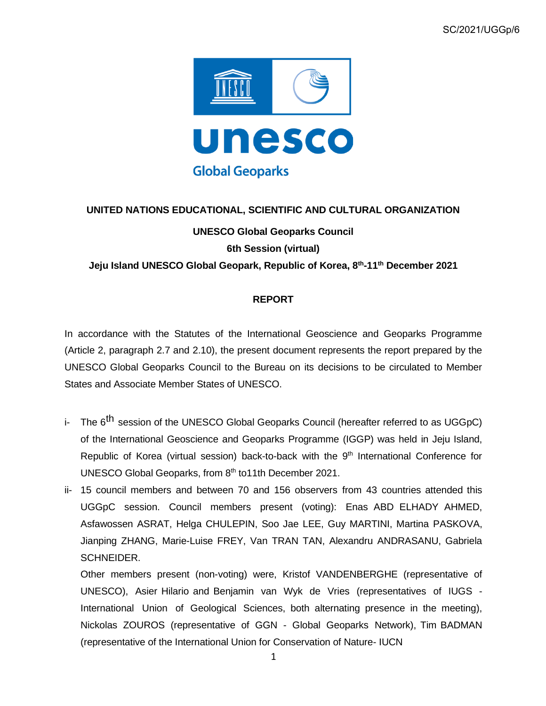

## **UNITED NATIONS EDUCATIONAL, SCIENTIFIC AND CULTURAL ORGANIZATION**

### **UNESCO Global Geoparks Council**

**6th Session (virtual)**

**Jeju Island UNESCO Global Geopark, Republic of Korea, 8 th -11th December 2021**

### **REPORT**

In accordance with the Statutes of the International Geoscience and Geoparks Programme (Article 2, paragraph 2.7 and 2.10), the present document represents the report prepared by the UNESCO Global Geoparks Council to the Bureau on its decisions to be circulated to Member States and Associate Member States of UNESCO.

- i- The 6<sup>th</sup> session of the UNESCO Global Geoparks Council (hereafter referred to as UGGpC) of the International Geoscience and Geoparks Programme (IGGP) was held in Jeju Island, Republic of Korea (virtual session) back-to-back with the 9<sup>th</sup> International Conference for UNESCO Global Geoparks, from 8th to11th December 2021.
- ii- 15 council members and between 70 and 156 observers from 43 countries attended this UGGpC session. Council members present (voting): Enas ABD ELHADY AHMED, Asfawossen ASRAT, Helga CHULEPIN, Soo Jae LEE, Guy MARTINI, Martina PASKOVA, Jianping ZHANG, Marie-Luise FREY, Van TRAN TAN, Alexandru ANDRASANU, Gabriela SCHNEIDER.

Other members present (non-voting) were, Kristof VANDENBERGHE (representative of UNESCO), Asier Hilario and Benjamin van Wyk de Vries (representatives of IUGS - International Union of Geological Sciences, both alternating presence in the meeting), Nickolas ZOUROS (representative of GGN - Global Geoparks Network), Tim BADMAN (representative of the International Union for Conservation of Nature- IUCN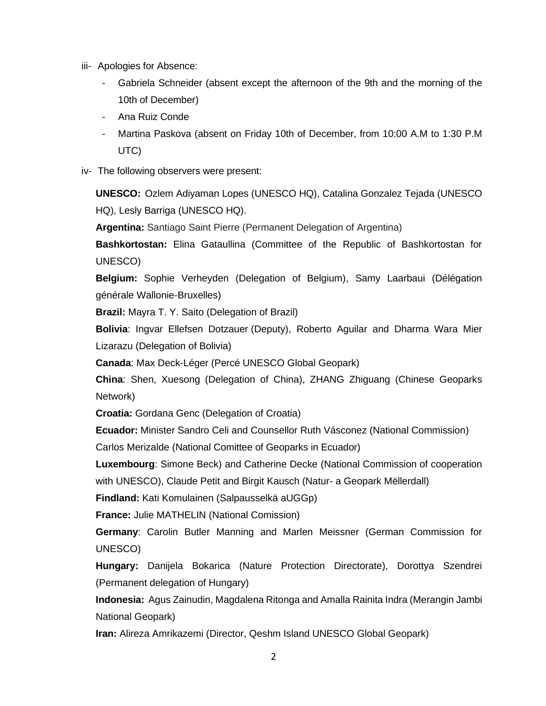- iii- Apologies for Absence:
	- Gabriela Schneider (absent except the afternoon of the 9th and the morning of the 10th of December)
	- Ana Ruiz Conde
	- Martina Paskova (absent on Friday 10th of December, from 10:00 A.M to 1:30 P.M UTC)
- iv- The following observers were present:

**UNESCO:** Ozlem Adiyaman Lopes (UNESCO HQ), Catalina Gonzalez Tejada (UNESCO HQ), Lesly Barriga (UNESCO HQ).

**Argentina:** Santiago Saint Pierre (Permanent Delegation of Argentina)

**Bashkortostan:** Elina Gataullina (Committee of the Republic of Bashkortostan for UNESCO)

**Belgium:** Sophie Verheyden (Delegation of Belgium), Samy Laarbaui (Délégation générale Wallonie-Bruxelles)

**Brazil:** Mayra T. Y. Saito (Delegation of Brazil)

**Bolivia**: Ingvar Ellefsen Dotzauer (Deputy), Roberto Aguilar and Dharma Wara Mier Lizarazu (Delegation of Bolivia)

**Canada**: Max Deck-Léger (Percé UNESCO Global Geopark)

**China**: Shen, Xuesong (Delegation of China), ZHANG Zhiguang (Chinese Geoparks Network)

**Croatia:** Gordana Genc (Delegation of Croatia)

**Ecuador:** Minister Sandro Celi and Counsellor Ruth Vásconez (National Commission) Carlos Merizalde (National Comittee of Geoparks in Ecuador)

**Luxembourg**: Simone Beck) and Catherine Decke (National Commission of cooperation with UNESCO), Claude Petit and Birgit Kausch (Natur- a Geopark Mëllerdall)

**Findland:** Kati Komulainen (Salpausselkä aUGGp)

**France:** Julie MATHELIN (National Comission)

**Germany**: Carolin Butler Manning and Marlen Meissner (German Commission for UNESCO)

**Hungary:** Danijela Bokarica (Nature Protection Directorate), Dorottya Szendrei (Permanent delegation of Hungary)

**Indonesia:** Agus Zainudin, Magdalena Ritonga and Amalla Rainita Indra (Merangin Jambi National Geopark)

**Iran:** Alireza Amrikazemi (Director, Qeshm Island UNESCO Global Geopark)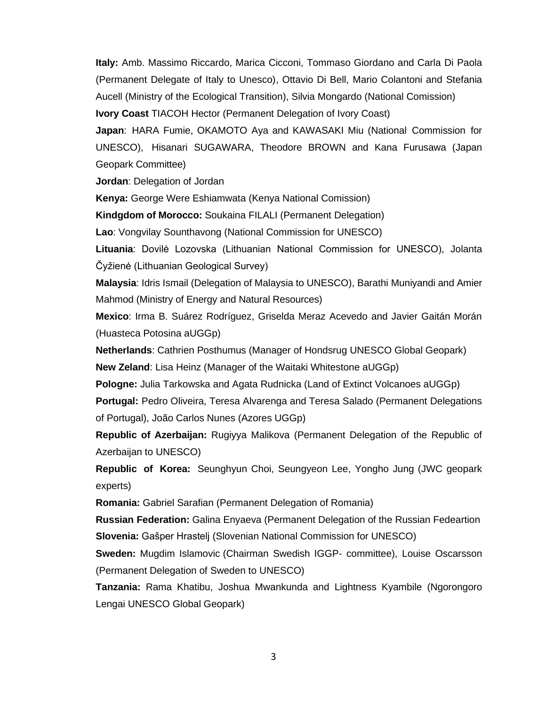**Italy:** Amb. Massimo Riccardo, Marica Cicconi, Tommaso Giordano and Carla Di Paola (Permanent Delegate of Italy to Unesco), Ottavio Di Bell, Mario Colantoni and Stefania Aucell (Ministry of the Ecological Transition), Silvia Mongardo (National Comission) **Ivory Coast** TIACOH Hector (Permanent Delegation of Ivory Coast)

**Japan**: HARA Fumie, OKAMOTO Aya and KAWASAKI Miu (National Commission for UNESCO), Hisanari SUGAWARA, Theodore BROWN and Kana Furusawa (Japan Geopark Committee)

**Jordan**: Delegation of Jordan

**Kenya:** George Were Eshiamwata (Kenya National Comission)

**Kindgdom of Morocco:** Soukaina FILALI (Permanent Delegation)

**Lao**: Vongvilay Sounthavong (National Commission for UNESCO)

**Lituania**: Dovilė Lozovska (Lithuanian National Commission for UNESCO), Jolanta Čyžienė (Lithuanian Geological Survey)

**Malaysia**: Idris Ismail (Delegation of Malaysia to UNESCO), Barathi Muniyandi and Amier Mahmod (Ministry of Energy and Natural Resources)

**Mexico**: Irma B. Suárez Rodríguez, Griselda Meraz Acevedo and Javier Gaitán Morán (Huasteca Potosina aUGGp)

**Netherlands**: Cathrien Posthumus (Manager of Hondsrug UNESCO Global Geopark) **New Zeland**: Lisa Heinz (Manager of the Waitaki Whitestone aUGGp)

**Pologne:** Julia Tarkowska and Agata Rudnicka (Land of Extinct Volcanoes aUGGp)

**Portugal:** Pedro Oliveira, Teresa Alvarenga and Teresa Salado (Permanent Delegations of Portugal), João Carlos Nunes (Azores UGGp)

**Republic of Azerbaijan:** Rugiyya Malikova (Permanent Delegation of the Republic of Azerbaijan to UNESCO)

**Republic of Korea:** Seunghyun Choi, Seungyeon Lee, Yongho Jung (JWC geopark experts)

**Romania:** Gabriel Sarafian (Permanent Delegation of Romania)

**Russian Federation:** Galina Enyaeva (Permanent Delegation of the Russian Fedeartion **Slovenia:** Gašper Hrastelj (Slovenian National Commission for UNESCO)

**Sweden:** Mugdim Islamovic (Chairman Swedish IGGP- committee), Louise Oscarsson (Permanent Delegation of Sweden to UNESCO)

**Tanzania:** Rama Khatibu, Joshua Mwankunda and Lightness Kyambile (Ngorongoro Lengai UNESCO Global Geopark)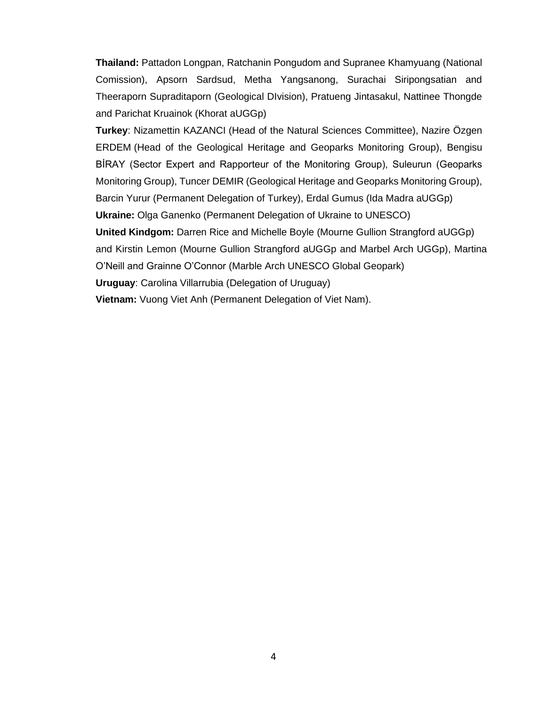**Thailand:** Pattadon Longpan, Ratchanin Pongudom and Supranee Khamyuang (National Comission), Apsorn Sardsud, Metha Yangsanong, Surachai Siripongsatian and Theeraporn Supraditaporn (Geological DIvision), Pratueng Jintasakul, Nattinee Thongde and Parichat Kruainok (Khorat aUGGp)

**Turkey**: Nizamettin KAZANCI (Head of the Natural Sciences Committee), Nazire Özgen ERDEM (Head of the Geological Heritage and Geoparks Monitoring Group), Bengisu BİRAY (Sector Expert and Rapporteur of the Monitoring Group), Suleurun (Geoparks Monitoring Group), Tuncer DEMIR (Geological Heritage and Geoparks Monitoring Group), Barcin Yurur (Permanent Delegation of Turkey), Erdal Gumus (Ida Madra aUGGp) **Ukraine:** Olga Ganenko (Permanent Delegation of Ukraine to UNESCO)

**United Kindgom:** Darren Rice and Michelle Boyle (Mourne Gullion Strangford aUGGp)

and Kirstin Lemon (Mourne Gullion Strangford aUGGp and Marbel Arch UGGp), Martina O'Neill and Grainne O'Connor (Marble Arch UNESCO Global Geopark)

**Uruguay**: Carolina Villarrubia (Delegation of Uruguay)

**Vietnam:** Vuong Viet Anh (Permanent Delegation of Viet Nam).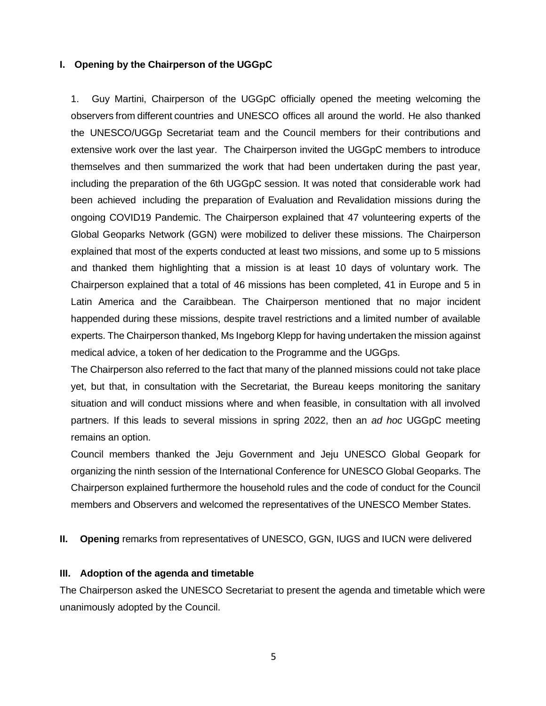#### **I. Opening by the Chairperson of the UGGpC**

1. Guy Martini, Chairperson of the UGGpC officially opened the meeting welcoming the observers from different countries and UNESCO offices all around the world. He also thanked the UNESCO/UGGp Secretariat team and the Council members for their contributions and extensive work over the last year. The Chairperson invited the UGGpC members to introduce themselves and then summarized the work that had been undertaken during the past year, including the preparation of the 6th UGGpC session. It was noted that considerable work had been achieved including the preparation of Evaluation and Revalidation missions during the ongoing COVID19 Pandemic. The Chairperson explained that 47 volunteering experts of the Global Geoparks Network (GGN) were mobilized to deliver these missions. The Chairperson explained that most of the experts conducted at least two missions, and some up to 5 missions and thanked them highlighting that a mission is at least 10 days of voluntary work. The Chairperson explained that a total of 46 missions has been completed, 41 in Europe and 5 in Latin America and the Caraibbean. The Chairperson mentioned that no major incident happended during these missions, despite travel restrictions and a limited number of available experts. The Chairperson thanked, Ms Ingeborg Klepp for having undertaken the mission against medical advice, a token of her dedication to the Programme and the UGGps.

The Chairperson also referred to the fact that many of the planned missions could not take place yet, but that, in consultation with the Secretariat, the Bureau keeps monitoring the sanitary situation and will conduct missions where and when feasible, in consultation with all involved partners. If this leads to several missions in spring 2022, then an *ad hoc* UGGpC meeting remains an option.

Council members thanked the Jeju Government and Jeju UNESCO Global Geopark for organizing the ninth session of the International Conference for UNESCO Global Geoparks. The Chairperson explained furthermore the household rules and the code of conduct for the Council members and Observers and welcomed the representatives of the UNESCO Member States.

#### **II. Opening** remarks from representatives of UNESCO, GGN, IUGS and IUCN were delivered

#### **III. Adoption of the agenda and timetable**

The Chairperson asked the UNESCO Secretariat to present the agenda and timetable which were unanimously adopted by the Council.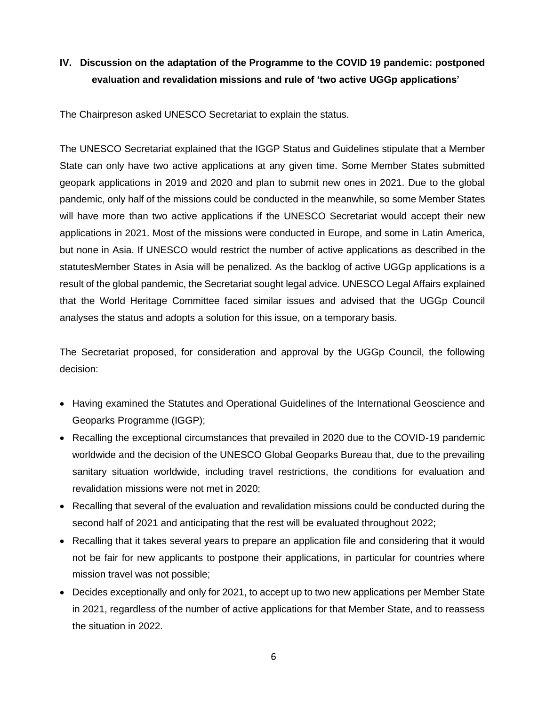# **IV. Discussion on the adaptation of the Programme to the COVID 19 pandemic: postponed evaluation and revalidation missions and rule of 'two active UGGp applications'**

The Chairpreson asked UNESCO Secretariat to explain the status.

The UNESCO Secretariat explained that the IGGP Status and Guidelines stipulate that a Member State can only have two active applications at any given time. Some Member States submitted geopark applications in 2019 and 2020 and plan to submit new ones in 2021. Due to the global pandemic, only half of the missions could be conducted in the meanwhile, so some Member States will have more than two active applications if the UNESCO Secretariat would accept their new applications in 2021. Most of the missions were conducted in Europe, and some in Latin America, but none in Asia. If UNESCO would restrict the number of active applications as described in the statutesMember States in Asia will be penalized. As the backlog of active UGGp applications is a result of the global pandemic, the Secretariat sought legal advice. UNESCO Legal Affairs explained that the World Heritage Committee faced similar issues and advised that the UGGp Council analyses the status and adopts a solution for this issue, on a temporary basis.

The Secretariat proposed, for consideration and approval by the UGGp Council, the following decision:

- Having examined the Statutes and Operational Guidelines of the International Geoscience and Geoparks Programme (IGGP);
- Recalling the exceptional circumstances that prevailed in 2020 due to the COVID-19 pandemic worldwide and the decision of the UNESCO Global Geoparks Bureau that, due to the prevailing sanitary situation worldwide, including travel restrictions, the conditions for evaluation and revalidation missions were not met in 2020;
- Recalling that several of the evaluation and revalidation missions could be conducted during the second half of 2021 and anticipating that the rest will be evaluated throughout 2022;
- Recalling that it takes several years to prepare an application file and considering that it would not be fair for new applicants to postpone their applications, in particular for countries where mission travel was not possible;
- Decides exceptionally and only for 2021, to accept up to two new applications per Member State in 2021, regardless of the number of active applications for that Member State, and to reassess the situation in 2022.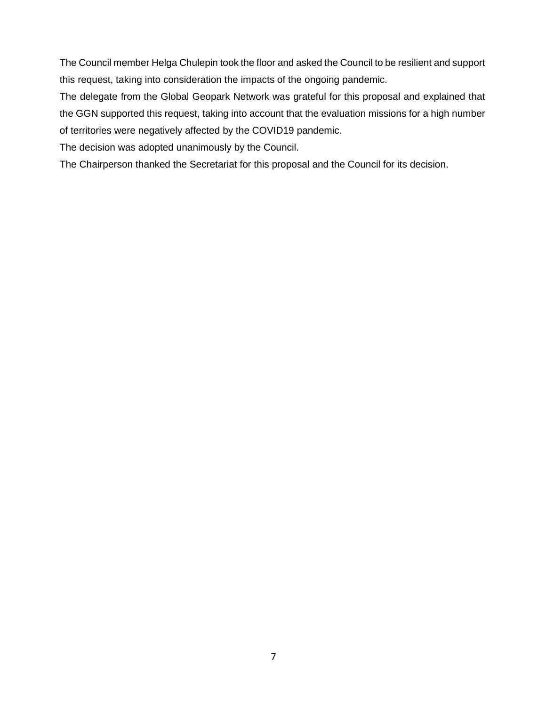The Council member Helga Chulepin took the floor and asked the Council to be resilient and support this request, taking into consideration the impacts of the ongoing pandemic.

The delegate from the Global Geopark Network was grateful for this proposal and explained that the GGN supported this request, taking into account that the evaluation missions for a high number of territories were negatively affected by the COVID19 pandemic.

The decision was adopted unanimously by the Council.

The Chairperson thanked the Secretariat for this proposal and the Council for its decision.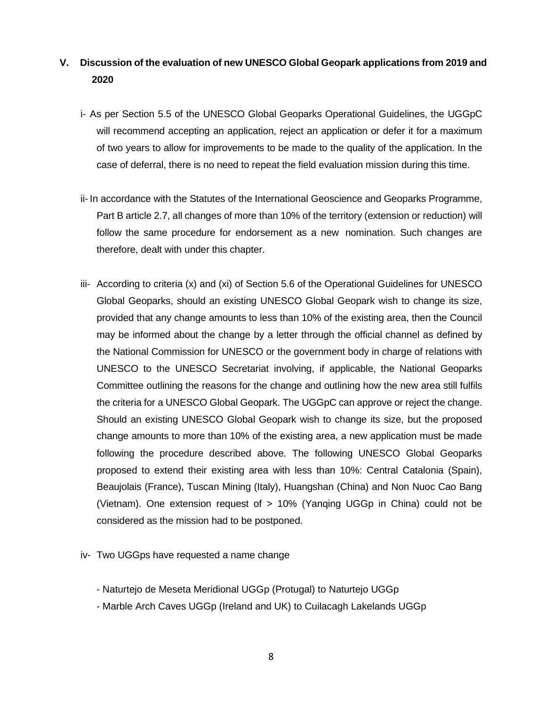# **V. Discussion of the evaluation of new UNESCO Global Geopark applications from 2019 and 2020**

- i- As per Section 5.5 of the UNESCO Global Geoparks Operational Guidelines, the UGGpC will recommend accepting an application, reject an application or defer it for a maximum of two years to allow for improvements to be made to the quality of the application. In the case of deferral, there is no need to repeat the field evaluation mission during this time.
- ii- In accordance with the Statutes of the International Geoscience and Geoparks Programme, Part B article 2.7, all changes of more than 10% of the territory (extension or reduction) will follow the same procedure for endorsement as a new nomination. Such changes are therefore, dealt with under this chapter.
- iii- According to criteria (x) and (xi) of Section 5.6 of the Operational Guidelines for UNESCO Global Geoparks, should an existing UNESCO Global Geopark wish to change its size, provided that any change amounts to less than 10% of the existing area, then the Council may be informed about the change by a letter through the official channel as defined by the National Commission for UNESCO or the government body in charge of relations with UNESCO to the UNESCO Secretariat involving, if applicable, the National Geoparks Committee outlining the reasons for the change and outlining how the new area still fulfils the criteria for a UNESCO Global Geopark. The UGGpC can approve or reject the change. Should an existing UNESCO Global Geopark wish to change its size, but the proposed change amounts to more than 10% of the existing area, a new application must be made following the procedure described above. The following UNESCO Global Geoparks proposed to extend their existing area with less than 10%: Central Catalonia (Spain), Beaujolais (France), Tuscan Mining (Italy), Huangshan (China) and Non Nuoc Cao Bang (Vietnam). One extension request of > 10% (Yanqing UGGp in China) could not be considered as the mission had to be postponed.
- iv- Two UGGps have requested a name change
	- Naturtejo de Meseta Meridional UGGp (Protugal) to Naturtejo UGGp
	- Marble Arch Caves UGGp (Ireland and UK) to Cuilacagh Lakelands UGGp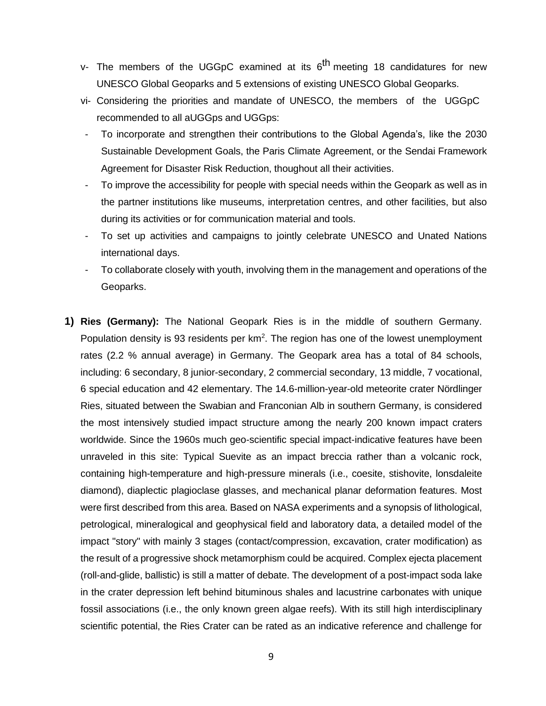- v- The members of the UGGpC examined at its 6<sup>th</sup> meeting 18 candidatures for new UNESCO Global Geoparks and 5 extensions of existing UNESCO Global Geoparks.
- vi- Considering the priorities and mandate of UNESCO, the members of the UGGpC recommended to all aUGGps and UGGps:
- To incorporate and strengthen their contributions to the Global Agenda's, like the 2030 Sustainable Development Goals, the Paris Climate Agreement, or the Sendai Framework Agreement for Disaster Risk Reduction, thoughout all their activities.
- To improve the accessibility for people with special needs within the Geopark as well as in the partner institutions like museums, interpretation centres, and other facilities, but also during its activities or for communication material and tools.
- To set up activities and campaigns to jointly celebrate UNESCO and Unated Nations international days.
- To collaborate closely with youth, involving them in the management and operations of the Geoparks.
- **1) Ries (Germany):** The National Geopark Ries is in the middle of southern Germany. Population density is 93 residents per  $km^2$ . The region has one of the lowest unemployment rates (2.2 % annual average) in Germany. The Geopark area has a total of 84 schools, including: 6 secondary, 8 junior-secondary, 2 commercial secondary, 13 middle, 7 vocational, 6 special education and 42 elementary. The 14.6-million-year-old meteorite crater Nördlinger Ries, situated between the Swabian and Franconian Alb in southern Germany, is considered the most intensively studied impact structure among the nearly 200 known impact craters worldwide. Since the 1960s much geo-scientific special impact-indicative features have been unraveled in this site: Typical Suevite as an impact breccia rather than a volcanic rock, containing high-temperature and high-pressure minerals (i.e., coesite, stishovite, lonsdaleite diamond), diaplectic plagioclase glasses, and mechanical planar deformation features. Most were first described from this area. Based on NASA experiments and a synopsis of lithological, petrological, mineralogical and geophysical field and laboratory data, a detailed model of the impact "story" with mainly 3 stages (contact/compression, excavation, crater modification) as the result of a progressive shock metamorphism could be acquired. Complex ejecta placement (roll-and-glide, ballistic) is still a matter of debate. The development of a post-impact soda lake in the crater depression left behind bituminous shales and lacustrine carbonates with unique fossil associations (i.e., the only known green algae reefs). With its still high interdisciplinary scientific potential, the Ries Crater can be rated as an indicative reference and challenge for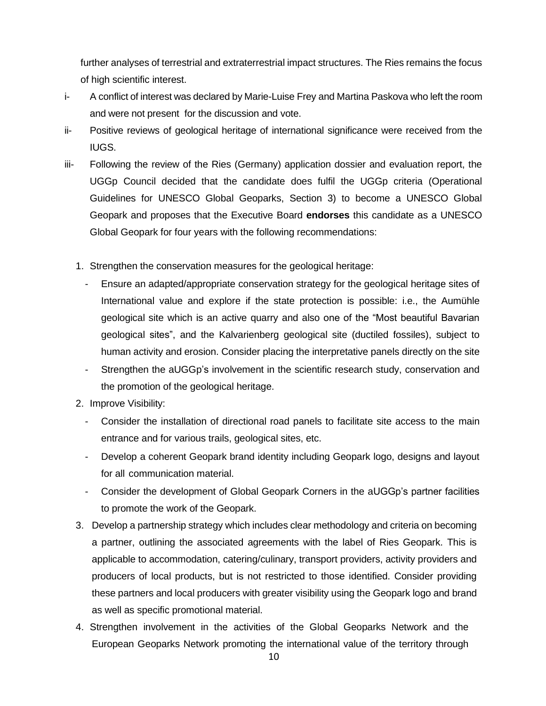further analyses of terrestrial and extraterrestrial impact structures. The Ries remains the focus of high scientific interest.

- i- A conflict of interest was declared by Marie-Luise Frey and Martina Paskova who left the room and were not present for the discussion and vote.
- ii- Positive reviews of geological heritage of international significance were received from the IUGS.
- iii- Following the review of the Ries (Germany) application dossier and evaluation report, the UGGp Council decided that the candidate does fulfil the UGGp criteria (Operational Guidelines for UNESCO Global Geoparks, Section 3) to become a UNESCO Global Geopark and proposes that the Executive Board **endorses** this candidate as a UNESCO Global Geopark for four years with the following recommendations:
	- 1. Strengthen the conservation measures for the geological heritage:
		- Ensure an adapted/appropriate conservation strategy for the geological heritage sites of International value and explore if the state protection is possible: i.e., the Aumühle geological site which is an active quarry and also one of the "Most beautiful Bavarian geological sites", and the Kalvarienberg geological site (ductiled fossiles), subject to human activity and erosion. Consider placing the interpretative panels directly on the site
		- Strengthen the aUGGp's involvement in the scientific research study, conservation and the promotion of the geological heritage.
	- 2. Improve Visibility:
		- Consider the installation of directional road panels to facilitate site access to the main entrance and for various trails, geological sites, etc.
		- Develop a coherent Geopark brand identity including Geopark logo, designs and layout for all communication material.
		- Consider the development of Global Geopark Corners in the aUGGp's partner facilities to promote the work of the Geopark.
	- 3. Develop a partnership strategy which includes clear methodology and criteria on becoming a partner, outlining the associated agreements with the label of Ries Geopark. This is applicable to accommodation, catering/culinary, transport providers, activity providers and producers of local products, but is not restricted to those identified. Consider providing these partners and local producers with greater visibility using the Geopark logo and brand as well as specific promotional material.
	- 4. Strengthen involvement in the activities of the Global Geoparks Network and the European Geoparks Network promoting the international value of the territory through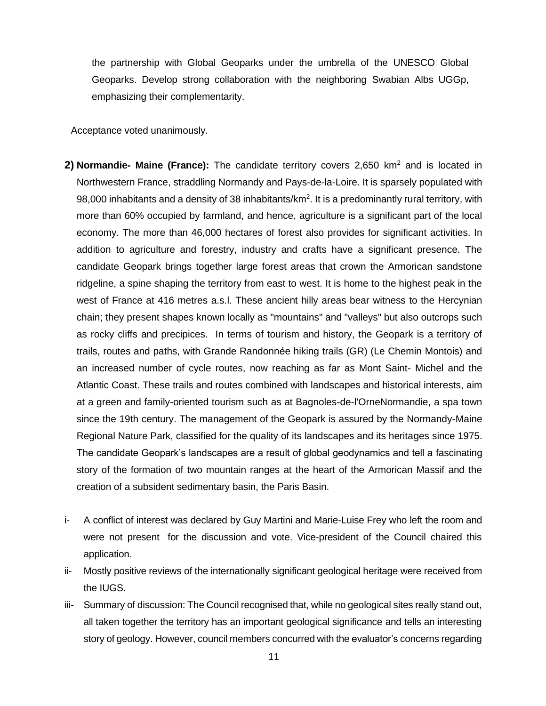the partnership with Global Geoparks under the umbrella of the UNESCO Global Geoparks. Develop strong collaboration with the neighboring Swabian Albs UGGp, emphasizing their complementarity.

Acceptance voted unanimously.

- **2) Normandie- Maine (France):** The candidate territory covers 2,650 km<sup>2</sup> and is located in Northwestern France, straddling Normandy and Pays-de-la-Loire. It is sparsely populated with 98,000 inhabitants and a density of 38 inhabitants/km<sup>2</sup>. It is a predominantly rural territory, with more than 60% occupied by farmland, and hence, agriculture is a significant part of the local economy. The more than 46,000 hectares of forest also provides for significant activities. In addition to agriculture and forestry, industry and crafts have a significant presence. The candidate Geopark brings together large forest areas that crown the Armorican sandstone ridgeline, a spine shaping the territory from east to west. It is home to the highest peak in the west of France at 416 metres a.s.l. These ancient hilly areas bear witness to the Hercynian chain; they present shapes known locally as "mountains" and "valleys" but also outcrops such as rocky cliffs and precipices. In terms of tourism and history, the Geopark is a territory of trails, routes and paths, with Grande Randonnée hiking trails (GR) (Le Chemin Montois) and an increased number of cycle routes, now reaching as far as Mont Saint- Michel and the Atlantic Coast. These trails and routes combined with landscapes and historical interests, aim at a green and family-oriented tourism such as at Bagnoles-de-l'OrneNormandie, a spa town since the 19th century. The management of the Geopark is assured by the Normandy-Maine Regional Nature Park, classified for the quality of its landscapes and its heritages since 1975. The candidate Geopark's landscapes are a result of global geodynamics and tell a fascinating story of the formation of two mountain ranges at the heart of the Armorican Massif and the creation of a subsident sedimentary basin, the Paris Basin.
- i- A conflict of interest was declared by Guy Martini and Marie-Luise Frey who left the room and were not present for the discussion and vote. Vice-president of the Council chaired this application.
- ii- Mostly positive reviews of the internationally significant geological heritage were received from the IUGS.
- iii- Summary of discussion: The Council recognised that, while no geological sites really stand out, all taken together the territory has an important geological significance and tells an interesting story of geology. However, council members concurred with the evaluator's concerns regarding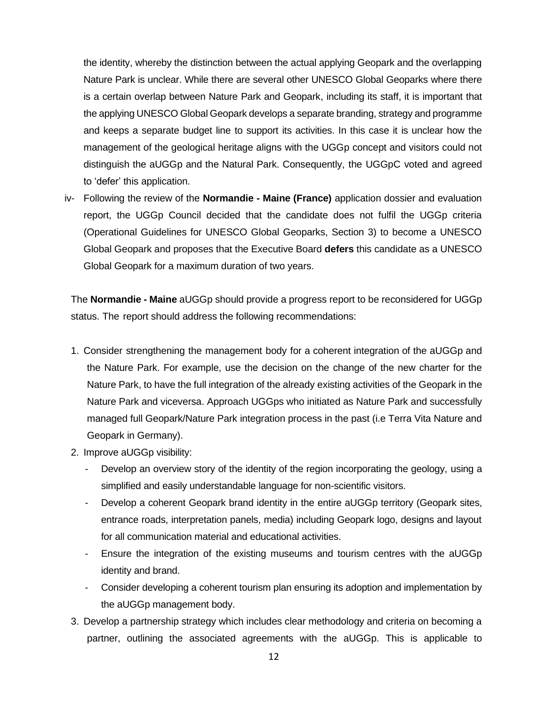the identity, whereby the distinction between the actual applying Geopark and the overlapping Nature Park is unclear. While there are several other UNESCO Global Geoparks where there is a certain overlap between Nature Park and Geopark, including its staff, it is important that the applying UNESCO Global Geopark develops a separate branding, strategy and programme and keeps a separate budget line to support its activities. In this case it is unclear how the management of the geological heritage aligns with the UGGp concept and visitors could not distinguish the aUGGp and the Natural Park. Consequently, the UGGpC voted and agreed to 'defer' this application.

iv- Following the review of the **Normandie - Maine (France)** application dossier and evaluation report, the UGGp Council decided that the candidate does not fulfil the UGGp criteria (Operational Guidelines for UNESCO Global Geoparks, Section 3) to become a UNESCO Global Geopark and proposes that the Executive Board **defers** this candidate as a UNESCO Global Geopark for a maximum duration of two years.

The **Normandie - Maine** aUGGp should provide a progress report to be reconsidered for UGGp status. The report should address the following recommendations:

- 1. Consider strengthening the management body for a coherent integration of the aUGGp and the Nature Park. For example, use the decision on the change of the new charter for the Nature Park, to have the full integration of the already existing activities of the Geopark in the Nature Park and viceversa. Approach UGGps who initiated as Nature Park and successfully managed full Geopark/Nature Park integration process in the past (i.e Terra Vita Nature and Geopark in Germany).
- 2. Improve aUGGp visibility:
	- Develop an overview story of the identity of the region incorporating the geology, using a simplified and easily understandable language for non-scientific visitors.
	- Develop a coherent Geopark brand identity in the entire aUGGp territory (Geopark sites, entrance roads, interpretation panels, media) including Geopark logo, designs and layout for all communication material and educational activities.
	- Ensure the integration of the existing museums and tourism centres with the aUGGp identity and brand.
	- Consider developing a coherent tourism plan ensuring its adoption and implementation by the aUGGp management body.
- 3. Develop a partnership strategy which includes clear methodology and criteria on becoming a partner, outlining the associated agreements with the aUGGp. This is applicable to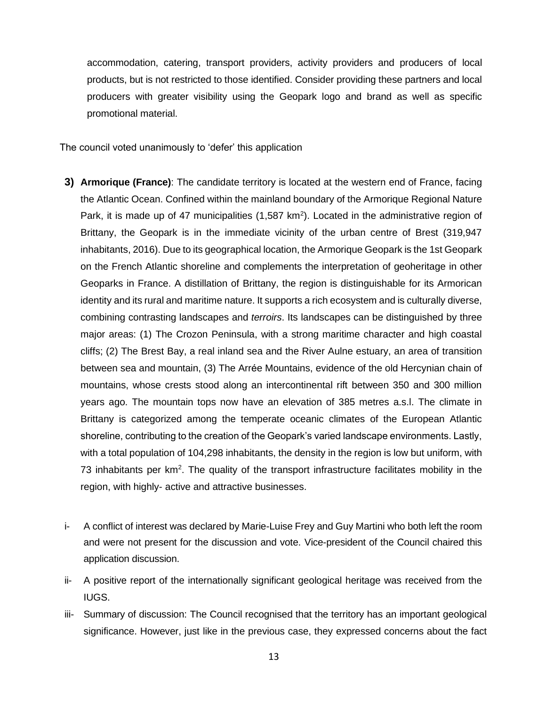accommodation, catering, transport providers, activity providers and producers of local products, but is not restricted to those identified. Consider providing these partners and local producers with greater visibility using the Geopark logo and brand as well as specific promotional material.

The council voted unanimously to 'defer' this application

- **3) Armorique (France)**: The candidate territory is located at the western end of France, facing the Atlantic Ocean. Confined within the mainland boundary of the Armorique Regional Nature Park, it is made up of 47 municipalities  $(1,587 \text{ km}^2)$ . Located in the administrative region of Brittany, the Geopark is in the immediate vicinity of the urban centre of Brest (319,947 inhabitants, 2016). Due to its geographical location, the Armorique Geopark is the 1st Geopark on the French Atlantic shoreline and complements the interpretation of geoheritage in other Geoparks in France. A distillation of Brittany, the region is distinguishable for its Armorican identity and its rural and maritime nature. It supports a rich ecosystem and is culturally diverse, combining contrasting landscapes and *terroirs*. Its landscapes can be distinguished by three major areas: (1) The Crozon Peninsula, with a strong maritime character and high coastal cliffs; (2) The Brest Bay, a real inland sea and the River Aulne estuary, an area of transition between sea and mountain, (3) The Arrée Mountains, evidence of the old Hercynian chain of mountains, whose crests stood along an intercontinental rift between 350 and 300 million years ago. The mountain tops now have an elevation of 385 metres a.s.l. The climate in Brittany is categorized among the temperate oceanic climates of the European Atlantic shoreline, contributing to the creation of the Geopark's varied landscape environments. Lastly, with a total population of 104,298 inhabitants, the density in the region is low but uniform, with 73 inhabitants per km<sup>2</sup>. The quality of the transport infrastructure facilitates mobility in the region, with highly- active and attractive businesses.
- i- A conflict of interest was declared by Marie-Luise Frey and Guy Martini who both left the room and were not present for the discussion and vote. Vice-president of the Council chaired this application discussion.
- ii- A positive report of the internationally significant geological heritage was received from the IUGS.
- iii- Summary of discussion: The Council recognised that the territory has an important geological significance. However, just like in the previous case, they expressed concerns about the fact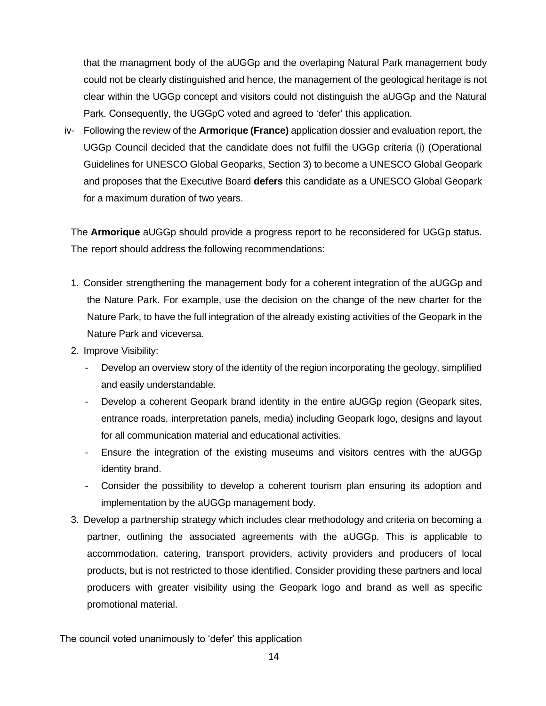that the managment body of the aUGGp and the overlaping Natural Park management body could not be clearly distinguished and hence, the management of the geological heritage is not clear within the UGGp concept and visitors could not distinguish the aUGGp and the Natural Park. Consequently, the UGGpC voted and agreed to 'defer' this application.

iv- Following the review of the **Armorique (France)** application dossier and evaluation report, the UGGp Council decided that the candidate does not fulfil the UGGp criteria (i) (Operational Guidelines for UNESCO Global Geoparks, Section 3) to become a UNESCO Global Geopark and proposes that the Executive Board **defers** this candidate as a UNESCO Global Geopark for a maximum duration of two years.

The **Armorique** aUGGp should provide a progress report to be reconsidered for UGGp status. The report should address the following recommendations:

- 1. Consider strengthening the management body for a coherent integration of the aUGGp and the Nature Park. For example, use the decision on the change of the new charter for the Nature Park, to have the full integration of the already existing activities of the Geopark in the Nature Park and viceversa.
- 2. Improve Visibility:
	- Develop an overview story of the identity of the region incorporating the geology, simplified and easily understandable.
	- Develop a coherent Geopark brand identity in the entire aUGGp region (Geopark sites, entrance roads, interpretation panels, media) including Geopark logo, designs and layout for all communication material and educational activities.
	- Ensure the integration of the existing museums and visitors centres with the aUGGp identity brand.
	- Consider the possibility to develop a coherent tourism plan ensuring its adoption and implementation by the aUGGp management body.
- 3. Develop a partnership strategy which includes clear methodology and criteria on becoming a partner, outlining the associated agreements with the aUGGp. This is applicable to accommodation, catering, transport providers, activity providers and producers of local products, but is not restricted to those identified. Consider providing these partners and local producers with greater visibility using the Geopark logo and brand as well as specific promotional material.

The council voted unanimously to 'defer' this application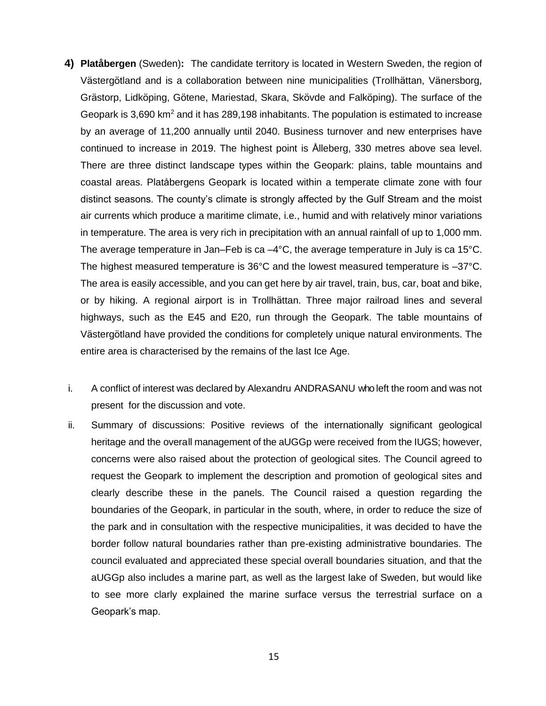- **4) Platåbergen** (Sweden)**:** The candidate territory is located in Western Sweden, the region of Västergötland and is a collaboration between nine municipalities (Trollhättan, Vänersborg, Grästorp, Lidköping, Götene, Mariestad, Skara, Skövde and Falköping). The surface of the Geopark is 3,690 km<sup>2</sup> and it has 289,198 inhabitants. The population is estimated to increase by an average of 11,200 annually until 2040. Business turnover and new enterprises have continued to increase in 2019. The highest point is Ålleberg, 330 metres above sea level. There are three distinct landscape types within the Geopark: plains, table mountains and coastal areas. Platåbergens Geopark is located within a temperate climate zone with four distinct seasons. The county's climate is strongly affected by the Gulf Stream and the moist air currents which produce a maritime climate, i.e., humid and with relatively minor variations in temperature. The area is very rich in precipitation with an annual rainfall of up to 1,000 mm. The average temperature in Jan–Feb is ca  $-4^{\circ}$ C, the average temperature in July is ca 15 $^{\circ}$ C. The highest measured temperature is  $36^{\circ}$ C and the lowest measured temperature is  $-37^{\circ}$ C. The area is easily accessible, and you can get here by air travel, train, bus, car, boat and bike, or by hiking. A regional airport is in Trollhättan. Three major railroad lines and several highways, such as the E45 and E20, run through the Geopark. The table mountains of Västergötland have provided the conditions for completely unique natural environments. The entire area is characterised by the remains of the last Ice Age.
- i. A conflict of interest was declared by Alexandru ANDRASANU who left the room and was not present for the discussion and vote.
- ii. Summary of discussions: Positive reviews of the internationally significant geological heritage and the overall management of the aUGGp were received from the IUGS; however, concerns were also raised about the protection of geological sites. The Council agreed to request the Geopark to implement the description and promotion of geological sites and clearly describe these in the panels. The Council raised a question regarding the boundaries of the Geopark, in particular in the south, where, in order to reduce the size of the park and in consultation with the respective municipalities, it was decided to have the border follow natural boundaries rather than pre-existing administrative boundaries. The council evaluated and appreciated these special overall boundaries situation, and that the aUGGp also includes a marine part, as well as the largest lake of Sweden, but would like to see more clarly explained the marine surface versus the terrestrial surface on a Geopark's map.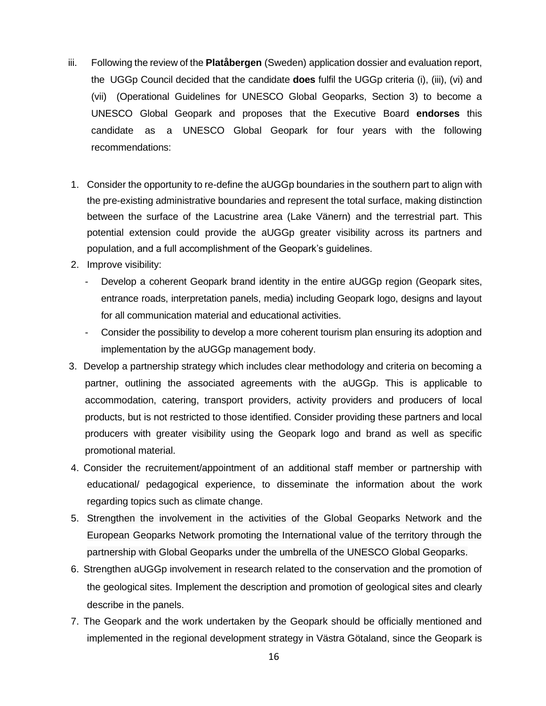- iii. Following the review of the **Platåbergen** (Sweden) application dossier and evaluation report, the UGGp Council decided that the candidate **does** fulfil the UGGp criteria (i), (iii), (vi) and (vii) (Operational Guidelines for UNESCO Global Geoparks, Section 3) to become a UNESCO Global Geopark and proposes that the Executive Board **endorses** this candidate as a UNESCO Global Geopark for four years with the following recommendations:
- 1. Consider the opportunity to re-define the aUGGp boundaries in the southern part to align with the pre-existing administrative boundaries and represent the total surface, making distinction between the surface of the Lacustrine area (Lake Vänern) and the terrestrial part. This potential extension could provide the aUGGp greater visibility across its partners and population, and a full accomplishment of the Geopark's guidelines.
- 2. Improve visibility:
	- Develop a coherent Geopark brand identity in the entire aUGGp region (Geopark sites, entrance roads, interpretation panels, media) including Geopark logo, designs and layout for all communication material and educational activities.
	- Consider the possibility to develop a more coherent tourism plan ensuring its adoption and implementation by the aUGGp management body.
- 3. Develop a partnership strategy which includes clear methodology and criteria on becoming a partner, outlining the associated agreements with the aUGGp. This is applicable to accommodation, catering, transport providers, activity providers and producers of local products, but is not restricted to those identified. Consider providing these partners and local producers with greater visibility using the Geopark logo and brand as well as specific promotional material.
- 4. Consider the recruitement/appointment of an additional staff member or partnership with educational/ pedagogical experience, to disseminate the information about the work regarding topics such as climate change.
- 5. Strengthen the involvement in the activities of the Global Geoparks Network and the European Geoparks Network promoting the International value of the territory through the partnership with Global Geoparks under the umbrella of the UNESCO Global Geoparks.
- 6. Strengthen aUGGp involvement in research related to the conservation and the promotion of the geological sites. Implement the description and promotion of geological sites and clearly describe in the panels.
- 7. The Geopark and the work undertaken by the Geopark should be officially mentioned and implemented in the regional development strategy in Västra Götaland, since the Geopark is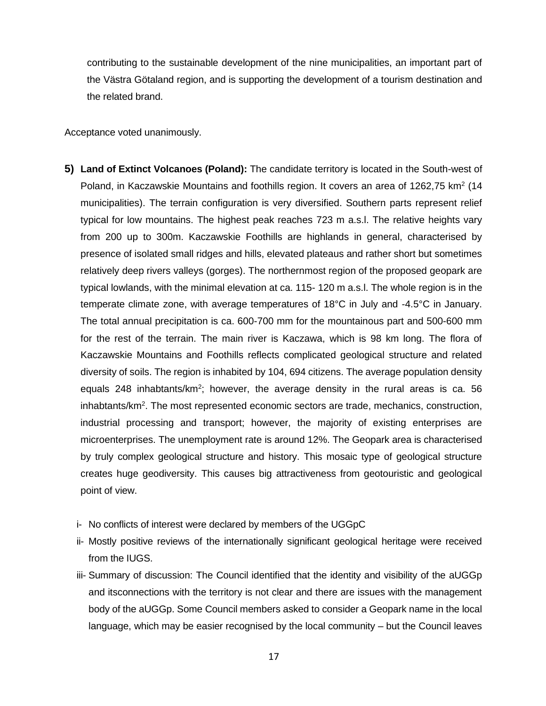contributing to the sustainable development of the nine municipalities, an important part of the Västra Götaland region, and is supporting the development of a tourism destination and the related brand.

Acceptance voted unanimously.

- **5) Land of Extinct Volcanoes (Poland):** The candidate territory is located in the South-west of Poland, in Kaczawskie Mountains and foothills region. It covers an area of 1262,75  $km^2$  (14 municipalities). The terrain configuration is very diversified. Southern parts represent relief typical for low mountains. The highest peak reaches 723 m a.s.l. The relative heights vary from 200 up to 300m. Kaczawskie Foothills are highlands in general, characterised by presence of isolated small ridges and hills, elevated plateaus and rather short but sometimes relatively deep rivers valleys (gorges). The northernmost region of the proposed geopark are typical lowlands, with the minimal elevation at ca. 115- 120 m a.s.l. The whole region is in the temperate climate zone, with average temperatures of 18°C in July and -4.5°C in January. The total annual precipitation is ca. 600-700 mm for the mountainous part and 500-600 mm for the rest of the terrain. The main river is Kaczawa, which is 98 km long. The flora of Kaczawskie Mountains and Foothills reflects complicated geological structure and related diversity of soils. The region is inhabited by 104, 694 citizens. The average population density equals 248 inhabtants/km<sup>2</sup>; however, the average density in the rural areas is ca. 56 inhabtants/km<sup>2</sup>. The most represented economic sectors are trade, mechanics, construction, industrial processing and transport; however, the majority of existing enterprises are microenterprises. The unemployment rate is around 12%. The Geopark area is characterised by truly complex geological structure and history. This mosaic type of geological structure creates huge geodiversity. This causes big attractiveness from geotouristic and geological point of view.
	- i- No conflicts of interest were declared by members of the UGGpC
	- ii- Mostly positive reviews of the internationally significant geological heritage were received from the IUGS.
	- iii- Summary of discussion: The Council identified that the identity and visibility of the aUGGp and itsconnections with the territory is not clear and there are issues with the management body of the aUGGp. Some Council members asked to consider a Geopark name in the local language, which may be easier recognised by the local community – but the Council leaves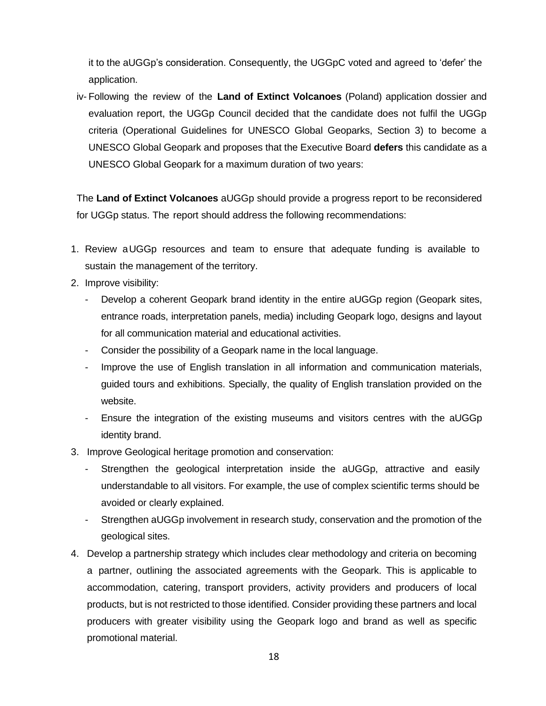it to the aUGGp's consideration. Consequently, the UGGpC voted and agreed to 'defer' the application.

iv- Following the review of the **Land of Extinct Volcanoes** (Poland) application dossier and evaluation report, the UGGp Council decided that the candidate does not fulfil the UGGp criteria (Operational Guidelines for UNESCO Global Geoparks, Section 3) to become a UNESCO Global Geopark and proposes that the Executive Board **defers** this candidate as a UNESCO Global Geopark for a maximum duration of two years:

The **Land of Extinct Volcanoes** aUGGp should provide a progress report to be reconsidered for UGGp status. The report should address the following recommendations:

- 1. Review aUGGp resources and team to ensure that adequate funding is available to sustain the management of the territory.
- 2. Improve visibility:
	- Develop a coherent Geopark brand identity in the entire aUGGp region (Geopark sites, entrance roads, interpretation panels, media) including Geopark logo, designs and layout for all communication material and educational activities.
	- Consider the possibility of a Geopark name in the local language.
	- Improve the use of English translation in all information and communication materials, guided tours and exhibitions. Specially, the quality of English translation provided on the website.
	- Ensure the integration of the existing museums and visitors centres with the aUGGp identity brand.
- 3. Improve Geological heritage promotion and conservation:
	- Strengthen the geological interpretation inside the aUGGp, attractive and easily understandable to all visitors. For example, the use of complex scientific terms should be avoided or clearly explained.
	- Strengthen aUGGp involvement in research study, conservation and the promotion of the geological sites.
- 4. Develop a partnership strategy which includes clear methodology and criteria on becoming a partner, outlining the associated agreements with the Geopark. This is applicable to accommodation, catering, transport providers, activity providers and producers of local products, but is not restricted to those identified. Consider providing these partners and local producers with greater visibility using the Geopark logo and brand as well as specific promotional material.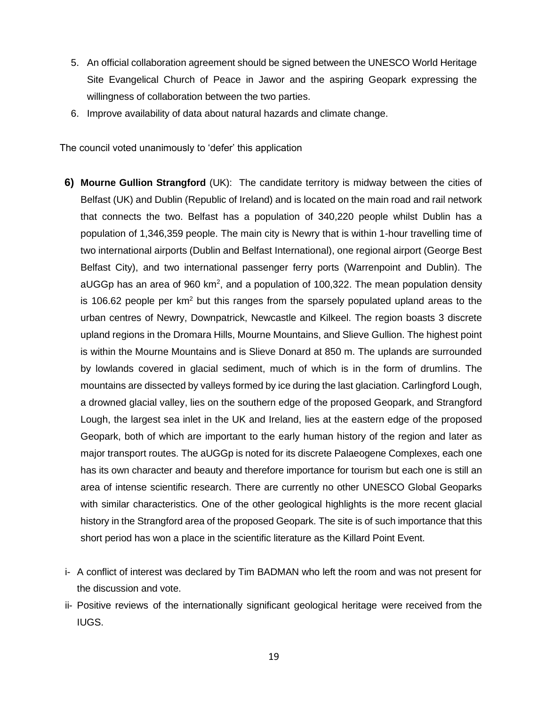- 5. An official collaboration agreement should be signed between the UNESCO World Heritage Site Evangelical Church of Peace in Jawor and the aspiring Geopark expressing the willingness of collaboration between the two parties.
- 6. Improve availability of data about natural hazards and climate change.

The council voted unanimously to 'defer' this application

- **6) Mourne Gullion Strangford** (UK): The candidate territory is midway between the cities of Belfast (UK) and Dublin (Republic of Ireland) and is located on the main road and rail network that connects the two. Belfast has a population of 340,220 people whilst Dublin has a population of 1,346,359 people. The main city is Newry that is within 1-hour travelling time of two international airports (Dublin and Belfast International), one regional airport (George Best Belfast City), and two international passenger ferry ports (Warrenpoint and Dublin). The aUGGp has an area of 960 km<sup>2</sup>, and a population of 100,322. The mean population density is 106.62 people per  $km^2$  but this ranges from the sparsely populated upland areas to the urban centres of Newry, Downpatrick, Newcastle and Kilkeel. The region boasts 3 discrete upland regions in the Dromara Hills, Mourne Mountains, and Slieve Gullion. The highest point is within the Mourne Mountains and is Slieve Donard at 850 m. The uplands are surrounded by lowlands covered in glacial sediment, much of which is in the form of drumlins. The mountains are dissected by valleys formed by ice during the last glaciation. Carlingford Lough, a drowned glacial valley, lies on the southern edge of the proposed Geopark, and Strangford Lough, the largest sea inlet in the UK and Ireland, lies at the eastern edge of the proposed Geopark, both of which are important to the early human history of the region and later as major transport routes. The aUGGp is noted for its discrete Palaeogene Complexes, each one has its own character and beauty and therefore importance for tourism but each one is still an area of intense scientific research. There are currently no other UNESCO Global Geoparks with similar characteristics. One of the other geological highlights is the more recent glacial history in the Strangford area of the proposed Geopark. The site is of such importance that this short period has won a place in the scientific literature as the Killard Point Event.
- i- A conflict of interest was declared by Tim BADMAN who left the room and was not present for the discussion and vote.
- ii- Positive reviews of the internationally significant geological heritage were received from the IUGS.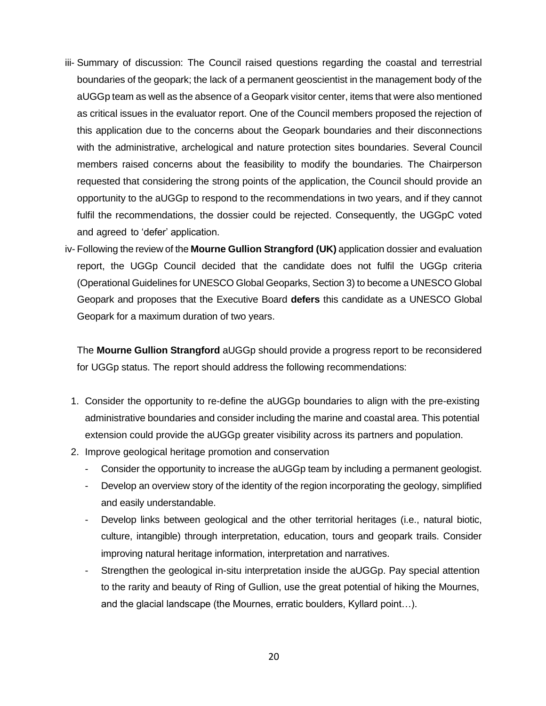- iii- Summary of discussion: The Council raised questions regarding the coastal and terrestrial boundaries of the geopark; the lack of a permanent geoscientist in the management body of the aUGGp team as well as the absence of a Geopark visitor center, items that were also mentioned as critical issues in the evaluator report. One of the Council members proposed the rejection of this application due to the concerns about the Geopark boundaries and their disconnections with the administrative, archelogical and nature protection sites boundaries. Several Council members raised concerns about the feasibility to modify the boundaries. The Chairperson requested that considering the strong points of the application, the Council should provide an opportunity to the aUGGp to respond to the recommendations in two years, and if they cannot fulfil the recommendations, the dossier could be rejected. Consequently, the UGGpC voted and agreed to 'defer' application.
- iv- Following the review of the **Mourne Gullion Strangford (UK)** application dossier and evaluation report, the UGGp Council decided that the candidate does not fulfil the UGGp criteria (Operational Guidelines for UNESCO Global Geoparks, Section 3) to become a UNESCO Global Geopark and proposes that the Executive Board **defers** this candidate as a UNESCO Global Geopark for a maximum duration of two years.

The **Mourne Gullion Strangford** aUGGp should provide a progress report to be reconsidered for UGGp status. The report should address the following recommendations:

- 1. Consider the opportunity to re-define the aUGGp boundaries to align with the pre-existing administrative boundaries and consider including the marine and coastal area. This potential extension could provide the aUGGp greater visibility across its partners and population.
- 2. Improve geological heritage promotion and conservation
	- Consider the opportunity to increase the aUGGp team by including a permanent geologist.
	- Develop an overview story of the identity of the region incorporating the geology, simplified and easily understandable.
	- Develop links between geological and the other territorial heritages (i.e., natural biotic, culture, intangible) through interpretation, education, tours and geopark trails. Consider improving natural heritage information, interpretation and narratives.
	- Strengthen the geological in-situ interpretation inside the aUGGp. Pay special attention to the rarity and beauty of Ring of Gullion, use the great potential of hiking the Mournes, and the glacial landscape (the Mournes, erratic boulders, Kyllard point…).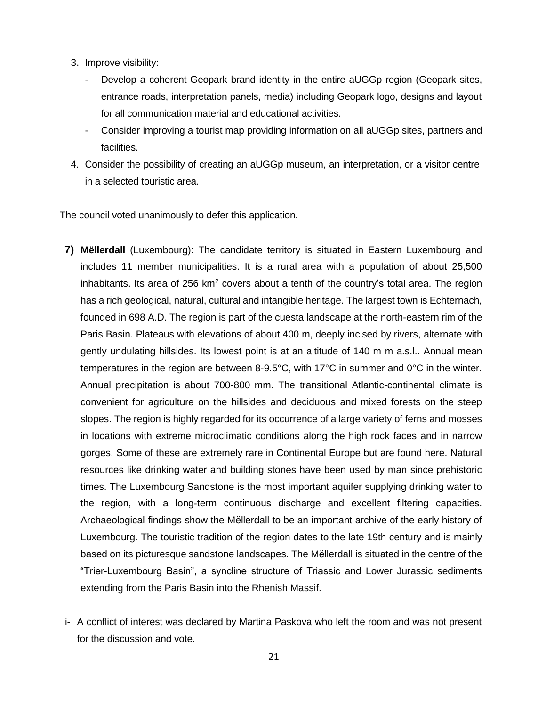- 3. Improve visibility:
	- Develop a coherent Geopark brand identity in the entire aUGGp region (Geopark sites, entrance roads, interpretation panels, media) including Geopark logo, designs and layout for all communication material and educational activities.
	- Consider improving a tourist map providing information on all aUGGp sites, partners and facilities.
- 4. Consider the possibility of creating an aUGGp museum, an interpretation, or a visitor centre in a selected touristic area.

The council voted unanimously to defer this application.

- **7) Mëllerdall** (Luxembourg): The candidate territory is situated in Eastern Luxembourg and includes 11 member municipalities. It is a rural area with a population of about 25,500 inhabitants. Its area of 256  $km^2$  covers about a tenth of the country's total area. The region has a rich geological, natural, cultural and intangible heritage. The largest town is Echternach, founded in 698 A.D. The region is part of the cuesta landscape at the north-eastern rim of the Paris Basin. Plateaus with elevations of about 400 m, deeply incised by rivers, alternate with gently undulating hillsides. Its lowest point is at an altitude of 140 m m a.s.l.. Annual mean temperatures in the region are between 8-9.5°C, with 17°C in summer and 0°C in the winter. Annual precipitation is about 700-800 mm. The transitional Atlantic-continental climate is convenient for agriculture on the hillsides and deciduous and mixed forests on the steep slopes. The region is highly regarded for its occurrence of a large variety of ferns and mosses in locations with extreme microclimatic conditions along the high rock faces and in narrow gorges. Some of these are extremely rare in Continental Europe but are found here. Natural resources like drinking water and building stones have been used by man since prehistoric times. The Luxembourg Sandstone is the most important aquifer supplying drinking water to the region, with a long-term continuous discharge and excellent filtering capacities. Archaeological findings show the Mëllerdall to be an important archive of the early history of Luxembourg. The touristic tradition of the region dates to the late 19th century and is mainly based on its picturesque sandstone landscapes. The Mëllerdall is situated in the centre of the "Trier-Luxembourg Basin", a syncline structure of Triassic and Lower Jurassic sediments extending from the Paris Basin into the Rhenish Massif.
- i- A conflict of interest was declared by Martina Paskova who left the room and was not present for the discussion and vote.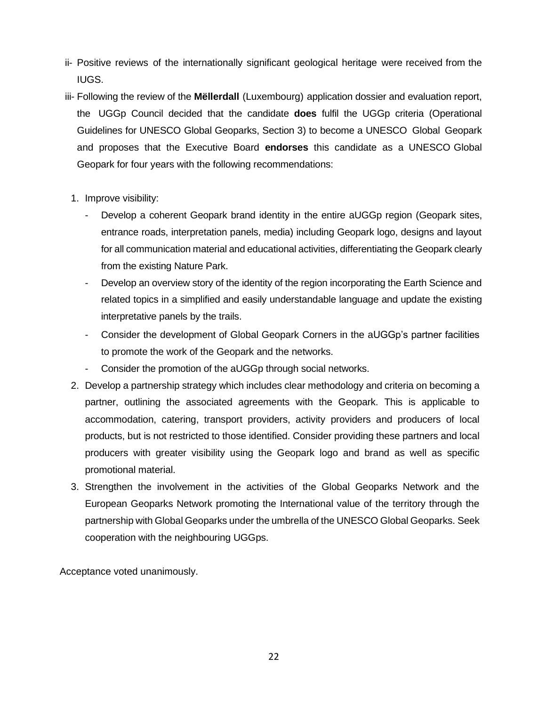- ii- Positive reviews of the internationally significant geological heritage were received from the IUGS.
- iii- Following the review of the **Mëllerdall** (Luxembourg) application dossier and evaluation report, the UGGp Council decided that the candidate **does** fulfil the UGGp criteria (Operational Guidelines for UNESCO Global Geoparks, Section 3) to become a UNESCO Global Geopark and proposes that the Executive Board **endorses** this candidate as a UNESCO Global Geopark for four years with the following recommendations:
	- 1. Improve visibility:
		- Develop a coherent Geopark brand identity in the entire aUGGp region (Geopark sites, entrance roads, interpretation panels, media) including Geopark logo, designs and layout for all communication material and educational activities, differentiating the Geopark clearly from the existing Nature Park.
		- Develop an overview story of the identity of the region incorporating the Earth Science and related topics in a simplified and easily understandable language and update the existing interpretative panels by the trails.
		- Consider the development of Global Geopark Corners in the aUGGp's partner facilities to promote the work of the Geopark and the networks.
		- Consider the promotion of the aUGGp through social networks.
	- 2. Develop a partnership strategy which includes clear methodology and criteria on becoming a partner, outlining the associated agreements with the Geopark. This is applicable to accommodation, catering, transport providers, activity providers and producers of local products, but is not restricted to those identified. Consider providing these partners and local producers with greater visibility using the Geopark logo and brand as well as specific promotional material.
	- 3. Strengthen the involvement in the activities of the Global Geoparks Network and the European Geoparks Network promoting the International value of the territory through the partnership with Global Geoparks under the umbrella of the UNESCO Global Geoparks. Seek cooperation with the neighbouring UGGps.

Acceptance voted unanimously.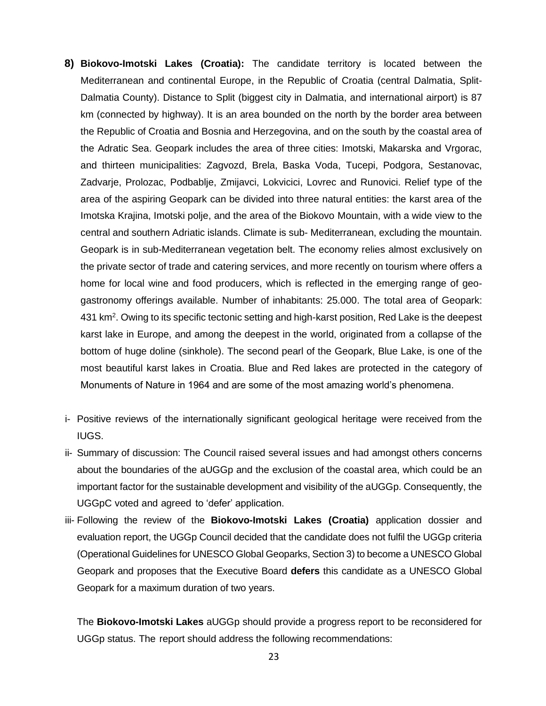- **8) Biokovo-Imotski Lakes (Croatia):** The candidate territory is located between the Mediterranean and continental Europe, in the Republic of Croatia (central Dalmatia, Split-Dalmatia County). Distance to Split (biggest city in Dalmatia, and international airport) is 87 km (connected by highway). It is an area bounded on the north by the border area between the Republic of Croatia and Bosnia and Herzegovina, and on the south by the coastal area of the Adratic Sea. Geopark includes the area of three cities: Imotski, Makarska and Vrgorac, and thirteen municipalities: Zagvozd, Brela, Baska Voda, Tucepi, Podgora, Sestanovac, Zadvarje, Prolozac, Podbablje, Zmijavci, Lokvicici, Lovrec and Runovici. Relief type of the area of the aspiring Geopark can be divided into three natural entities: the karst area of the Imotska Krajina, Imotski polje, and the area of the Biokovo Mountain, with a wide view to the central and southern Adriatic islands. Climate is sub- Mediterranean, excluding the mountain. Geopark is in sub-Mediterranean vegetation belt. The economy relies almost exclusively on the private sector of trade and catering services, and more recently on tourism where offers a home for local wine and food producers, which is reflected in the emerging range of geogastronomy offerings available. Number of inhabitants: 25.000. The total area of Geopark: 431 km<sup>2</sup>. Owing to its specific tectonic setting and high-karst position, Red Lake is the deepest karst lake in Europe, and among the deepest in the world, originated from a collapse of the bottom of huge doline (sinkhole). The second pearl of the Geopark, Blue Lake, is one of the most beautiful karst lakes in Croatia. Blue and Red lakes are protected in the category of Monuments of Nature in 1964 and are some of the most amazing world's phenomena.
- i- Positive reviews of the internationally significant geological heritage were received from the IUGS.
- ii- Summary of discussion: The Council raised several issues and had amongst others concerns about the boundaries of the aUGGp and the exclusion of the coastal area, which could be an important factor for the sustainable development and visibility of the aUGGp. Consequently, the UGGpC voted and agreed to 'defer' application.
- iii- Following the review of the **Biokovo-Imotski Lakes (Croatia)** application dossier and evaluation report, the UGGp Council decided that the candidate does not fulfil the UGGp criteria (Operational Guidelines for UNESCO Global Geoparks, Section 3) to become a UNESCO Global Geopark and proposes that the Executive Board **defers** this candidate as a UNESCO Global Geopark for a maximum duration of two years.

The **Biokovo-Imotski Lakes** aUGGp should provide a progress report to be reconsidered for UGGp status. The report should address the following recommendations: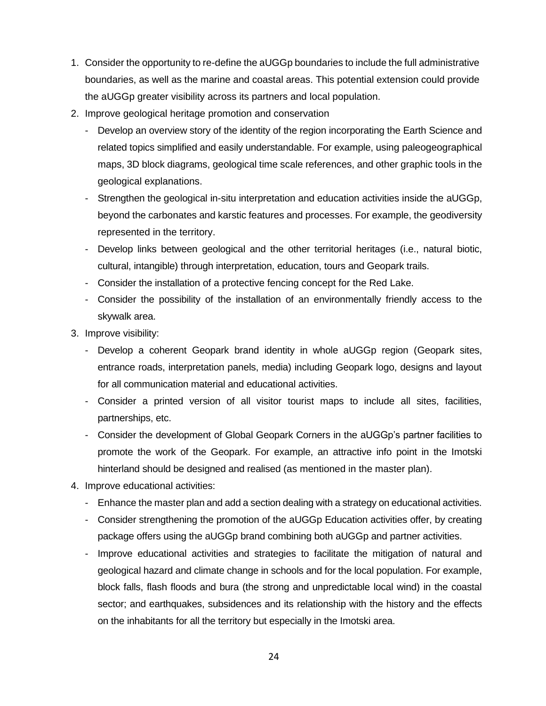- 1. Consider the opportunity to re-define the aUGGp boundaries to include the full administrative boundaries, as well as the marine and coastal areas. This potential extension could provide the aUGGp greater visibility across its partners and local population.
- 2. Improve geological heritage promotion and conservation
	- Develop an overview story of the identity of the region incorporating the Earth Science and related topics simplified and easily understandable. For example, using paleogeographical maps, 3D block diagrams, geological time scale references, and other graphic tools in the geological explanations.
	- Strengthen the geological in-situ interpretation and education activities inside the aUGGp, beyond the carbonates and karstic features and processes. For example, the geodiversity represented in the territory.
	- Develop links between geological and the other territorial heritages (i.e., natural biotic, cultural, intangible) through interpretation, education, tours and Geopark trails.
	- Consider the installation of a protective fencing concept for the Red Lake.
	- Consider the possibility of the installation of an environmentally friendly access to the skywalk area.
- 3. Improve visibility:
	- Develop a coherent Geopark brand identity in whole aUGGp region (Geopark sites, entrance roads, interpretation panels, media) including Geopark logo, designs and layout for all communication material and educational activities.
	- Consider a printed version of all visitor tourist maps to include all sites, facilities, partnerships, etc.
	- Consider the development of Global Geopark Corners in the aUGGp's partner facilities to promote the work of the Geopark. For example, an attractive info point in the Imotski hinterland should be designed and realised (as mentioned in the master plan).
- 4. Improve educational activities:
	- Enhance the master plan and add a section dealing with a strategy on educational activities.
	- Consider strengthening the promotion of the aUGGp Education activities offer, by creating package offers using the aUGGp brand combining both aUGGp and partner activities.
	- Improve educational activities and strategies to facilitate the mitigation of natural and geological hazard and climate change in schools and for the local population. For example, block falls, flash floods and bura (the strong and unpredictable local wind) in the coastal sector; and earthquakes, subsidences and its relationship with the history and the effects on the inhabitants for all the territory but especially in the Imotski area.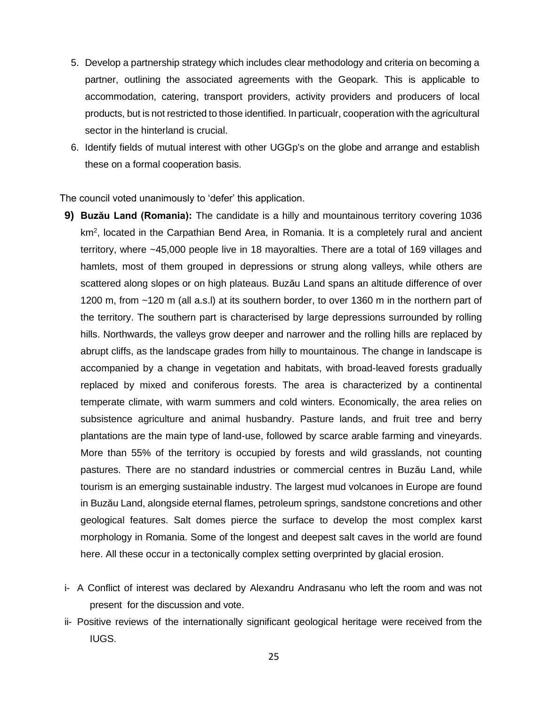- 5. Develop a partnership strategy which includes clear methodology and criteria on becoming a partner, outlining the associated agreements with the Geopark. This is applicable to accommodation, catering, transport providers, activity providers and producers of local products, but is not restricted to those identified. In particualr, cooperation with the agricultural sector in the hinterland is crucial.
- 6. Identify fields of mutual interest with other UGGp's on the globe and arrange and establish these on a formal cooperation basis.

The council voted unanimously to 'defer' this application.

- **9) Buzău Land (Romania):** The candidate is a hilly and mountainous territory covering 1036 km<sup>2</sup>, located in the Carpathian Bend Area, in Romania. It is a completely rural and ancient territory, where ~45,000 people live in 18 mayoralties. There are a total of 169 villages and hamlets, most of them grouped in depressions or strung along valleys, while others are scattered along slopes or on high plateaus. Buzău Land spans an altitude difference of over 1200 m, from ~120 m (all a.s.l) at its southern border, to over 1360 m in the northern part of the territory. The southern part is characterised by large depressions surrounded by rolling hills. Northwards, the valleys grow deeper and narrower and the rolling hills are replaced by abrupt cliffs, as the landscape grades from hilly to mountainous. The change in landscape is accompanied by a change in vegetation and habitats, with broad-leaved forests gradually replaced by mixed and coniferous forests. The area is characterized by a continental temperate climate, with warm summers and cold winters. Economically, the area relies on subsistence agriculture and animal husbandry. Pasture lands, and fruit tree and berry plantations are the main type of land-use, followed by scarce arable farming and vineyards. More than 55% of the territory is occupied by forests and wild grasslands, not counting pastures. There are no standard industries or commercial centres in Buzău Land, while tourism is an emerging sustainable industry. The largest mud volcanoes in Europe are found in Buzău Land, alongside eternal flames, petroleum springs, sandstone concretions and other geological features. Salt domes pierce the surface to develop the most complex karst morphology in Romania. Some of the longest and deepest salt caves in the world are found here. All these occur in a tectonically complex setting overprinted by glacial erosion.
- i- A Conflict of interest was declared by Alexandru Andrasanu who left the room and was not present for the discussion and vote.
- ii- Positive reviews of the internationally significant geological heritage were received from the IUGS.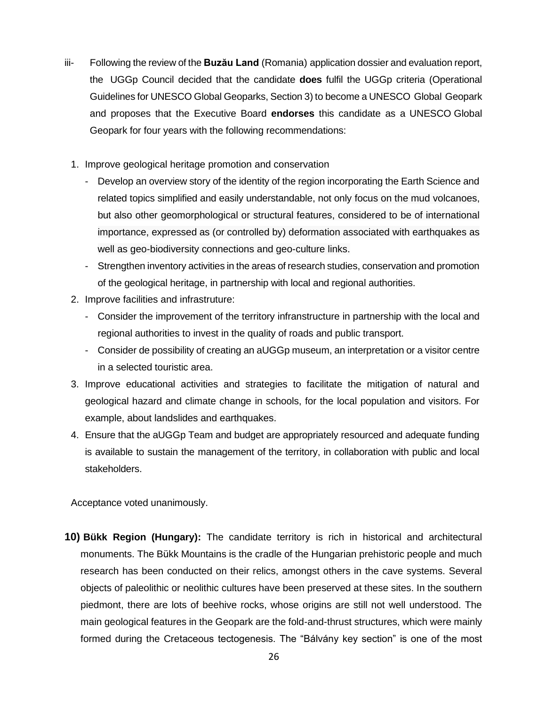- iii- Following the review of the **Buzău Land** (Romania) application dossier and evaluation report, the UGGp Council decided that the candidate **does** fulfil the UGGp criteria (Operational Guidelines for UNESCO Global Geoparks, Section 3) to become a UNESCO Global Geopark and proposes that the Executive Board **endorses** this candidate as a UNESCO Global Geopark for four years with the following recommendations:
	- 1. Improve geological heritage promotion and conservation
		- Develop an overview story of the identity of the region incorporating the Earth Science and related topics simplified and easily understandable, not only focus on the mud volcanoes, but also other geomorphological or structural features, considered to be of international importance, expressed as (or controlled by) deformation associated with earthquakes as well as geo-biodiversity connections and geo-culture links.
		- Strengthen inventory activities in the areas of research studies, conservation and promotion of the geological heritage, in partnership with local and regional authorities.
	- 2. Improve facilities and infrastruture:
		- Consider the improvement of the territory infranstructure in partnership with the local and regional authorities to invest in the quality of roads and public transport.
		- Consider de possibility of creating an aUGGp museum, an interpretation or a visitor centre in a selected touristic area.
	- 3. Improve educational activities and strategies to facilitate the mitigation of natural and geological hazard and climate change in schools, for the local population and visitors. For example, about landslides and earthquakes.
	- 4. Ensure that the aUGGp Team and budget are appropriately resourced and adequate funding is available to sustain the management of the territory, in collaboration with public and local stakeholders.

Acceptance voted unanimously.

**10) Bükk Region (Hungary):** The candidate territory is rich in historical and architectural monuments. The Bükk Mountains is the cradle of the Hungarian prehistoric people and much research has been conducted on their relics, amongst others in the cave systems. Several objects of paleolithic or neolithic cultures have been preserved at these sites. In the southern piedmont, there are lots of beehive rocks, whose origins are still not well understood. The main geological features in the Geopark are the fold-and-thrust structures, which were mainly formed during the Cretaceous tectogenesis. The "Bálvány key section" is one of the most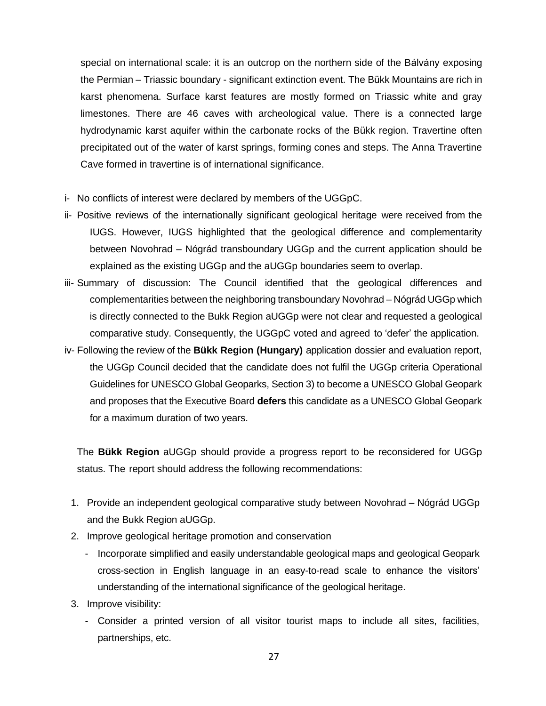special on international scale: it is an outcrop on the northern side of the Bálvány exposing the Permian – Triassic boundary - significant extinction event. The Bükk Mountains are rich in karst phenomena. Surface karst features are mostly formed on Triassic white and gray limestones. There are 46 caves with archeological value. There is a connected large hydrodynamic karst aquifer within the carbonate rocks of the Bükk region. Travertine often precipitated out of the water of karst springs, forming cones and steps. The Anna Travertine Cave formed in travertine is of international significance.

- i- No conflicts of interest were declared by members of the UGGpC.
- ii- Positive reviews of the internationally significant geological heritage were received from the IUGS. However, IUGS highlighted that the geological difference and complementarity between Novohrad – Nógrád transboundary UGGp and the current application should be explained as the existing UGGp and the aUGGp boundaries seem to overlap.
- iii- Summary of discussion: The Council identified that the geological differences and complementarities between the neighboring transboundary Novohrad – Nógrád UGGp which is directly connected to the Bukk Region aUGGp were not clear and requested a geological comparative study. Consequently, the UGGpC voted and agreed to 'defer' the application.
- iv- Following the review of the **Bükk Region (Hungary)** application dossier and evaluation report, the UGGp Council decided that the candidate does not fulfil the UGGp criteria Operational Guidelines for UNESCO Global Geoparks, Section 3) to become a UNESCO Global Geopark and proposes that the Executive Board **defers** this candidate as a UNESCO Global Geopark for a maximum duration of two years.

The **Bükk Region** aUGGp should provide a progress report to be reconsidered for UGGp status. The report should address the following recommendations:

- 1. Provide an independent geological comparative study between Novohrad Nógrád UGGp and the Bukk Region aUGGp.
- 2. Improve geological heritage promotion and conservation
	- Incorporate simplified and easily understandable geological maps and geological Geopark cross-section in English language in an easy-to-read scale to enhance the visitors' understanding of the international significance of the geological heritage.
- 3. Improve visibility:
	- Consider a printed version of all visitor tourist maps to include all sites, facilities, partnerships, etc.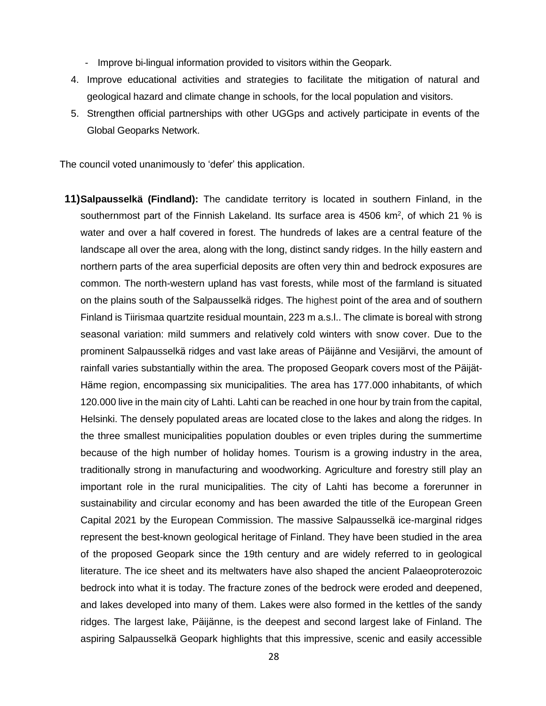- Improve bi-lingual information provided to visitors within the Geopark.
- 4. Improve educational activities and strategies to facilitate the mitigation of natural and geological hazard and climate change in schools, for the local population and visitors.
- 5. Strengthen official partnerships with other UGGps and actively participate in events of the Global Geoparks Network.

The council voted unanimously to 'defer' this application.

**11)Salpausselkä (Findland):** The candidate territory is located in southern Finland, in the southernmost part of the Finnish Lakeland. Its surface area is 4506 km<sup>2</sup>, of which 21 % is water and over a half covered in forest. The hundreds of lakes are a central feature of the landscape all over the area, along with the long, distinct sandy ridges. In the hilly eastern and northern parts of the area superficial deposits are often very thin and bedrock exposures are common. The north-western upland has vast forests, while most of the farmland is situated on the plains south of the Salpausselkä ridges. The highest point of the area and of southern Finland is Tiirismaa quartzite residual mountain, 223 m a.s.l.. The climate is boreal with strong seasonal variation: mild summers and relatively cold winters with snow cover. Due to the prominent Salpausselkä ridges and vast lake areas of Päijänne and Vesijärvi, the amount of rainfall varies substantially within the area. The proposed Geopark covers most of the Päijät-Häme region, encompassing six municipalities. The area has 177.000 inhabitants, of which 120.000 live in the main city of Lahti. Lahti can be reached in one hour by train from the capital, Helsinki. The densely populated areas are located close to the lakes and along the ridges. In the three smallest municipalities population doubles or even triples during the summertime because of the high number of holiday homes. Tourism is a growing industry in the area, traditionally strong in manufacturing and woodworking. Agriculture and forestry still play an important role in the rural municipalities. The city of Lahti has become a forerunner in sustainability and circular economy and has been awarded the title of the European Green Capital 2021 by the European Commission. The massive Salpausselkä ice-marginal ridges represent the best-known geological heritage of Finland. They have been studied in the area of the proposed Geopark since the 19th century and are widely referred to in geological literature. The ice sheet and its meltwaters have also shaped the ancient Palaeoproterozoic bedrock into what it is today. The fracture zones of the bedrock were eroded and deepened, and lakes developed into many of them. Lakes were also formed in the kettles of the sandy ridges. The largest lake, Päijänne, is the deepest and second largest lake of Finland. The aspiring Salpausselkä Geopark highlights that this impressive, scenic and easily accessible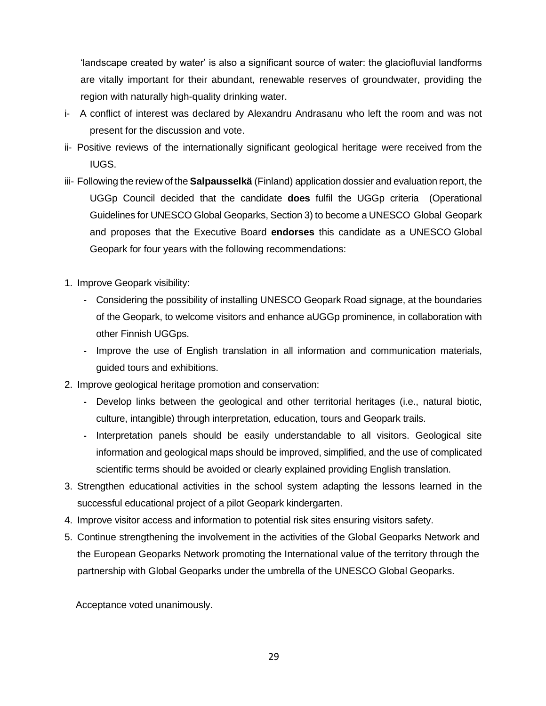'landscape created by water' is also a significant source of water: the glaciofluvial landforms are vitally important for their abundant, renewable reserves of groundwater, providing the region with naturally high-quality drinking water.

- i- A conflict of interest was declared by Alexandru Andrasanu who left the room and was not present for the discussion and vote.
- ii- Positive reviews of the internationally significant geological heritage were received from the IUGS.
- iii- Following the review of the **Salpausselkä** (Finland) application dossier and evaluation report, the UGGp Council decided that the candidate **does** fulfil the UGGp criteria (Operational Guidelines for UNESCO Global Geoparks, Section 3) to become a UNESCO Global Geopark and proposes that the Executive Board **endorses** this candidate as a UNESCO Global Geopark for four years with the following recommendations:
- 1. Improve Geopark visibility:
	- **-** Considering the possibility of installing UNESCO Geopark Road signage, at the boundaries of the Geopark, to welcome visitors and enhance aUGGp prominence, in collaboration with other Finnish UGGps.
	- **-** Improve the use of English translation in all information and communication materials, guided tours and exhibitions.
- 2. Improve geological heritage promotion and conservation:
	- **-** Develop links between the geological and other territorial heritages (i.e., natural biotic, culture, intangible) through interpretation, education, tours and Geopark trails.
	- **-** Interpretation panels should be easily understandable to all visitors. Geological site information and geological maps should be improved, simplified, and the use of complicated scientific terms should be avoided or clearly explained providing English translation.
- 3. Strengthen educational activities in the school system adapting the lessons learned in the successful educational project of a pilot Geopark kindergarten.
- 4. Improve visitor access and information to potential risk sites ensuring visitors safety.
- 5. Continue strengthening the involvement in the activities of the Global Geoparks Network and the European Geoparks Network promoting the International value of the territory through the partnership with Global Geoparks under the umbrella of the UNESCO Global Geoparks.

Acceptance voted unanimously.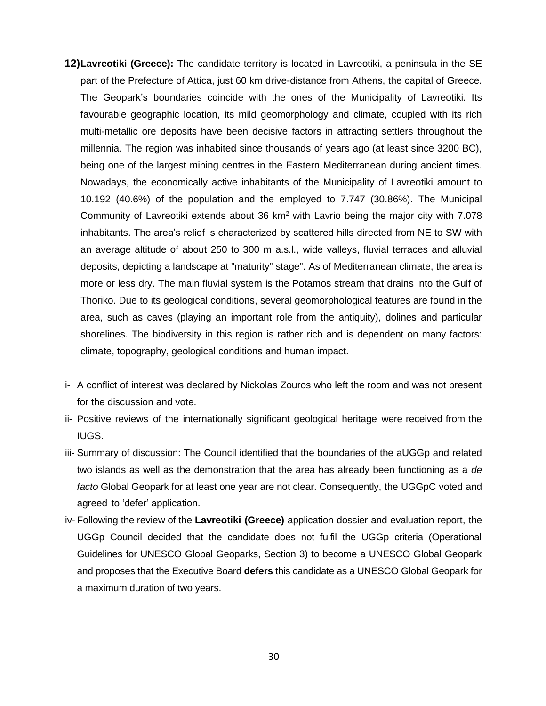- **12)Lavreotiki (Greece):** The candidate territory is located in Lavreotiki, a peninsula in the SE part of the Prefecture of Attica, just 60 km drive-distance from Athens, the capital of Greece. The Geopark's boundaries coincide with the ones of the Municipality of Lavreotiki. Its favourable geographic location, its mild geomorphology and climate, coupled with its rich multi-metallic ore deposits have been decisive factors in attracting settlers throughout the millennia. The region was inhabited since thousands of years ago (at least since 3200 BC), being one of the largest mining centres in the Eastern Mediterranean during ancient times. Nowadays, the economically active inhabitants of the Municipality of Lavreotiki amount to 10.192 (40.6%) of the population and the employed to 7.747 (30.86%). The Municipal Community of Lavreotiki extends about 36 km<sup>2</sup> with Lavrio being the major city with 7.078 inhabitants. The area's relief is characterized by scattered hills directed from NE to SW with an average altitude of about 250 to 300 m a.s.l., wide valleys, fluvial terraces and alluvial deposits, depicting a landscape at "maturity" stage". As of Mediterranean climate, the area is more or less dry. The main fluvial system is the Potamos stream that drains into the Gulf of Thoriko. Due to its geological conditions, several geomorphological features are found in the area, such as caves (playing an important role from the antiquity), dolines and particular shorelines. The biodiversity in this region is rather rich and is dependent on many factors: climate, topography, geological conditions and human impact.
- i- A conflict of interest was declared by Nickolas Zouros who left the room and was not present for the discussion and vote.
- ii- Positive reviews of the internationally significant geological heritage were received from the IUGS.
- iii- Summary of discussion: The Council identified that the boundaries of the aUGGp and related two islands as well as the demonstration that the area has already been functioning as a *de facto* Global Geopark for at least one year are not clear. Consequently, the UGGpC voted and agreed to 'defer' application.
- iv- Following the review of the **Lavreotiki (Greece)** application dossier and evaluation report, the UGGp Council decided that the candidate does not fulfil the UGGp criteria (Operational Guidelines for UNESCO Global Geoparks, Section 3) to become a UNESCO Global Geopark and proposes that the Executive Board **defers** this candidate as a UNESCO Global Geopark for a maximum duration of two years.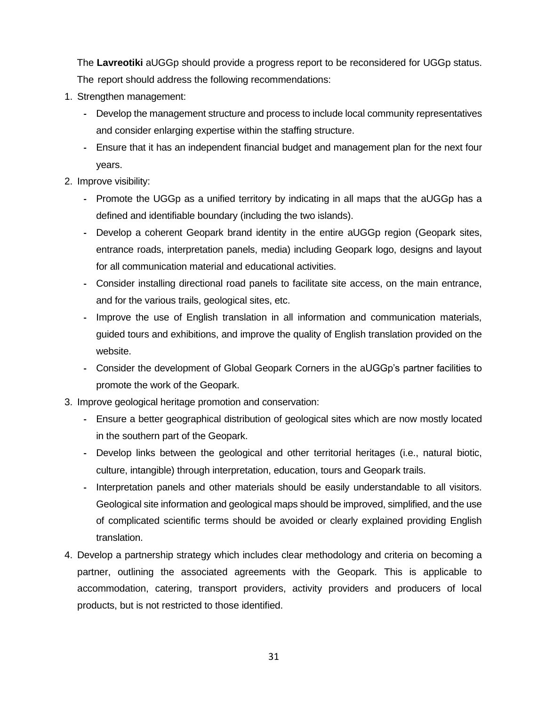The **Lavreotiki** aUGGp should provide a progress report to be reconsidered for UGGp status. The report should address the following recommendations:

- 1. Strengthen management:
	- **-** Develop the management structure and process to include local community representatives and consider enlarging expertise within the staffing structure.
	- **-** Ensure that it has an independent financial budget and management plan for the next four years.
- 2. Improve visibility:
	- **-** Promote the UGGp as a unified territory by indicating in all maps that the aUGGp has a defined and identifiable boundary (including the two islands).
	- **-** Develop a coherent Geopark brand identity in the entire aUGGp region (Geopark sites, entrance roads, interpretation panels, media) including Geopark logo, designs and layout for all communication material and educational activities.
	- **-** Consider installing directional road panels to facilitate site access, on the main entrance, and for the various trails, geological sites, etc.
	- **-** Improve the use of English translation in all information and communication materials, guided tours and exhibitions, and improve the quality of English translation provided on the website.
	- **-** Consider the development of Global Geopark Corners in the aUGGp's partner facilities to promote the work of the Geopark.
- 3. Improve geological heritage promotion and conservation:
	- **-** Ensure a better geographical distribution of geological sites which are now mostly located in the southern part of the Geopark.
	- **-** Develop links between the geological and other territorial heritages (i.e., natural biotic, culture, intangible) through interpretation, education, tours and Geopark trails.
	- **-** Interpretation panels and other materials should be easily understandable to all visitors. Geological site information and geological maps should be improved, simplified, and the use of complicated scientific terms should be avoided or clearly explained providing English translation.
- 4. Develop a partnership strategy which includes clear methodology and criteria on becoming a partner, outlining the associated agreements with the Geopark. This is applicable to accommodation, catering, transport providers, activity providers and producers of local products, but is not restricted to those identified.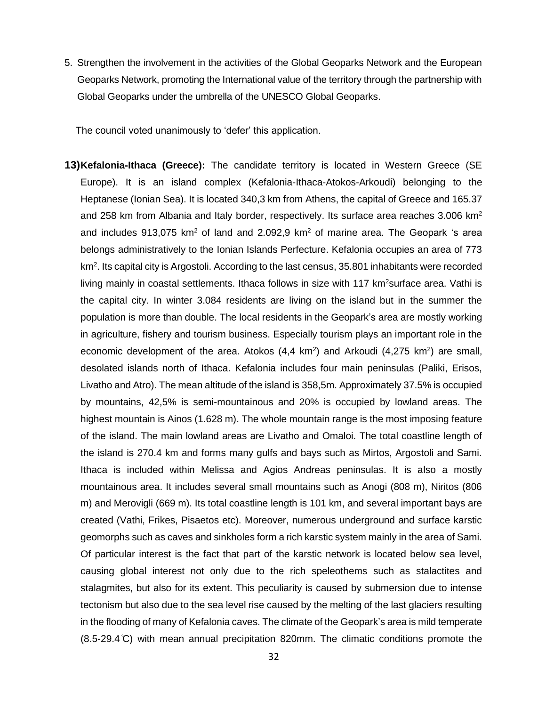5. Strengthen the involvement in the activities of the Global Geoparks Network and the European Geoparks Network, promoting the International value of the territory through the partnership with Global Geoparks under the umbrella of the UNESCO Global Geoparks.

The council voted unanimously to 'defer' this application.

**13)Kefalonia-Ithaca (Greece):** The candidate territory is located in Western Greece (SE Europe). It is an island complex (Kefalonia-Ithaca-Atokos-Arkoudi) belonging to the Heptanese (Ionian Sea). It is located 340,3 km from Athens, the capital of Greece and 165.37 and 258 km from Albania and Italy border, respectively. Its surface area reaches  $3.006 \text{ km}^2$ and includes  $913,075$  km<sup>2</sup> of land and 2.092,9 km<sup>2</sup> of marine area. The Geopark 's area belongs administratively to the Ionian Islands Perfecture. Kefalonia occupies an area of 773 km<sup>2</sup>. Its capital city is Argostoli. According to the last census, 35.801 inhabitants were recorded living mainly in coastal settlements. Ithaca follows in size with 117 km<sup>2</sup>surface area. Vathi is the capital city. In winter 3.084 residents are living on the island but in the summer the population is more than double. The local residents in the Geopark's area are mostly working in agriculture, fishery and tourism business. Especially tourism plays an important role in the economic development of the area. Atokos  $(4,4 \text{ km}^2)$  and Arkoudi  $(4,275 \text{ km}^2)$  are small, desolated islands north of Ithaca. Kefalonia includes four main peninsulas (Paliki, Erisos, Livatho and Atro). The mean altitude of the island is 358,5m. Approximately 37.5% is occupied by mountains, 42,5% is semi-mountainous and 20% is occupied by lowland areas. The highest mountain is Ainos (1.628 m). The whole mountain range is the most imposing feature of the island. The main lowland areas are Livatho and Omaloi. The total coastline length of the island is 270.4 km and forms many gulfs and bays such as Mirtos, Argostoli and Sami. Ithaca is included within Melissa and Agios Andreas peninsulas. It is also a mostly mountainous area. It includes several small mountains such as Anogi (808 m), Niritos (806 m) and Merovigli (669 m). Its total coastline length is 101 km, and several important bays are created (Vathi, Frikes, Pisaetos etc). Moreover, numerous underground and surface karstic geomorphs such as caves and sinkholes form a rich karstic system mainly in the area of Sami. Of particular interest is the fact that part of the karstic network is located below sea level, causing global interest not only due to the rich speleothems such as stalactites and stalagmites, but also for its extent. This peculiarity is caused by submersion due to intense tectonism but also due to the sea level rise caused by the melting of the last glaciers resulting in the flooding of many of Kefalonia caves. The climate of the Geopark's area is mild temperate (8.5-29.4 ̊C) with mean annual precipitation 820mm. The climatic conditions promote the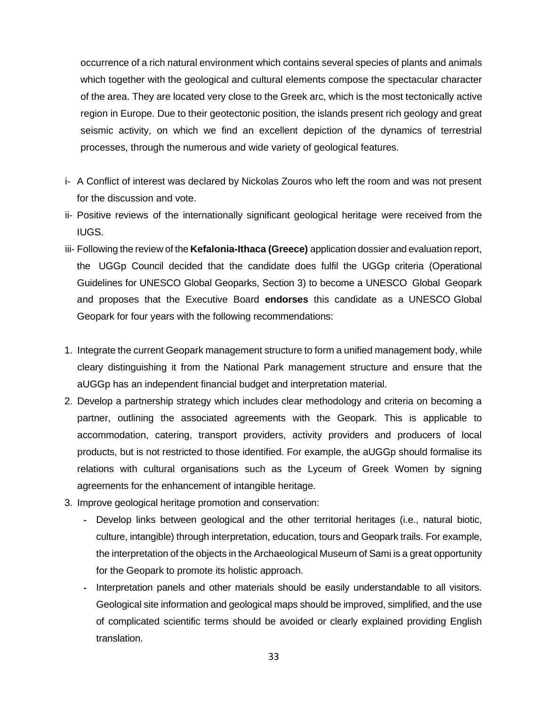occurrence of a rich natural environment which contains several species of plants and animals which together with the geological and cultural elements compose the spectacular character of the area. They are located very close to the Greek arc, which is the most tectonically active region in Europe. Due to their geotectonic position, the islands present rich geology and great seismic activity, on which we find an excellent depiction of the dynamics of terrestrial processes, through the numerous and wide variety of geological features.

- i- A Conflict of interest was declared by Nickolas Zouros who left the room and was not present for the discussion and vote.
- ii- Positive reviews of the internationally significant geological heritage were received from the IUGS.
- iii- Following the review of the **Kefalonia-Ithaca (Greece)** application dossier and evaluation report, the UGGp Council decided that the candidate does fulfil the UGGp criteria (Operational Guidelines for UNESCO Global Geoparks, Section 3) to become a UNESCO Global Geopark and proposes that the Executive Board **endorses** this candidate as a UNESCO Global Geopark for four years with the following recommendations:
- 1. Integrate the current Geopark management structure to form a unified management body, while cleary distinguishing it from the National Park management structure and ensure that the aUGGp has an independent financial budget and interpretation material.
- 2. Develop a partnership strategy which includes clear methodology and criteria on becoming a partner, outlining the associated agreements with the Geopark. This is applicable to accommodation, catering, transport providers, activity providers and producers of local products, but is not restricted to those identified. For example, the aUGGp should formalise its relations with cultural organisations such as the Lyceum of Greek Women by signing agreements for the enhancement of intangible heritage.
- 3. Improve geological heritage promotion and conservation:
	- **-** Develop links between geological and the other territorial heritages (i.e., natural biotic, culture, intangible) through interpretation, education, tours and Geopark trails. For example, the interpretation of the objects in the Archaeological Museum of Sami is a great opportunity for the Geopark to promote its holistic approach.
	- **-** Interpretation panels and other materials should be easily understandable to all visitors. Geological site information and geological maps should be improved, simplified, and the use of complicated scientific terms should be avoided or clearly explained providing English translation.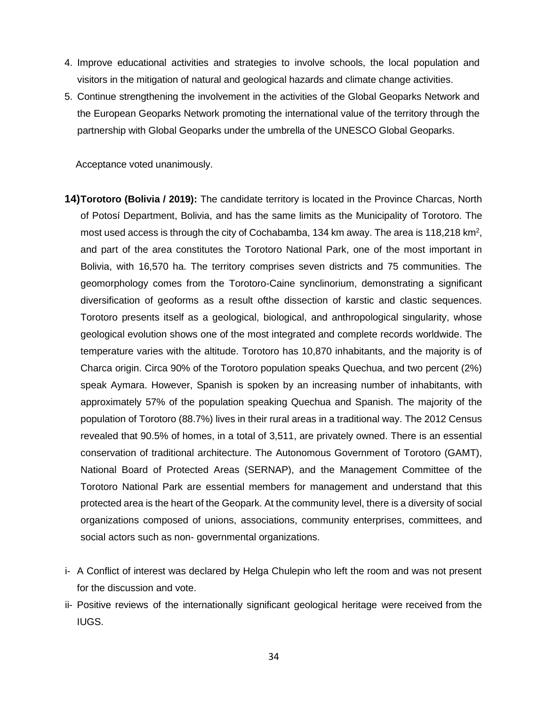- 4. Improve educational activities and strategies to involve schools, the local population and visitors in the mitigation of natural and geological hazards and climate change activities.
- 5. Continue strengthening the involvement in the activities of the Global Geoparks Network and the European Geoparks Network promoting the international value of the territory through the partnership with Global Geoparks under the umbrella of the UNESCO Global Geoparks.

Acceptance voted unanimously.

- **14)Torotoro (Bolivia / 2019):** The candidate territory is located in the Province Charcas, North of Potosí Department, Bolivia, and has the same limits as the Municipality of Torotoro. The most used access is through the city of Cochabamba, 134 km away. The area is 118,218 km<sup>2</sup>, and part of the area constitutes the Torotoro National Park, one of the most important in Bolivia, with 16,570 ha. The territory comprises seven districts and 75 communities. The geomorphology comes from the Torotoro-Caine synclinorium, demonstrating a significant diversification of geoforms as a result ofthe dissection of karstic and clastic sequences. Torotoro presents itself as a geological, biological, and anthropological singularity, whose geological evolution shows one of the most integrated and complete records worldwide. The temperature varies with the altitude. Torotoro has 10,870 inhabitants, and the majority is of Charca origin. Circa 90% of the Torotoro population speaks Quechua, and two percent (2%) speak Aymara. However, Spanish is spoken by an increasing number of inhabitants, with approximately 57% of the population speaking Quechua and Spanish. The majority of the population of Torotoro (88.7%) lives in their rural areas in a traditional way. The 2012 Census revealed that 90.5% of homes, in a total of 3,511, are privately owned. There is an essential conservation of traditional architecture. The Autonomous Government of Torotoro (GAMT), National Board of Protected Areas (SERNAP), and the Management Committee of the Torotoro National Park are essential members for management and understand that this protected area is the heart of the Geopark. At the community level, there is a diversity of social organizations composed of unions, associations, community enterprises, committees, and social actors such as non- governmental organizations.
- i- A Conflict of interest was declared by Helga Chulepin who left the room and was not present for the discussion and vote.
- ii- Positive reviews of the internationally significant geological heritage were received from the IUGS.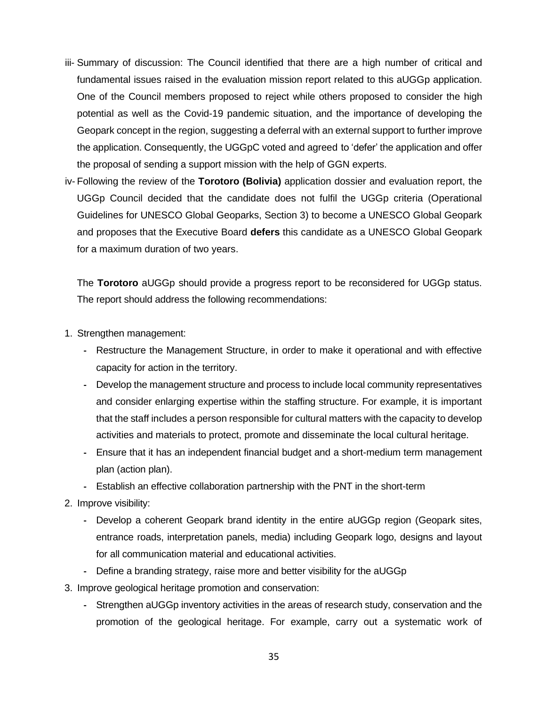- iii- Summary of discussion: The Council identified that there are a high number of critical and fundamental issues raised in the evaluation mission report related to this aUGGp application. One of the Council members proposed to reject while others proposed to consider the high potential as well as the Covid-19 pandemic situation, and the importance of developing the Geopark concept in the region, suggesting a deferral with an external support to further improve the application. Consequently, the UGGpC voted and agreed to 'defer' the application and offer the proposal of sending a support mission with the help of GGN experts.
- iv- Following the review of the **Torotoro (Bolivia)** application dossier and evaluation report, the UGGp Council decided that the candidate does not fulfil the UGGp criteria (Operational Guidelines for UNESCO Global Geoparks, Section 3) to become a UNESCO Global Geopark and proposes that the Executive Board **defers** this candidate as a UNESCO Global Geopark for a maximum duration of two years.

The **Torotoro** aUGGp should provide a progress report to be reconsidered for UGGp status. The report should address the following recommendations:

- 1. Strengthen management:
	- **-** Restructure the Management Structure, in order to make it operational and with effective capacity for action in the territory.
	- **-** Develop the management structure and process to include local community representatives and consider enlarging expertise within the staffing structure. For example, it is important that the staff includes a person responsible for cultural matters with the capacity to develop activities and materials to protect, promote and disseminate the local cultural heritage.
	- **-** Ensure that it has an independent financial budget and a short-medium term management plan (action plan).
	- **-** Establish an effective collaboration partnership with the PNT in the short-term
- 2. Improve visibility:
	- **-** Develop a coherent Geopark brand identity in the entire aUGGp region (Geopark sites, entrance roads, interpretation panels, media) including Geopark logo, designs and layout for all communication material and educational activities.
	- **-** Define a branding strategy, raise more and better visibility for the aUGGp
- 3. Improve geological heritage promotion and conservation:
	- **-** Strengthen aUGGp inventory activities in the areas of research study, conservation and the promotion of the geological heritage. For example, carry out a systematic work of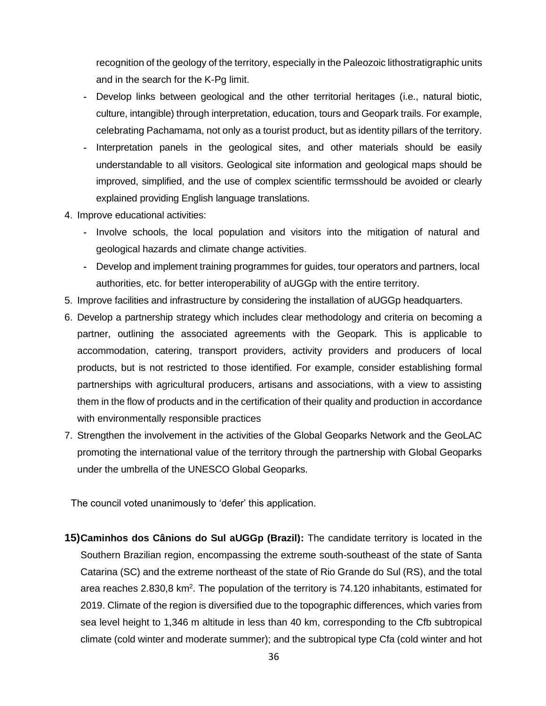recognition of the geology of the territory, especially in the Paleozoic lithostratigraphic units and in the search for the K-Pg limit.

- **-** Develop links between geological and the other territorial heritages (i.e., natural biotic, culture, intangible) through interpretation, education, tours and Geopark trails. For example, celebrating Pachamama, not only as a tourist product, but as identity pillars of the territory.
- **-** Interpretation panels in the geological sites, and other materials should be easily understandable to all visitors. Geological site information and geological maps should be improved, simplified, and the use of complex scientific termsshould be avoided or clearly explained providing English language translations.
- 4. Improve educational activities:
	- **-** Involve schools, the local population and visitors into the mitigation of natural and geological hazards and climate change activities.
	- **-** Develop and implement training programmes for guides, tour operators and partners, local authorities, etc. for better interoperability of aUGGp with the entire territory.
- 5. Improve facilities and infrastructure by considering the installation of aUGGp headquarters.
- 6. Develop a partnership strategy which includes clear methodology and criteria on becoming a partner, outlining the associated agreements with the Geopark. This is applicable to accommodation, catering, transport providers, activity providers and producers of local products, but is not restricted to those identified. For example, consider establishing formal partnerships with agricultural producers, artisans and associations, with a view to assisting them in the flow of products and in the certification of their quality and production in accordance with environmentally responsible practices
- 7. Strengthen the involvement in the activities of the Global Geoparks Network and the GeoLAC promoting the international value of the territory through the partnership with Global Geoparks under the umbrella of the UNESCO Global Geoparks.

The council voted unanimously to 'defer' this application.

**15)Caminhos dos Cânions do Sul aUGGp (Brazil):** The candidate territory is located in the Southern Brazilian region, encompassing the extreme south-southeast of the state of Santa Catarina (SC) and the extreme northeast of the state of Rio Grande do Sul (RS), and the total area reaches 2.830,8 km<sup>2</sup>. The population of the territory is 74.120 inhabitants, estimated for 2019. Climate of the region is diversified due to the topographic differences, which varies from sea level height to 1,346 m altitude in less than 40 km, corresponding to the Cfb subtropical climate (cold winter and moderate summer); and the subtropical type Cfa (cold winter and hot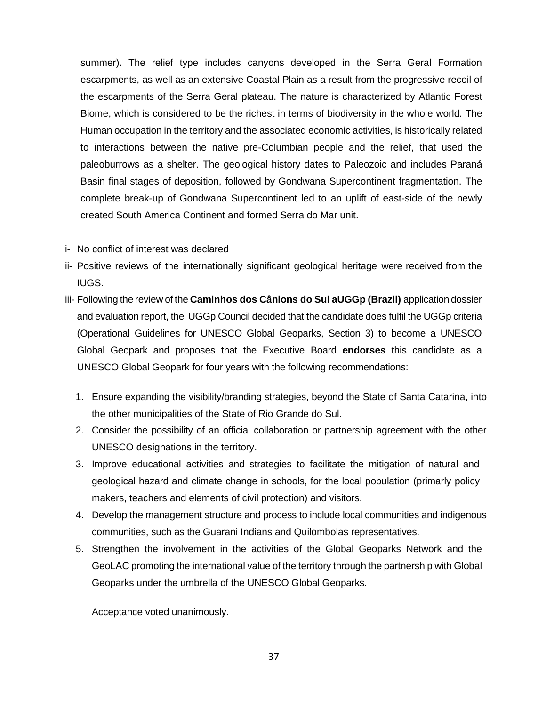summer). The relief type includes canyons developed in the Serra Geral Formation escarpments, as well as an extensive Coastal Plain as a result from the progressive recoil of the escarpments of the Serra Geral plateau. The nature is characterized by Atlantic Forest Biome, which is considered to be the richest in terms of biodiversity in the whole world. The Human occupation in the territory and the associated economic activities, is historically related to interactions between the native pre-Columbian people and the relief, that used the paleoburrows as a shelter. The geological history dates to Paleozoic and includes Paraná Basin final stages of deposition, followed by Gondwana Supercontinent fragmentation. The complete break-up of Gondwana Supercontinent led to an uplift of east-side of the newly created South America Continent and formed Serra do Mar unit.

- i- No conflict of interest was declared
- ii- Positive reviews of the internationally significant geological heritage were received from the IUGS.
- iii- Following the review of the **Caminhos dos Cânions do Sul aUGGp (Brazil)** application dossier and evaluation report, the UGGp Council decided that the candidate does fulfil the UGGp criteria (Operational Guidelines for UNESCO Global Geoparks, Section 3) to become a UNESCO Global Geopark and proposes that the Executive Board **endorses** this candidate as a UNESCO Global Geopark for four years with the following recommendations:
	- 1. Ensure expanding the visibility/branding strategies, beyond the State of Santa Catarina, into the other municipalities of the State of Rio Grande do Sul.
	- 2. Consider the possibility of an official collaboration or partnership agreement with the other UNESCO designations in the territory.
	- 3. Improve educational activities and strategies to facilitate the mitigation of natural and geological hazard and climate change in schools, for the local population (primarly policy makers, teachers and elements of civil protection) and visitors.
	- 4. Develop the management structure and process to include local communities and indigenous communities, such as the Guarani Indians and Quilombolas representatives.
	- 5. Strengthen the involvement in the activities of the Global Geoparks Network and the GeoLAC promoting the international value of the territory through the partnership with Global Geoparks under the umbrella of the UNESCO Global Geoparks.

Acceptance voted unanimously.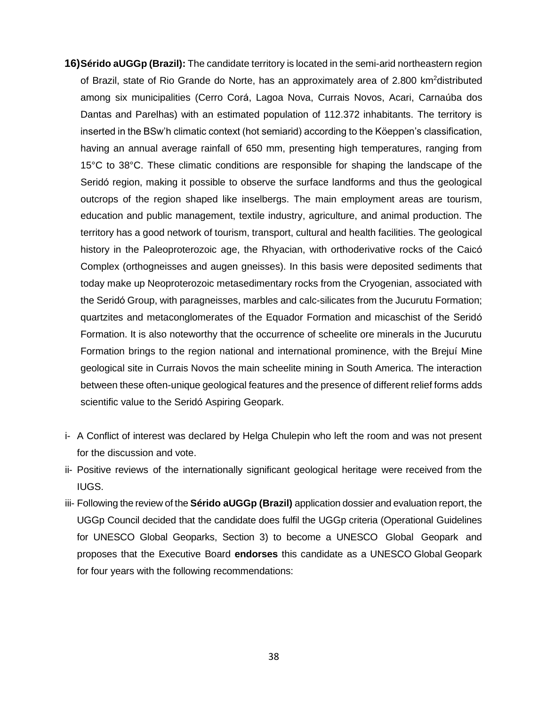- **16)Sérido aUGGp (Brazil):** The candidate territory is located in the semi-arid northeastern region of Brazil, state of Rio Grande do Norte, has an approximately area of 2.800 km<sup>2</sup>distributed among six municipalities (Cerro Corá, Lagoa Nova, Currais Novos, Acari, Carnaúba dos Dantas and Parelhas) with an estimated population of 112.372 inhabitants. The territory is inserted in the BSw'h climatic context (hot semiarid) according to the Köeppen's classification, having an annual average rainfall of 650 mm, presenting high temperatures, ranging from 15°C to 38°C. These climatic conditions are responsible for shaping the landscape of the Seridó region, making it possible to observe the surface landforms and thus the geological outcrops of the region shaped like inselbergs. The main employment areas are tourism, education and public management, textile industry, agriculture, and animal production. The territory has a good network of tourism, transport, cultural and health facilities. The geological history in the Paleoproterozoic age, the Rhyacian, with orthoderivative rocks of the Caicó Complex (orthogneisses and augen gneisses). In this basis were deposited sediments that today make up Neoproterozoic metasedimentary rocks from the Cryogenian, associated with the Seridó Group, with paragneisses, marbles and calc-silicates from the Jucurutu Formation; quartzites and metaconglomerates of the Equador Formation and micaschist of the Seridó Formation. It is also noteworthy that the occurrence of scheelite ore minerals in the Jucurutu Formation brings to the region national and international prominence, with the Brejuí Mine geological site in Currais Novos the main scheelite mining in South America. The interaction between these often-unique geological features and the presence of different relief forms adds scientific value to the Seridó Aspiring Geopark.
- i- A Conflict of interest was declared by Helga Chulepin who left the room and was not present for the discussion and vote.
- ii- Positive reviews of the internationally significant geological heritage were received from the IUGS.
- iii- Following the review of the **Sérido aUGGp (Brazil)** application dossier and evaluation report, the UGGp Council decided that the candidate does fulfil the UGGp criteria (Operational Guidelines for UNESCO Global Geoparks, Section 3) to become a UNESCO Global Geopark and proposes that the Executive Board **endorses** this candidate as a UNESCO Global Geopark for four years with the following recommendations: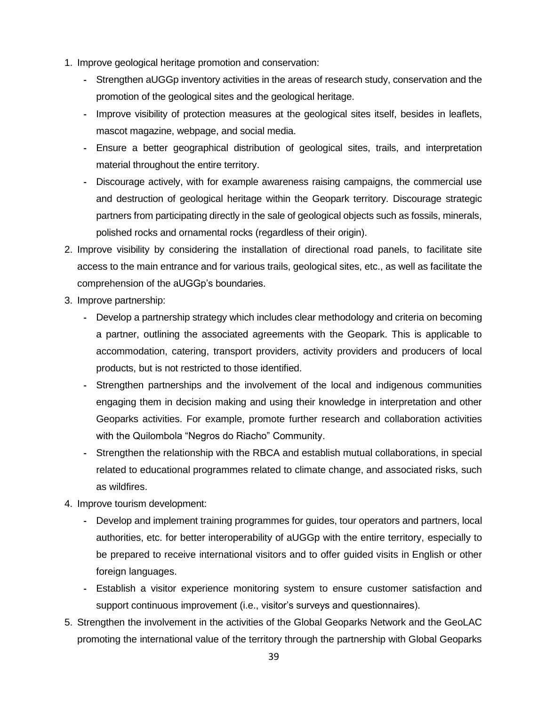- 1. Improve geological heritage promotion and conservation:
	- **-** Strengthen aUGGp inventory activities in the areas of research study, conservation and the promotion of the geological sites and the geological heritage.
	- **-** Improve visibility of protection measures at the geological sites itself, besides in leaflets, mascot magazine, webpage, and social media.
	- **-** Ensure a better geographical distribution of geological sites, trails, and interpretation material throughout the entire territory.
	- **-** Discourage actively, with for example awareness raising campaigns, the commercial use and destruction of geological heritage within the Geopark territory. Discourage strategic partners from participating directly in the sale of geological objects such as fossils, minerals, polished rocks and ornamental rocks (regardless of their origin).
- 2. Improve visibility by considering the installation of directional road panels, to facilitate site access to the main entrance and for various trails, geological sites, etc., as well as facilitate the comprehension of the aUGGp's boundaries.
- 3. Improve partnership:
	- **-** Develop a partnership strategy which includes clear methodology and criteria on becoming a partner, outlining the associated agreements with the Geopark. This is applicable to accommodation, catering, transport providers, activity providers and producers of local products, but is not restricted to those identified.
	- **-** Strengthen partnerships and the involvement of the local and indigenous communities engaging them in decision making and using their knowledge in interpretation and other Geoparks activities. For example, promote further research and collaboration activities with the Quilombola "Negros do Riacho" Community.
	- **-** Strengthen the relationship with the RBCA and establish mutual collaborations, in special related to educational programmes related to climate change, and associated risks, such as wildfires.
- 4. Improve tourism development:
	- **-** Develop and implement training programmes for guides, tour operators and partners, local authorities, etc. for better interoperability of aUGGp with the entire territory, especially to be prepared to receive international visitors and to offer guided visits in English or other foreign languages.
	- **-** Establish a visitor experience monitoring system to ensure customer satisfaction and support continuous improvement (i.e., visitor's surveys and questionnaires).
- 5. Strengthen the involvement in the activities of the Global Geoparks Network and the GeoLAC promoting the international value of the territory through the partnership with Global Geoparks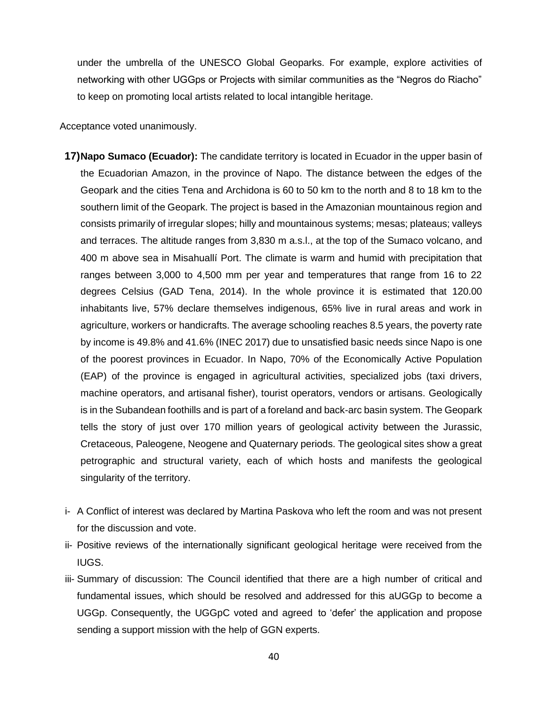under the umbrella of the UNESCO Global Geoparks. For example, explore activities of networking with other UGGps or Projects with similar communities as the "Negros do Riacho" to keep on promoting local artists related to local intangible heritage.

Acceptance voted unanimously.

- **17)Napo Sumaco (Ecuador):** The candidate territory is located in Ecuador in the upper basin of the Ecuadorian Amazon, in the province of Napo. The distance between the edges of the Geopark and the cities Tena and Archidona is 60 to 50 km to the north and 8 to 18 km to the southern limit of the Geopark. The project is based in the Amazonian mountainous region and consists primarily of irregular slopes; hilly and mountainous systems; mesas; plateaus; valleys and terraces. The altitude ranges from 3,830 m a.s.l., at the top of the Sumaco volcano, and 400 m above sea in Misahuallí Port. The climate is warm and humid with precipitation that ranges between 3,000 to 4,500 mm per year and temperatures that range from 16 to 22 degrees Celsius (GAD Tena, 2014). In the whole province it is estimated that 120.00 inhabitants live, 57% declare themselves indigenous, 65% live in rural areas and work in agriculture, workers or handicrafts. The average schooling reaches 8.5 years, the poverty rate by income is 49.8% and 41.6% (INEC 2017) due to unsatisfied basic needs since Napo is one of the poorest provinces in Ecuador. In Napo, 70% of the Economically Active Population (EAP) of the province is engaged in agricultural activities, specialized jobs (taxi drivers, machine operators, and artisanal fisher), tourist operators, vendors or artisans. Geologically is in the Subandean foothills and is part of a foreland and back-arc basin system. The Geopark tells the story of just over 170 million years of geological activity between the Jurassic, Cretaceous, Paleogene, Neogene and Quaternary periods. The geological sites show a great petrographic and structural variety, each of which hosts and manifests the geological singularity of the territory.
- i- A Conflict of interest was declared by Martina Paskova who left the room and was not present for the discussion and vote.
- ii- Positive reviews of the internationally significant geological heritage were received from the IUGS.
- iii- Summary of discussion: The Council identified that there are a high number of critical and fundamental issues, which should be resolved and addressed for this aUGGp to become a UGGp. Consequently, the UGGpC voted and agreed to 'defer' the application and propose sending a support mission with the help of GGN experts.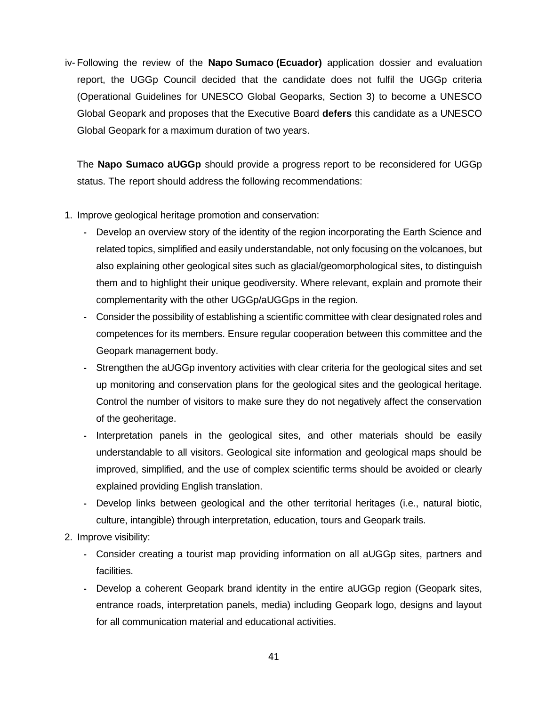iv- Following the review of the **Napo Sumaco (Ecuador)** application dossier and evaluation report, the UGGp Council decided that the candidate does not fulfil the UGGp criteria (Operational Guidelines for UNESCO Global Geoparks, Section 3) to become a UNESCO Global Geopark and proposes that the Executive Board **defers** this candidate as a UNESCO Global Geopark for a maximum duration of two years.

The **Napo Sumaco aUGGp** should provide a progress report to be reconsidered for UGGp status. The report should address the following recommendations:

- 1. Improve geological heritage promotion and conservation:
	- **-** Develop an overview story of the identity of the region incorporating the Earth Science and related topics, simplified and easily understandable, not only focusing on the volcanoes, but also explaining other geological sites such as glacial/geomorphological sites, to distinguish them and to highlight their unique geodiversity. Where relevant, explain and promote their complementarity with the other UGGp/aUGGps in the region.
	- **-** Consider the possibility of establishing a scientific committee with clear designated roles and competences for its members. Ensure regular cooperation between this committee and the Geopark management body.
	- **-** Strengthen the aUGGp inventory activities with clear criteria for the geological sites and set up monitoring and conservation plans for the geological sites and the geological heritage. Control the number of visitors to make sure they do not negatively affect the conservation of the geoheritage.
	- **-** Interpretation panels in the geological sites, and other materials should be easily understandable to all visitors. Geological site information and geological maps should be improved, simplified, and the use of complex scientific terms should be avoided or clearly explained providing English translation.
	- **-** Develop links between geological and the other territorial heritages (i.e., natural biotic, culture, intangible) through interpretation, education, tours and Geopark trails.
- 2. Improve visibility:
	- **-** Consider creating a tourist map providing information on all aUGGp sites, partners and facilities.
	- **-** Develop a coherent Geopark brand identity in the entire aUGGp region (Geopark sites, entrance roads, interpretation panels, media) including Geopark logo, designs and layout for all communication material and educational activities.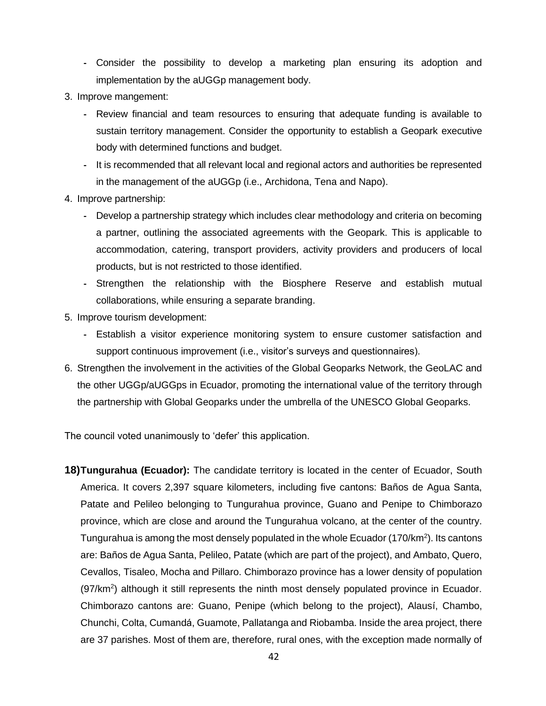- **-** Consider the possibility to develop a marketing plan ensuring its adoption and implementation by the aUGGp management body.
- 3. Improve mangement:
	- **-** Review financial and team resources to ensuring that adequate funding is available to sustain territory management. Consider the opportunity to establish a Geopark executive body with determined functions and budget.
	- **-** It is recommended that all relevant local and regional actors and authorities be represented in the management of the aUGGp (i.e., Archidona, Tena and Napo).
- 4. Improve partnership:
	- **-** Develop a partnership strategy which includes clear methodology and criteria on becoming a partner, outlining the associated agreements with the Geopark. This is applicable to accommodation, catering, transport providers, activity providers and producers of local products, but is not restricted to those identified.
	- **-** Strengthen the relationship with the Biosphere Reserve and establish mutual collaborations, while ensuring a separate branding.
- 5. Improve tourism development:
	- **-** Establish a visitor experience monitoring system to ensure customer satisfaction and support continuous improvement (i.e., visitor's surveys and questionnaires).
- 6. Strengthen the involvement in the activities of the Global Geoparks Network, the GeoLAC and the other UGGp/aUGGps in Ecuador, promoting the international value of the territory through the partnership with Global Geoparks under the umbrella of the UNESCO Global Geoparks.

The council voted unanimously to 'defer' this application.

**18)Tungurahua (Ecuador):** The candidate territory is located in the center of Ecuador, South America. It covers 2,397 square kilometers, including five cantons: Baños de Agua Santa, Patate and Pelileo belonging to Tungurahua province, Guano and Penipe to Chimborazo province, which are close and around the Tungurahua volcano, at the center of the country. Tungurahua is among the most densely populated in the whole Ecuador (170/km<sup>2</sup>). Its cantons are: Baños de Agua Santa, Pelileo, Patate (which are part of the project), and Ambato, Quero, Cevallos, Tisaleo, Mocha and Pillaro. Chimborazo province has a lower density of population  $(97/km<sup>2</sup>)$  although it still represents the ninth most densely populated province in Ecuador. Chimborazo cantons are: Guano, Penipe (which belong to the project), Alausí, Chambo, Chunchi, Colta, Cumandá, Guamote, Pallatanga and Riobamba. Inside the area project, there are 37 parishes. Most of them are, therefore, rural ones, with the exception made normally of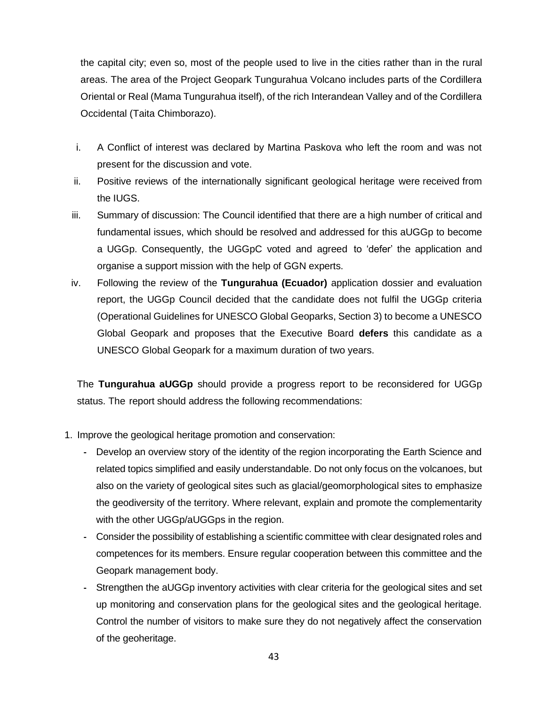the capital city; even so, most of the people used to live in the cities rather than in the rural areas. The area of the Project Geopark Tungurahua Volcano includes parts of the Cordillera Oriental or Real (Mama Tungurahua itself), of the rich Interandean Valley and of the Cordillera Occidental (Taita Chimborazo).

- i. A Conflict of interest was declared by Martina Paskova who left the room and was not present for the discussion and vote.
- ii. Positive reviews of the internationally significant geological heritage were received from the IUGS.
- iii. Summary of discussion: The Council identified that there are a high number of critical and fundamental issues, which should be resolved and addressed for this aUGGp to become a UGGp. Consequently, the UGGpC voted and agreed to 'defer' the application and organise a support mission with the help of GGN experts.
- iv. Following the review of the **Tungurahua (Ecuador)** application dossier and evaluation report, the UGGp Council decided that the candidate does not fulfil the UGGp criteria (Operational Guidelines for UNESCO Global Geoparks, Section 3) to become a UNESCO Global Geopark and proposes that the Executive Board **defers** this candidate as a UNESCO Global Geopark for a maximum duration of two years.

The **Tungurahua aUGGp** should provide a progress report to be reconsidered for UGGp status. The report should address the following recommendations:

- 1. Improve the geological heritage promotion and conservation:
	- **-** Develop an overview story of the identity of the region incorporating the Earth Science and related topics simplified and easily understandable. Do not only focus on the volcanoes, but also on the variety of geological sites such as glacial/geomorphological sites to emphasize the geodiversity of the territory. Where relevant, explain and promote the complementarity with the other UGGp/aUGGps in the region.
	- **-** Consider the possibility of establishing a scientific committee with clear designated roles and competences for its members. Ensure regular cooperation between this committee and the Geopark management body.
	- **-** Strengthen the aUGGp inventory activities with clear criteria for the geological sites and set up monitoring and conservation plans for the geological sites and the geological heritage. Control the number of visitors to make sure they do not negatively affect the conservation of the geoheritage.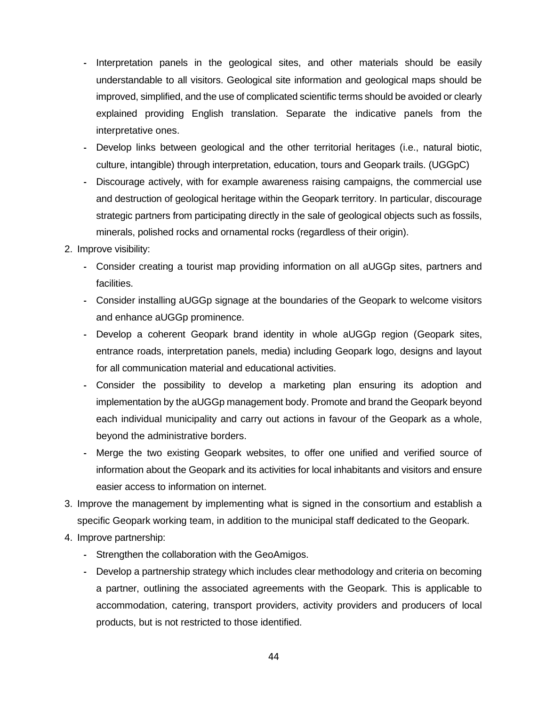- **-** Interpretation panels in the geological sites, and other materials should be easily understandable to all visitors. Geological site information and geological maps should be improved, simplified, and the use of complicated scientific terms should be avoided or clearly explained providing English translation. Separate the indicative panels from the interpretative ones.
- **-** Develop links between geological and the other territorial heritages (i.e., natural biotic, culture, intangible) through interpretation, education, tours and Geopark trails. (UGGpC)
- **-** Discourage actively, with for example awareness raising campaigns, the commercial use and destruction of geological heritage within the Geopark territory. In particular, discourage strategic partners from participating directly in the sale of geological objects such as fossils, minerals, polished rocks and ornamental rocks (regardless of their origin).
- 2. Improve visibility:
	- **-** Consider creating a tourist map providing information on all aUGGp sites, partners and facilities.
	- **-** Consider installing aUGGp signage at the boundaries of the Geopark to welcome visitors and enhance aUGGp prominence.
	- **-** Develop a coherent Geopark brand identity in whole aUGGp region (Geopark sites, entrance roads, interpretation panels, media) including Geopark logo, designs and layout for all communication material and educational activities.
	- **-** Consider the possibility to develop a marketing plan ensuring its adoption and implementation by the aUGGp management body. Promote and brand the Geopark beyond each individual municipality and carry out actions in favour of the Geopark as a whole, beyond the administrative borders.
	- **-** Merge the two existing Geopark websites, to offer one unified and verified source of information about the Geopark and its activities for local inhabitants and visitors and ensure easier access to information on internet.
- 3. Improve the management by implementing what is signed in the consortium and establish a specific Geopark working team, in addition to the municipal staff dedicated to the Geopark.
- 4. Improve partnership:
	- **-** Strengthen the collaboration with the GeoAmigos.
	- **-** Develop a partnership strategy which includes clear methodology and criteria on becoming a partner, outlining the associated agreements with the Geopark. This is applicable to accommodation, catering, transport providers, activity providers and producers of local products, but is not restricted to those identified.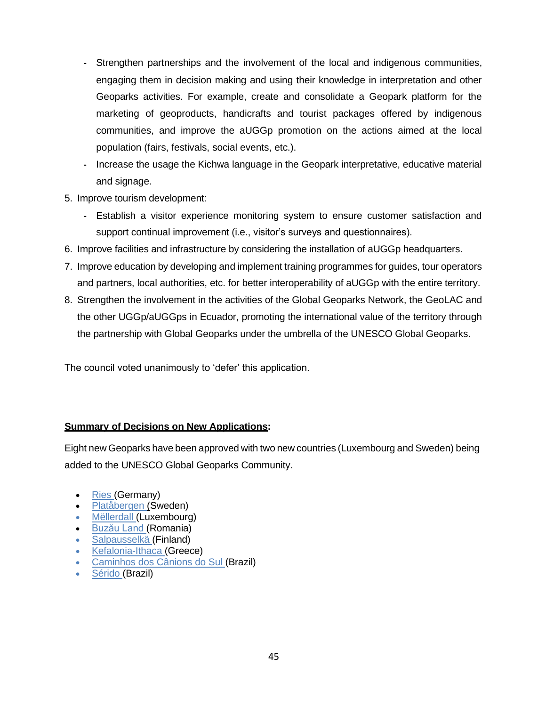- **-** Strengthen partnerships and the involvement of the local and indigenous communities, engaging them in decision making and using their knowledge in interpretation and other Geoparks activities. For example, create and consolidate a Geopark platform for the marketing of geoproducts, handicrafts and tourist packages offered by indigenous communities, and improve the aUGGp promotion on the actions aimed at the local population (fairs, festivals, social events, etc.).
- **-** Increase the usage the Kichwa language in the Geopark interpretative, educative material and signage.
- 5. Improve tourism development:
	- **-** Establish a visitor experience monitoring system to ensure customer satisfaction and support continual improvement (i.e., visitor's surveys and questionnaires).
- 6. Improve facilities and infrastructure by considering the installation of aUGGp headquarters.
- 7. Improve education by developing and implement training programmes for guides, tour operators and partners, local authorities, etc. for better interoperability of aUGGp with the entire territory.
- 8. Strengthen the involvement in the activities of the Global Geoparks Network, the GeoLAC and the other UGGp/aUGGps in Ecuador, promoting the international value of the territory through the partnership with Global Geoparks under the umbrella of the UNESCO Global Geoparks.

The council voted unanimously to 'defer' this application.

## **Summary of Decisions on New Applications:**

Eight new Geoparks have been approved with two new countries (Luxembourg and Sweden) being added to the UNESCO Global Geoparks Community.

- [Ries](https://www.geopark-ries.de/) (Germany)
- [Platåbergen](https://www.platabergensgeopark.se/en/start-2/) (Sweden)
- [Mëllerdall](https://www.naturpark-mellerdall.lu/en/) (Luxembourg)
- [Buzău Land](https://buzauland.org/about-buzau-land/) (Romania)
- [Salpausselkä](https://visitlahti.fi/en/frontpage/salpausselka-geopark/) (Finland)
- [Kefalonia-Ithaca](https://kefaloniageopark.gr/en) (Greece)
- [Caminhos dos Cânions do Sul](https://canionsdosul.org/?lang=en-us) (Brazil)
- [Sérido](http://geoparqueserido.com.br/) (Brazil)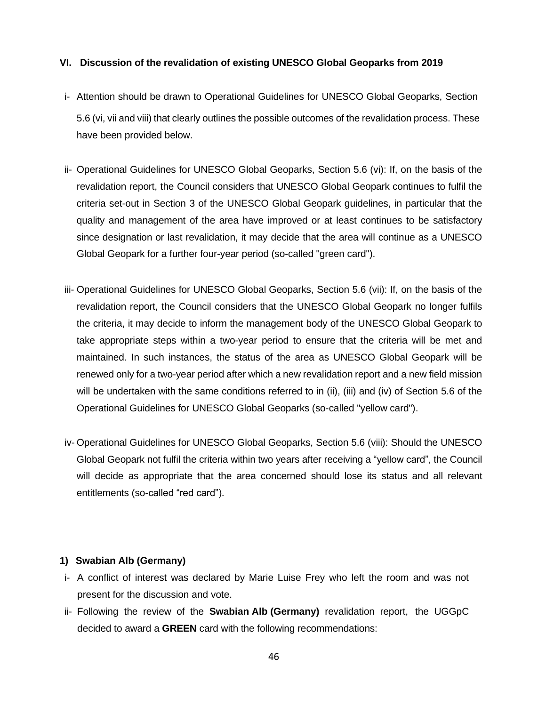#### **VI. Discussion of the revalidation of existing UNESCO Global Geoparks from 2019**

- i- Attention should be drawn to Operational Guidelines for UNESCO Global Geoparks, Section 5.6 (vi, vii and viii) that clearly outlines the possible outcomes of the revalidation process. These have been provided below.
- ii- Operational Guidelines for UNESCO Global Geoparks, Section 5.6 (vi): If, on the basis of the revalidation report, the Council considers that UNESCO Global Geopark continues to fulfil the criteria set-out in Section 3 of the UNESCO Global Geopark guidelines, in particular that the quality and management of the area have improved or at least continues to be satisfactory since designation or last revalidation, it may decide that the area will continue as a UNESCO Global Geopark for a further four-year period (so-called "green card").
- iii- Operational Guidelines for UNESCO Global Geoparks, Section 5.6 (vii): If, on the basis of the revalidation report, the Council considers that the UNESCO Global Geopark no longer fulfils the criteria, it may decide to inform the management body of the UNESCO Global Geopark to take appropriate steps within a two-year period to ensure that the criteria will be met and maintained. In such instances, the status of the area as UNESCO Global Geopark will be renewed only for a two-year period after which a new revalidation report and a new field mission will be undertaken with the same conditions referred to in (ii), (iii) and (iv) of Section 5.6 of the Operational Guidelines for UNESCO Global Geoparks (so-called "yellow card").
- iv- Operational Guidelines for UNESCO Global Geoparks, Section 5.6 (viii): Should the UNESCO Global Geopark not fulfil the criteria within two years after receiving a "yellow card", the Council will decide as appropriate that the area concerned should lose its status and all relevant entitlements (so-called "red card").

#### **1) Swabian Alb (Germany)**

- i- A conflict of interest was declared by Marie Luise Frey who left the room and was not present for the discussion and vote.
- ii- Following the review of the **Swabian Alb (Germany)** revalidation report, the UGGpC decided to award a **GREEN** card with the following recommendations: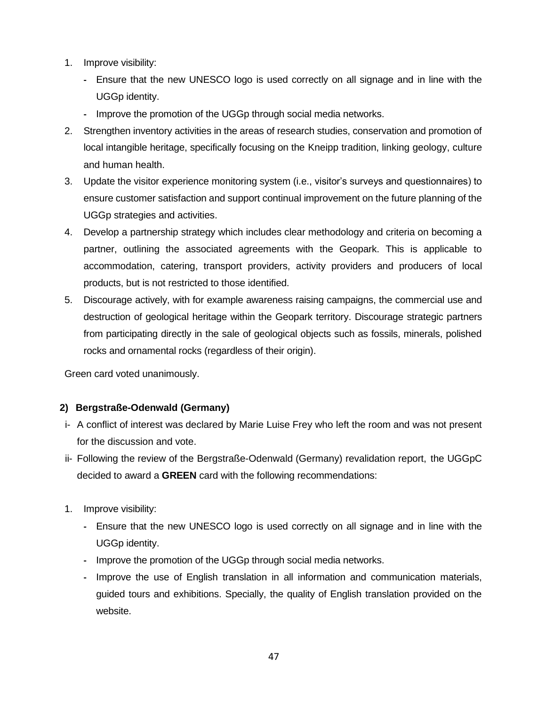- 1. Improve visibility:
	- **-** Ensure that the new UNESCO logo is used correctly on all signage and in line with the UGGp identity.
	- **-** Improve the promotion of the UGGp through social media networks.
- 2. Strengthen inventory activities in the areas of research studies, conservation and promotion of local intangible heritage, specifically focusing on the Kneipp tradition, linking geology, culture and human health.
- 3. Update the visitor experience monitoring system (i.e., visitor's surveys and questionnaires) to ensure customer satisfaction and support continual improvement on the future planning of the UGGp strategies and activities.
- 4. Develop a partnership strategy which includes clear methodology and criteria on becoming a partner, outlining the associated agreements with the Geopark. This is applicable to accommodation, catering, transport providers, activity providers and producers of local products, but is not restricted to those identified.
- 5. Discourage actively, with for example awareness raising campaigns, the commercial use and destruction of geological heritage within the Geopark territory. Discourage strategic partners from participating directly in the sale of geological objects such as fossils, minerals, polished rocks and ornamental rocks (regardless of their origin).

# **2) Bergstraße-Odenwald (Germany)**

- i- A conflict of interest was declared by Marie Luise Frey who left the room and was not present for the discussion and vote.
- ii- Following the review of the Bergstraße-Odenwald (Germany) revalidation report, the UGGpC decided to award a **GREEN** card with the following recommendations:
- 1. Improve visibility:
	- **-** Ensure that the new UNESCO logo is used correctly on all signage and in line with the UGGp identity.
	- **-** Improve the promotion of the UGGp through social media networks.
	- **-** Improve the use of English translation in all information and communication materials, guided tours and exhibitions. Specially, the quality of English translation provided on the website.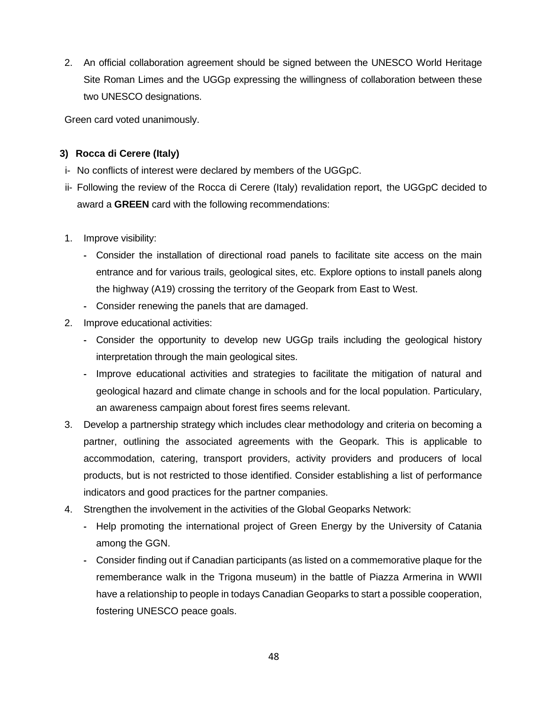2. An official collaboration agreement should be signed between the UNESCO World Heritage Site Roman Limes and the UGGp expressing the willingness of collaboration between these two UNESCO designations.

Green card voted unanimously.

# **3) Rocca di Cerere (Italy)**

- i- No conflicts of interest were declared by members of the UGGpC.
- ii- Following the review of the Rocca di Cerere (Italy) revalidation report, the UGGpC decided to award a **GREEN** card with the following recommendations:
- 1. Improve visibility:
	- **-** Consider the installation of directional road panels to facilitate site access on the main entrance and for various trails, geological sites, etc. Explore options to install panels along the highway (A19) crossing the territory of the Geopark from East to West.
	- **-** Consider renewing the panels that are damaged.
- 2. Improve educational activities:
	- **-** Consider the opportunity to develop new UGGp trails including the geological history interpretation through the main geological sites.
	- **-** Improve educational activities and strategies to facilitate the mitigation of natural and geological hazard and climate change in schools and for the local population. Particulary, an awareness campaign about forest fires seems relevant.
- 3. Develop a partnership strategy which includes clear methodology and criteria on becoming a partner, outlining the associated agreements with the Geopark. This is applicable to accommodation, catering, transport providers, activity providers and producers of local products, but is not restricted to those identified. Consider establishing a list of performance indicators and good practices for the partner companies.
- 4. Strengthen the involvement in the activities of the Global Geoparks Network:
	- **-** Help promoting the international project of Green Energy by the University of Catania among the GGN.
	- **-** Consider finding out if Canadian participants (as listed on a commemorative plaque for the rememberance walk in the Trigona museum) in the battle of Piazza Armerina in WWII have a relationship to people in todays Canadian Geoparks to start a possible cooperation, fostering UNESCO peace goals.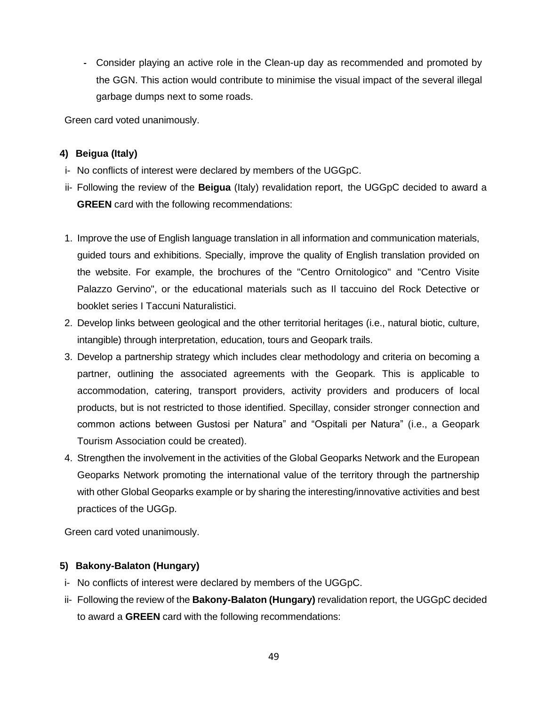**-** Consider playing an active role in the Clean-up day as recommended and promoted by the GGN. This action would contribute to minimise the visual impact of the several illegal garbage dumps next to some roads.

Green card voted unanimously.

# **4) Beigua (Italy)**

- i- No conflicts of interest were declared by members of the UGGpC.
- ii- Following the review of the **Beigua** (Italy) revalidation report, the UGGpC decided to award a **GREEN** card with the following recommendations:
- 1. Improve the use of English language translation in all information and communication materials, guided tours and exhibitions. Specially, improve the quality of English translation provided on the website. For example, the brochures of the "Centro Ornitologico" and "Centro Visite Palazzo Gervino", or the educational materials such as Il taccuino del Rock Detective or booklet series I Taccuni Naturalistici.
- 2. Develop links between geological and the other territorial heritages (i.e., natural biotic, culture, intangible) through interpretation, education, tours and Geopark trails.
- 3. Develop a partnership strategy which includes clear methodology and criteria on becoming a partner, outlining the associated agreements with the Geopark. This is applicable to accommodation, catering, transport providers, activity providers and producers of local products, but is not restricted to those identified. Specillay, consider stronger connection and common actions between Gustosi per Natura" and "Ospitali per Natura" (i.e., a Geopark Tourism Association could be created).
- 4. Strengthen the involvement in the activities of the Global Geoparks Network and the European Geoparks Network promoting the international value of the territory through the partnership with other Global Geoparks example or by sharing the interesting/innovative activities and best practices of the UGGp.

Green card voted unanimously.

## **5) Bakony-Balaton (Hungary)**

- i- No conflicts of interest were declared by members of the UGGpC.
- ii- Following the review of the **Bakony-Balaton (Hungary)** revalidation report, the UGGpC decided to award a **GREEN** card with the following recommendations: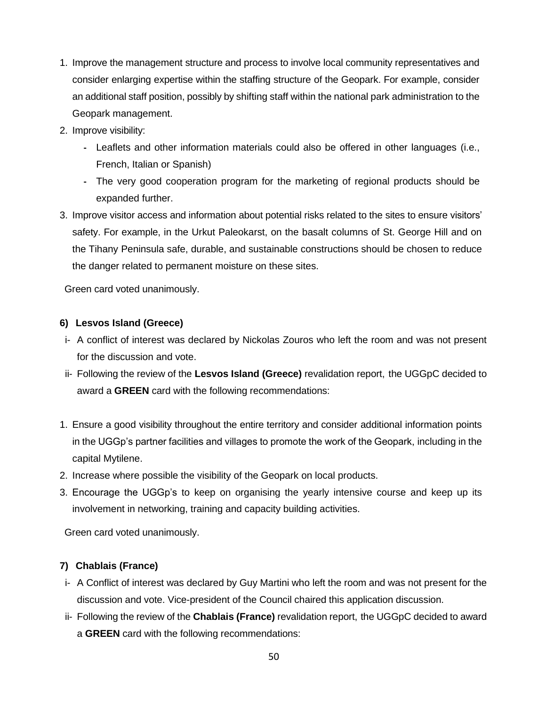- 1. Improve the management structure and process to involve local community representatives and consider enlarging expertise within the staffing structure of the Geopark. For example, consider an additional staff position, possibly by shifting staff within the national park administration to the Geopark management.
- 2. Improve visibility:
	- **-** Leaflets and other information materials could also be offered in other languages (i.e., French, Italian or Spanish)
	- **-** The very good cooperation program for the marketing of regional products should be expanded further.
- 3. Improve visitor access and information about potential risks related to the sites to ensure visitors' safety. For example, in the Urkut Paleokarst, on the basalt columns of St. George Hill and on the Tihany Peninsula safe, durable, and sustainable constructions should be chosen to reduce the danger related to permanent moisture on these sites.

## **6) Lesvos Island (Greece)**

- i- A conflict of interest was declared by Nickolas Zouros who left the room and was not present for the discussion and vote.
- ii- Following the review of the **Lesvos Island (Greece)** revalidation report, the UGGpC decided to award a **GREEN** card with the following recommendations:
- 1. Ensure a good visibility throughout the entire territory and consider additional information points in the UGGp's partner facilities and villages to promote the work of the Geopark, including in the capital Mytilene.
- 2. Increase where possible the visibility of the Geopark on local products.
- 3. Encourage the UGGp's to keep on organising the yearly intensive course and keep up its involvement in networking, training and capacity building activities.

Green card voted unanimously.

# **7) Chablais (France)**

- i- A Conflict of interest was declared by Guy Martini who left the room and was not present for the discussion and vote. Vice-president of the Council chaired this application discussion.
- ii- Following the review of the **Chablais (France)** revalidation report, the UGGpC decided to award a **GREEN** card with the following recommendations: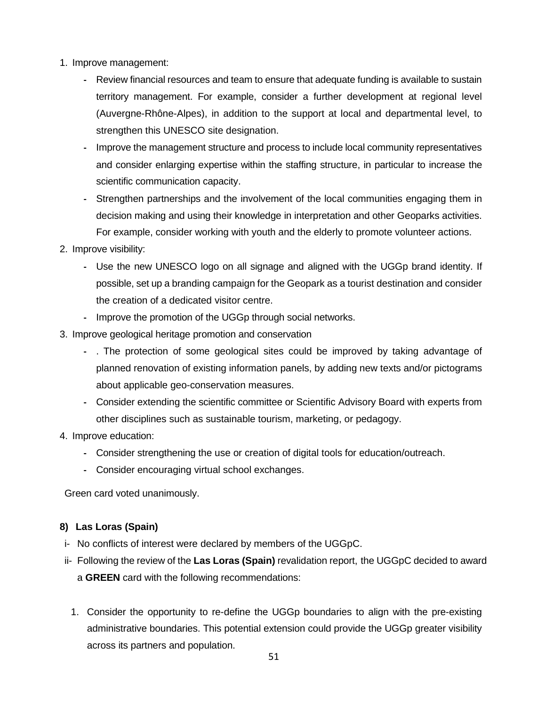- 1. Improve management:
	- **-** Review financial resources and team to ensure that adequate funding is available to sustain territory management. For example, consider a further development at regional level (Auvergne-Rhône-Alpes), in addition to the support at local and departmental level, to strengthen this UNESCO site designation.
	- **-** Improve the management structure and process to include local community representatives and consider enlarging expertise within the staffing structure, in particular to increase the scientific communication capacity.
	- **-** Strengthen partnerships and the involvement of the local communities engaging them in decision making and using their knowledge in interpretation and other Geoparks activities. For example, consider working with youth and the elderly to promote volunteer actions.
- 2. Improve visibility:
	- **-** Use the new UNESCO logo on all signage and aligned with the UGGp brand identity. If possible, set up a branding campaign for the Geopark as a tourist destination and consider the creation of a dedicated visitor centre.
	- **-** Improve the promotion of the UGGp through social networks.
- 3. Improve geological heritage promotion and conservation
	- **-** . The protection of some geological sites could be improved by taking advantage of planned renovation of existing information panels, by adding new texts and/or pictograms about applicable geo-conservation measures.
	- **-** Consider extending the scientific committee or Scientific Advisory Board with experts from other disciplines such as sustainable tourism, marketing, or pedagogy.
- 4. Improve education:
	- **-** Consider strengthening the use or creation of digital tools for education/outreach.
	- **-** Consider encouraging virtual school exchanges.

## **8) Las Loras (Spain)**

- i- No conflicts of interest were declared by members of the UGGpC.
- ii- Following the review of the **Las Loras (Spain)** revalidation report, the UGGpC decided to award a **GREEN** card with the following recommendations:
	- 1. Consider the opportunity to re-define the UGGp boundaries to align with the pre-existing administrative boundaries. This potential extension could provide the UGGp greater visibility across its partners and population.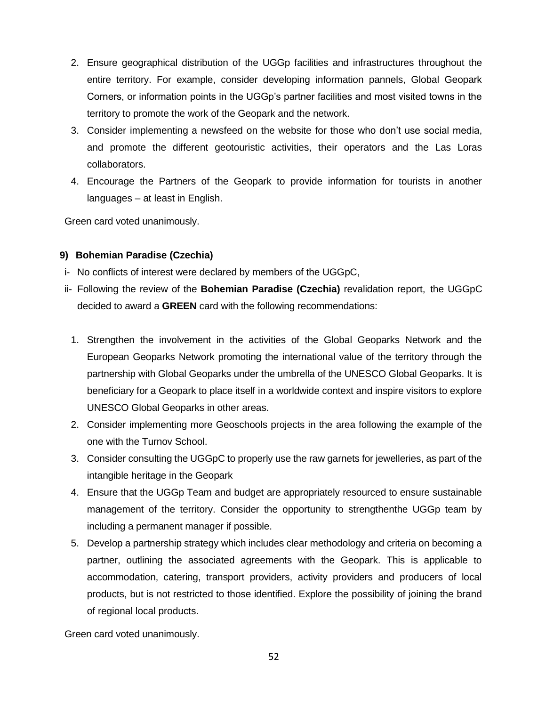- 2. Ensure geographical distribution of the UGGp facilities and infrastructures throughout the entire territory. For example, consider developing information pannels, Global Geopark Corners, or information points in the UGGp's partner facilities and most visited towns in the territory to promote the work of the Geopark and the network.
- 3. Consider implementing a newsfeed on the website for those who don't use social media, and promote the different geotouristic activities, their operators and the Las Loras collaborators.
- 4. Encourage the Partners of the Geopark to provide information for tourists in another languages – at least in English.

## **9) Bohemian Paradise (Czechia)**

- i- No conflicts of interest were declared by members of the UGGpC,
- ii- Following the review of the **Bohemian Paradise (Czechia)** revalidation report, the UGGpC decided to award a **GREEN** card with the following recommendations:
	- 1. Strengthen the involvement in the activities of the Global Geoparks Network and the European Geoparks Network promoting the international value of the territory through the partnership with Global Geoparks under the umbrella of the UNESCO Global Geoparks. It is beneficiary for a Geopark to place itself in a worldwide context and inspire visitors to explore UNESCO Global Geoparks in other areas.
	- 2. Consider implementing more Geoschools projects in the area following the example of the one with the Turnov School.
	- 3. Consider consulting the UGGpC to properly use the raw garnets for jewelleries, as part of the intangible heritage in the Geopark
	- 4. Ensure that the UGGp Team and budget are appropriately resourced to ensure sustainable management of the territory. Consider the opportunity to strengthenthe UGGp team by including a permanent manager if possible.
	- 5. Develop a partnership strategy which includes clear methodology and criteria on becoming a partner, outlining the associated agreements with the Geopark. This is applicable to accommodation, catering, transport providers, activity providers and producers of local products, but is not restricted to those identified. Explore the possibility of joining the brand of regional local products.

Green card voted unanimously.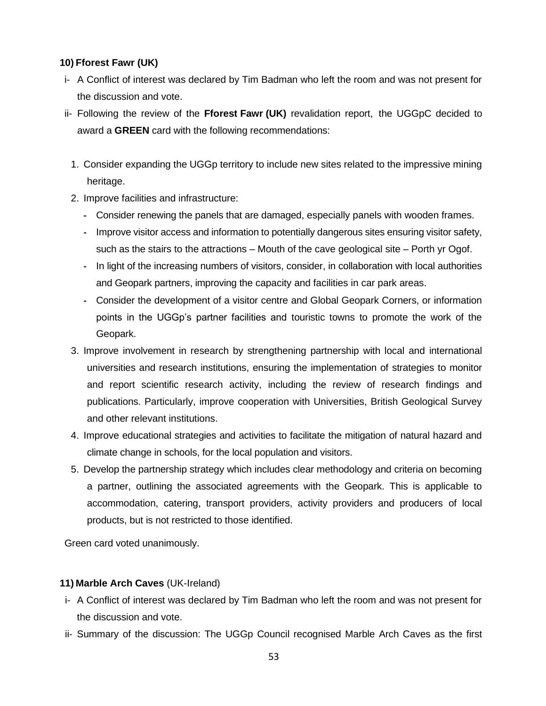# **10) Fforest Fawr (UK)**

- i- A Conflict of interest was declared by Tim Badman who left the room and was not present for the discussion and vote.
- ii- Following the review of the **Fforest Fawr (UK)** revalidation report, the UGGpC decided to award a **GREEN** card with the following recommendations:
	- 1. Consider expanding the UGGp territory to include new sites related to the impressive mining heritage.
	- 2. Improve facilities and infrastructure:
		- **-** Consider renewing the panels that are damaged, especially panels with wooden frames.
		- **-** Improve visitor access and information to potentially dangerous sites ensuring visitor safety, such as the stairs to the attractions – Mouth of the cave geological site – Porth yr Ogof.
		- **-** In light of the increasing numbers of visitors, consider, in collaboration with local authorities and Geopark partners, improving the capacity and facilities in car park areas.
		- **-** Consider the development of a visitor centre and Global Geopark Corners, or information points in the UGGp's partner facilities and touristic towns to promote the work of the Geopark.
	- 3. Improve involvement in research by strengthening partnership with local and international universities and research institutions, ensuring the implementation of strategies to monitor and report scientific research activity, including the review of research findings and publications. Particularly, improve cooperation with Universities, British Geological Survey and other relevant institutions.
	- 4. Improve educational strategies and activities to facilitate the mitigation of natural hazard and climate change in schools, for the local population and visitors.
	- 5. Develop the partnership strategy which includes clear methodology and criteria on becoming a partner, outlining the associated agreements with the Geopark. This is applicable to accommodation, catering, transport providers, activity providers and producers of local products, but is not restricted to those identified.

Green card voted unanimously.

## **11) Marble Arch Caves** (UK-Ireland)

- i- A Conflict of interest was declared by Tim Badman who left the room and was not present for the discussion and vote.
- ii- Summary of the discussion: The UGGp Council recognised Marble Arch Caves as the first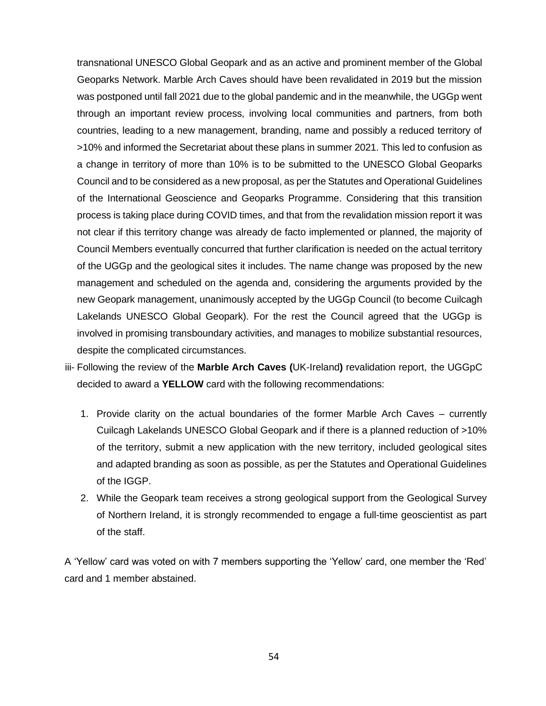transnational UNESCO Global Geopark and as an active and prominent member of the Global Geoparks Network. Marble Arch Caves should have been revalidated in 2019 but the mission was postponed until fall 2021 due to the global pandemic and in the meanwhile, the UGGp went through an important review process, involving local communities and partners, from both countries, leading to a new management, branding, name and possibly a reduced territory of >10% and informed the Secretariat about these plans in summer 2021. This led to confusion as a change in territory of more than 10% is to be submitted to the UNESCO Global Geoparks Council and to be considered as a new proposal, as per the Statutes and Operational Guidelines of the International Geoscience and Geoparks Programme. Considering that this transition process is taking place during COVID times, and that from the revalidation mission report it was not clear if this territory change was already de facto implemented or planned, the majority of Council Members eventually concurred that further clarification is needed on the actual territory of the UGGp and the geological sites it includes. The name change was proposed by the new management and scheduled on the agenda and, considering the arguments provided by the new Geopark management, unanimously accepted by the UGGp Council (to become Cuilcagh Lakelands UNESCO Global Geopark). For the rest the Council agreed that the UGGp is involved in promising transboundary activities, and manages to mobilize substantial resources, despite the complicated circumstances.

- iii- Following the review of the **Marble Arch Caves (**UK-Ireland**)** revalidation report, the UGGpC decided to award a **YELLOW** card with the following recommendations:
	- 1. Provide clarity on the actual boundaries of the former Marble Arch Caves currently Cuilcagh Lakelands UNESCO Global Geopark and if there is a planned reduction of >10% of the territory, submit a new application with the new territory, included geological sites and adapted branding as soon as possible, as per the Statutes and Operational Guidelines of the IGGP.
	- 2. While the Geopark team receives a strong geological support from the Geological Survey of Northern Ireland, it is strongly recommended to engage a full-time geoscientist as part of the staff.

A 'Yellow' card was voted on with 7 members supporting the 'Yellow' card, one member the 'Red' card and 1 member abstained.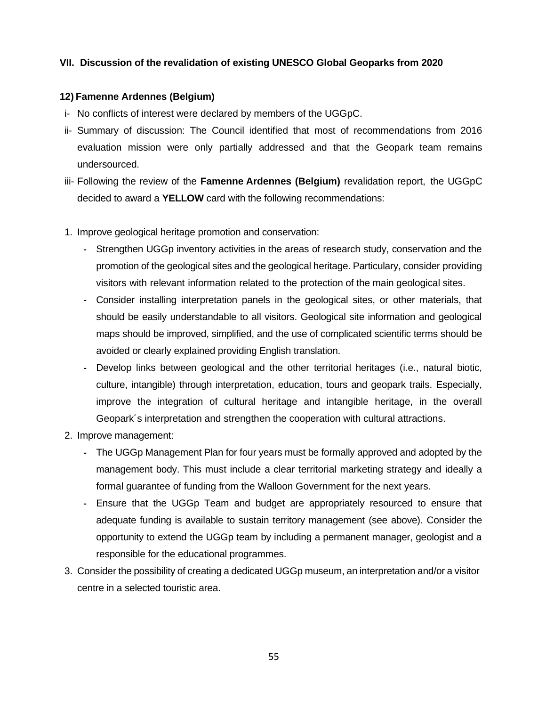## **VII. Discussion of the revalidation of existing UNESCO Global Geoparks from 2020**

#### **12) Famenne Ardennes (Belgium)**

- i- No conflicts of interest were declared by members of the UGGpC.
- ii- Summary of discussion: The Council identified that most of recommendations from 2016 evaluation mission were only partially addressed and that the Geopark team remains undersourced.
- iii- Following the review of the **Famenne Ardennes (Belgium)** revalidation report, the UGGpC decided to award a **YELLOW** card with the following recommendations:
- 1. Improve geological heritage promotion and conservation:
	- **-** Strengthen UGGp inventory activities in the areas of research study, conservation and the promotion of the geological sites and the geological heritage. Particulary, consider providing visitors with relevant information related to the protection of the main geological sites.
	- **-** Consider installing interpretation panels in the geological sites, or other materials, that should be easily understandable to all visitors. Geological site information and geological maps should be improved, simplified, and the use of complicated scientific terms should be avoided or clearly explained providing English translation.
	- **-** Develop links between geological and the other territorial heritages (i.e., natural biotic, culture, intangible) through interpretation, education, tours and geopark trails. Especially, improve the integration of cultural heritage and intangible heritage, in the overall Geopark´s interpretation and strengthen the cooperation with cultural attractions.
- 2. Improve management:
	- **-** The UGGp Management Plan for four years must be formally approved and adopted by the management body. This must include a clear territorial marketing strategy and ideally a formal guarantee of funding from the Walloon Government for the next years.
	- **-** Ensure that the UGGp Team and budget are appropriately resourced to ensure that adequate funding is available to sustain territory management (see above). Consider the opportunity to extend the UGGp team by including a permanent manager, geologist and a responsible for the educational programmes.
- 3. Consider the possibility of creating a dedicated UGGp museum, an interpretation and/or a visitor centre in a selected touristic area.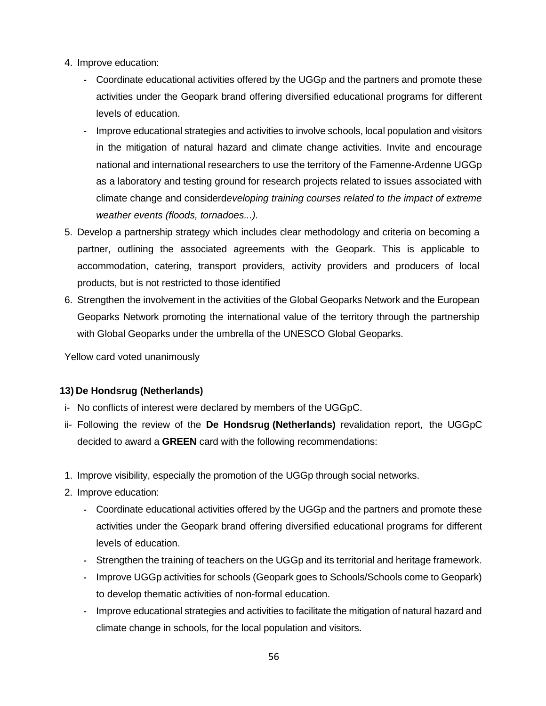- 4. Improve education:
	- **-** Coordinate educational activities offered by the UGGp and the partners and promote these activities under the Geopark brand offering diversified educational programs for different levels of education.
	- **-** Improve educational strategies and activities to involve schools, local population and visitors in the mitigation of natural hazard and climate change activities. Invite and encourage national and international researchers to use the territory of the Famenne-Ardenne UGGp as a laboratory and testing ground for research projects related to issues associated with climate change and considerd*eveloping training courses related to the impact of extreme weather events (floods, tornadoes...).*
- 5. Develop a partnership strategy which includes clear methodology and criteria on becoming a partner, outlining the associated agreements with the Geopark. This is applicable to accommodation, catering, transport providers, activity providers and producers of local products, but is not restricted to those identified
- 6. Strengthen the involvement in the activities of the Global Geoparks Network and the European Geoparks Network promoting the international value of the territory through the partnership with Global Geoparks under the umbrella of the UNESCO Global Geoparks.

Yellow card voted unanimously

## **13) De Hondsrug (Netherlands)**

- i- No conflicts of interest were declared by members of the UGGpC.
- ii- Following the review of the **De Hondsrug (Netherlands)** revalidation report, the UGGpC decided to award a **GREEN** card with the following recommendations:
- 1. Improve visibility, especially the promotion of the UGGp through social networks.
- 2. Improve education:
	- **-** Coordinate educational activities offered by the UGGp and the partners and promote these activities under the Geopark brand offering diversified educational programs for different levels of education.
	- **-** Strengthen the training of teachers on the UGGp and its territorial and heritage framework.
	- **-** Improve UGGp activities for schools (Geopark goes to Schools/Schools come to Geopark) to develop thematic activities of non-formal education.
	- **-** Improve educational strategies and activities to facilitate the mitigation of natural hazard and climate change in schools, for the local population and visitors.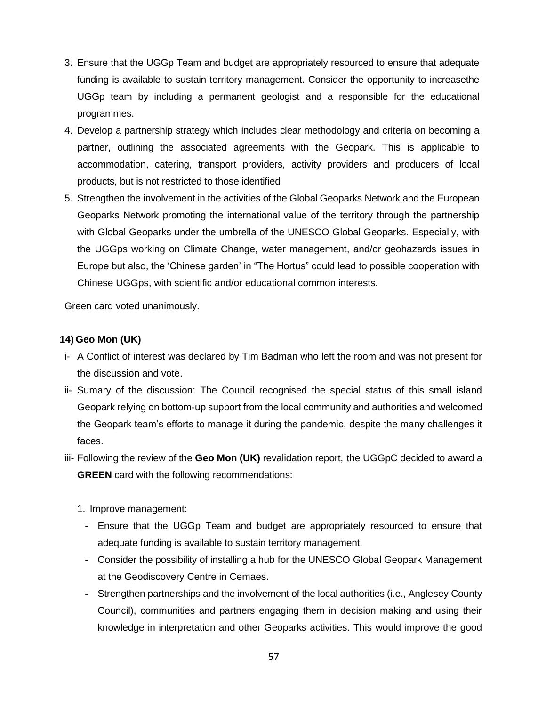- 3. Ensure that the UGGp Team and budget are appropriately resourced to ensure that adequate funding is available to sustain territory management. Consider the opportunity to increasethe UGGp team by including a permanent geologist and a responsible for the educational programmes.
- 4. Develop a partnership strategy which includes clear methodology and criteria on becoming a partner, outlining the associated agreements with the Geopark. This is applicable to accommodation, catering, transport providers, activity providers and producers of local products, but is not restricted to those identified
- 5. Strengthen the involvement in the activities of the Global Geoparks Network and the European Geoparks Network promoting the international value of the territory through the partnership with Global Geoparks under the umbrella of the UNESCO Global Geoparks. Especially, with the UGGps working on Climate Change, water management, and/or geohazards issues in Europe but also, the 'Chinese garden' in "The Hortus" could lead to possible cooperation with Chinese UGGps, with scientific and/or educational common interests.

#### **14) Geo Mon (UK)**

- i- A Conflict of interest was declared by Tim Badman who left the room and was not present for the discussion and vote.
- ii- Sumary of the discussion: The Council recognised the special status of this small island Geopark relying on bottom-up support from the local community and authorities and welcomed the Geopark team's efforts to manage it during the pandemic, despite the many challenges it faces.
- iii- Following the review of the **Geo Mon (UK)** revalidation report, the UGGpC decided to award a **GREEN** card with the following recommendations:
	- 1. Improve management:
		- **-** Ensure that the UGGp Team and budget are appropriately resourced to ensure that adequate funding is available to sustain territory management.
		- **-** Consider the possibility of installing a hub for the UNESCO Global Geopark Management at the Geodiscovery Centre in Cemaes.
		- **-** Strengthen partnerships and the involvement of the local authorities (i.e., Anglesey County Council), communities and partners engaging them in decision making and using their knowledge in interpretation and other Geoparks activities. This would improve the good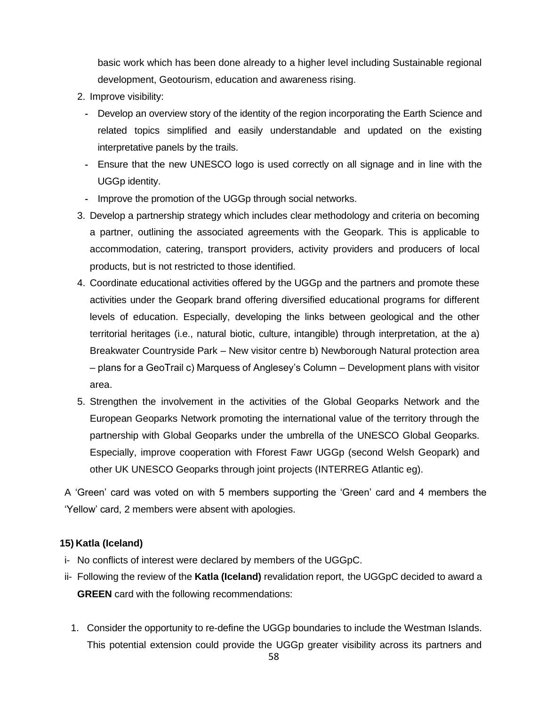basic work which has been done already to a higher level including Sustainable regional development, Geotourism, education and awareness rising.

- 2. Improve visibility:
	- **-** Develop an overview story of the identity of the region incorporating the Earth Science and related topics simplified and easily understandable and updated on the existing interpretative panels by the trails.
	- **-** Ensure that the new UNESCO logo is used correctly on all signage and in line with the UGGp identity.
	- **-** Improve the promotion of the UGGp through social networks.
- 3. Develop a partnership strategy which includes clear methodology and criteria on becoming a partner, outlining the associated agreements with the Geopark. This is applicable to accommodation, catering, transport providers, activity providers and producers of local products, but is not restricted to those identified.
- 4. Coordinate educational activities offered by the UGGp and the partners and promote these activities under the Geopark brand offering diversified educational programs for different levels of education. Especially, developing the links between geological and the other territorial heritages (i.e., natural biotic, culture, intangible) through interpretation, at the a) Breakwater Countryside Park – New visitor centre b) Newborough Natural protection area – plans for a GeoTrail c) Marquess of Anglesey's Column – Development plans with visitor area.
- 5. Strengthen the involvement in the activities of the Global Geoparks Network and the European Geoparks Network promoting the international value of the territory through the partnership with Global Geoparks under the umbrella of the UNESCO Global Geoparks. Especially, improve cooperation with Fforest Fawr UGGp (second Welsh Geopark) and other UK UNESCO Geoparks through joint projects (INTERREG Atlantic eg).

A 'Green' card was voted on with 5 members supporting the 'Green' card and 4 members the 'Yellow' card, 2 members were absent with apologies.

## **15) Katla (Iceland)**

- i- No conflicts of interest were declared by members of the UGGpC.
- ii- Following the review of the **Katla (Iceland)** revalidation report, the UGGpC decided to award a **GREEN** card with the following recommendations:
	- 1. Consider the opportunity to re-define the UGGp boundaries to include the Westman Islands. This potential extension could provide the UGGp greater visibility across its partners and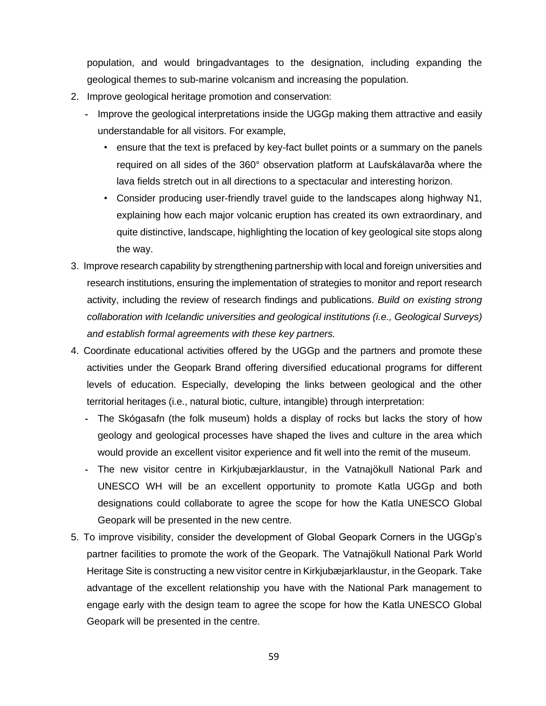population, and would bringadvantages to the designation, including expanding the geological themes to sub-marine volcanism and increasing the population.

- 2. Improve geological heritage promotion and conservation:
	- **-** Improve the geological interpretations inside the UGGp making them attractive and easily understandable for all visitors. For example,
		- ensure that the text is prefaced by key-fact bullet points or a summary on the panels required on all sides of the 360° observation platform at Laufskálavarða where the lava fields stretch out in all directions to a spectacular and interesting horizon.
		- Consider producing user-friendly travel guide to the landscapes along highway N1, explaining how each major volcanic eruption has created its own extraordinary, and quite distinctive, landscape, highlighting the location of key geological site stops along the way.
- 3. Improve research capability by strengthening partnership with local and foreign universities and research institutions, ensuring the implementation of strategies to monitor and report research activity, including the review of research findings and publications. *Build on existing strong collaboration with Icelandic universities and geological institutions (i.e., Geological Surveys) and establish formal agreements with these key partners.*
- 4. Coordinate educational activities offered by the UGGp and the partners and promote these activities under the Geopark Brand offering diversified educational programs for different levels of education. Especially, developing the links between geological and the other territorial heritages (i.e., natural biotic, culture, intangible) through interpretation:
	- **-** The Skógasafn (the folk museum) holds a display of rocks but lacks the story of how geology and geological processes have shaped the lives and culture in the area which would provide an excellent visitor experience and fit well into the remit of the museum.
	- **-** The new visitor centre in Kirkjubæjarklaustur, in the Vatnajökull National Park and UNESCO WH will be an excellent opportunity to promote Katla UGGp and both designations could collaborate to agree the scope for how the Katla UNESCO Global Geopark will be presented in the new centre.
- 5. To improve visibility, consider the development of Global Geopark Corners in the UGGp's partner facilities to promote the work of the Geopark. The Vatnajökull National Park World Heritage Site is constructing a new visitor centre in Kirkjubæjarklaustur, in the Geopark. Take advantage of the excellent relationship you have with the National Park management to engage early with the design team to agree the scope for how the Katla UNESCO Global Geopark will be presented in the centre.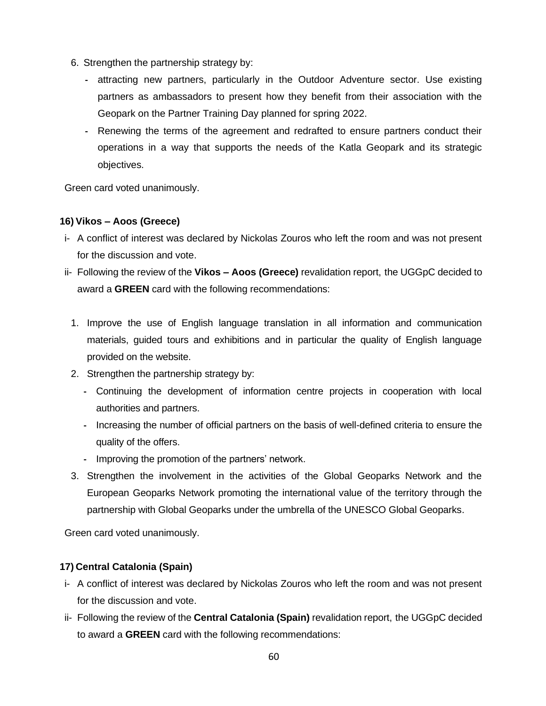- 6. Strengthen the partnership strategy by:
	- **-** attracting new partners, particularly in the Outdoor Adventure sector. Use existing partners as ambassadors to present how they benefit from their association with the Geopark on the Partner Training Day planned for spring 2022.
	- **-** Renewing the terms of the agreement and redrafted to ensure partners conduct their operations in a way that supports the needs of the Katla Geopark and its strategic objectives.

## **16) Vikos – Aoos (Greece)**

- i- A conflict of interest was declared by Nickolas Zouros who left the room and was not present for the discussion and vote.
- ii- Following the review of the **Vikos – Aoos (Greece)** revalidation report, the UGGpC decided to award a **GREEN** card with the following recommendations:
	- 1. Improve the use of English language translation in all information and communication materials, guided tours and exhibitions and in particular the quality of English language provided on the website.
	- 2. Strengthen the partnership strategy by:
		- **-** Continuing the development of information centre projects in cooperation with local authorities and partners.
		- **-** Increasing the number of official partners on the basis of well-defined criteria to ensure the quality of the offers.
		- **-** Improving the promotion of the partners' network.
	- 3. Strengthen the involvement in the activities of the Global Geoparks Network and the European Geoparks Network promoting the international value of the territory through the partnership with Global Geoparks under the umbrella of the UNESCO Global Geoparks.

Green card voted unanimously.

# **17) Central Catalonia (Spain)**

- i- A conflict of interest was declared by Nickolas Zouros who left the room and was not present for the discussion and vote.
- ii- Following the review of the **Central Catalonia (Spain)** revalidation report, the UGGpC decided to award a **GREEN** card with the following recommendations: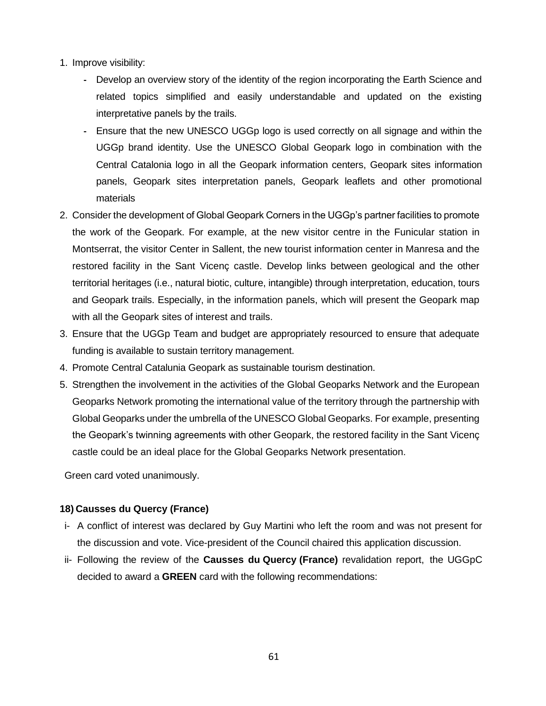- 1. Improve visibility:
	- **-** Develop an overview story of the identity of the region incorporating the Earth Science and related topics simplified and easily understandable and updated on the existing interpretative panels by the trails.
	- **-** Ensure that the new UNESCO UGGp logo is used correctly on all signage and within the UGGp brand identity. Use the UNESCO Global Geopark logo in combination with the Central Catalonia logo in all the Geopark information centers, Geopark sites information panels, Geopark sites interpretation panels, Geopark leaflets and other promotional materials
- 2. Consider the development of Global Geopark Corners in the UGGp's partner facilities to promote the work of the Geopark. For example, at the new visitor centre in the Funicular station in Montserrat, the visitor Center in Sallent, the new tourist information center in Manresa and the restored facility in the Sant Vicenç castle. Develop links between geological and the other territorial heritages (i.e., natural biotic, culture, intangible) through interpretation, education, tours and Geopark trails. Especially, in the information panels, which will present the Geopark map with all the Geopark sites of interest and trails.
- 3. Ensure that the UGGp Team and budget are appropriately resourced to ensure that adequate funding is available to sustain territory management.
- 4. Promote Central Catalunia Geopark as sustainable tourism destination.
- 5. Strengthen the involvement in the activities of the Global Geoparks Network and the European Geoparks Network promoting the international value of the territory through the partnership with Global Geoparks under the umbrella of the UNESCO Global Geoparks. For example, presenting the Geopark's twinning agreements with other Geopark, the restored facility in the Sant Vicenç castle could be an ideal place for the Global Geoparks Network presentation.

## **18) Causses du Quercy (France)**

- i- A conflict of interest was declared by Guy Martini who left the room and was not present for the discussion and vote. Vice-president of the Council chaired this application discussion.
- ii- Following the review of the **Causses du Quercy (France)** revalidation report, the UGGpC decided to award a **GREEN** card with the following recommendations: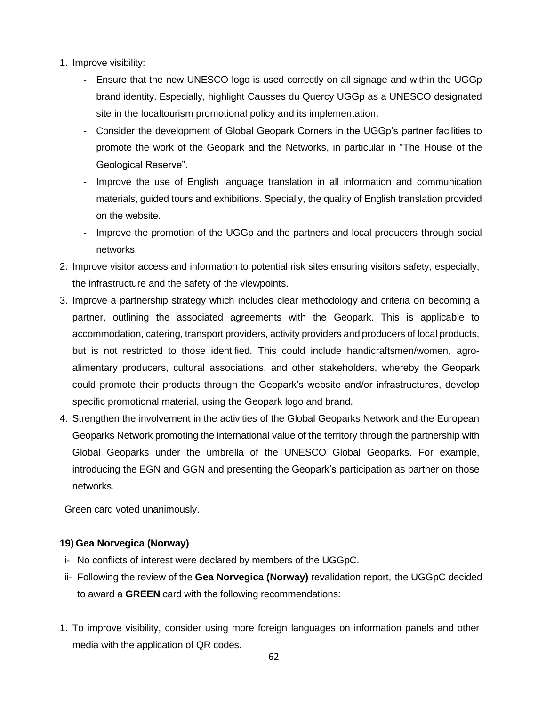- 1. Improve visibility:
	- **-** Ensure that the new UNESCO logo is used correctly on all signage and within the UGGp brand identity. Especially, highlight Causses du Quercy UGGp as a UNESCO designated site in the localtourism promotional policy and its implementation.
	- **-** Consider the development of Global Geopark Corners in the UGGp's partner facilities to promote the work of the Geopark and the Networks, in particular in "The House of the Geological Reserve".
	- **-** Improve the use of English language translation in all information and communication materials, guided tours and exhibitions. Specially, the quality of English translation provided on the website.
	- **-** Improve the promotion of the UGGp and the partners and local producers through social networks.
- 2. Improve visitor access and information to potential risk sites ensuring visitors safety, especially, the infrastructure and the safety of the viewpoints.
- 3. Improve a partnership strategy which includes clear methodology and criteria on becoming a partner, outlining the associated agreements with the Geopark. This is applicable to accommodation, catering, transport providers, activity providers and producers of local products, but is not restricted to those identified. This could include handicraftsmen/women, agroalimentary producers, cultural associations, and other stakeholders, whereby the Geopark could promote their products through the Geopark's website and/or infrastructures, develop specific promotional material, using the Geopark logo and brand.
- 4. Strengthen the involvement in the activities of the Global Geoparks Network and the European Geoparks Network promoting the international value of the territory through the partnership with Global Geoparks under the umbrella of the UNESCO Global Geoparks. For example, introducing the EGN and GGN and presenting the Geopark's participation as partner on those networks.

# **19) Gea Norvegica (Norway)**

- i- No conflicts of interest were declared by members of the UGGpC.
- ii- Following the review of the **Gea Norvegica (Norway)** revalidation report, the UGGpC decided to award a **GREEN** card with the following recommendations:
- 1. To improve visibility, consider using more foreign languages on information panels and other media with the application of QR codes.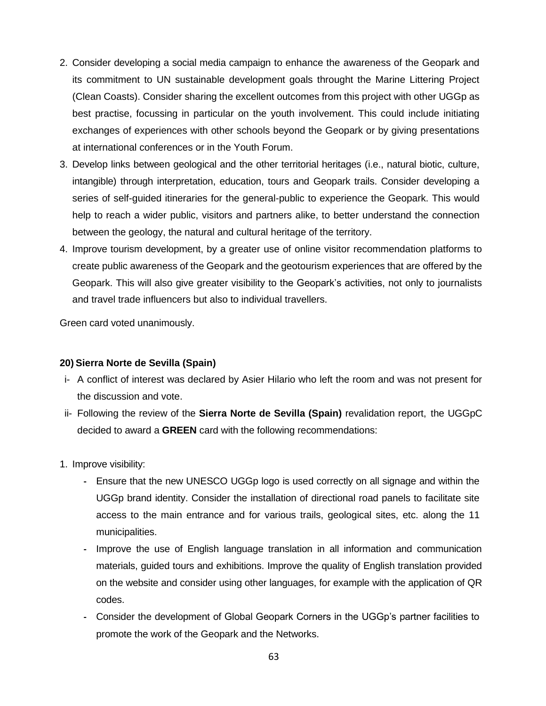- 2. Consider developing a social media campaign to enhance the awareness of the Geopark and its commitment to UN sustainable development goals throught the Marine Littering Project (Clean Coasts). Consider sharing the excellent outcomes from this project with other UGGp as best practise, focussing in particular on the youth involvement. This could include initiating exchanges of experiences with other schools beyond the Geopark or by giving presentations at international conferences or in the Youth Forum.
- 3. Develop links between geological and the other territorial heritages (i.e., natural biotic, culture, intangible) through interpretation, education, tours and Geopark trails. Consider developing a series of self-guided itineraries for the general-public to experience the Geopark. This would help to reach a wider public, visitors and partners alike, to better understand the connection between the geology, the natural and cultural heritage of the territory.
- 4. Improve tourism development, by a greater use of online visitor recommendation platforms to create public awareness of the Geopark and the geotourism experiences that are offered by the Geopark. This will also give greater visibility to the Geopark's activities, not only to journalists and travel trade influencers but also to individual travellers.

## **20) Sierra Norte de Sevilla (Spain)**

- i- A conflict of interest was declared by Asier Hilario who left the room and was not present for the discussion and vote.
- ii- Following the review of the **Sierra Norte de Sevilla (Spain)** revalidation report, the UGGpC decided to award a **GREEN** card with the following recommendations:
- 1. Improve visibility:
	- **-** Ensure that the new UNESCO UGGp logo is used correctly on all signage and within the UGGp brand identity. Consider the installation of directional road panels to facilitate site access to the main entrance and for various trails, geological sites, etc. along the 11 municipalities.
	- **-** Improve the use of English language translation in all information and communication materials, guided tours and exhibitions. Improve the quality of English translation provided on the website and consider using other languages, for example with the application of QR codes.
	- **-** Consider the development of Global Geopark Corners in the UGGp's partner facilities to promote the work of the Geopark and the Networks.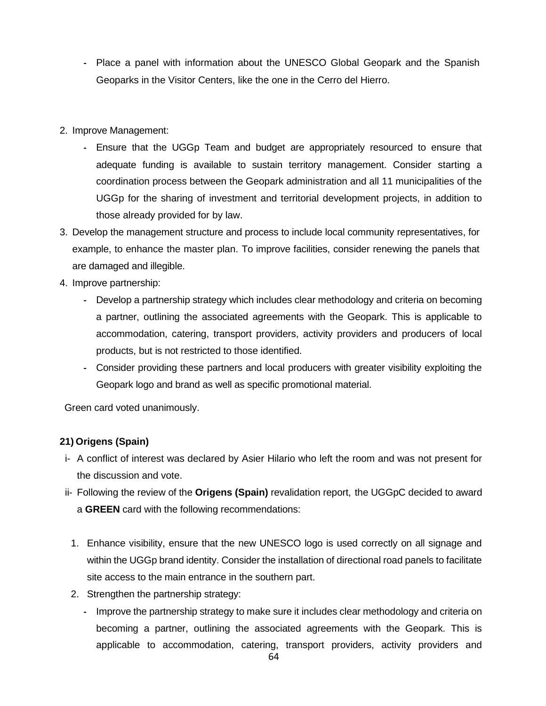- **-** Place a panel with information about the UNESCO Global Geopark and the Spanish Geoparks in the Visitor Centers, like the one in the Cerro del Hierro.
- 2. Improve Management:
	- **-** Ensure that the UGGp Team and budget are appropriately resourced to ensure that adequate funding is available to sustain territory management. Consider starting a coordination process between the Geopark administration and all 11 municipalities of the UGGp for the sharing of investment and territorial development projects, in addition to those already provided for by law.
- 3. Develop the management structure and process to include local community representatives, for example, to enhance the master plan. To improve facilities, consider renewing the panels that are damaged and illegible.
- 4. Improve partnership:
	- **-** Develop a partnership strategy which includes clear methodology and criteria on becoming a partner, outlining the associated agreements with the Geopark. This is applicable to accommodation, catering, transport providers, activity providers and producers of local products, but is not restricted to those identified.
	- **-** Consider providing these partners and local producers with greater visibility exploiting the Geopark logo and brand as well as specific promotional material.

# **21) Origens (Spain)**

- i- A conflict of interest was declared by Asier Hilario who left the room and was not present for the discussion and vote.
- ii- Following the review of the **Origens (Spain)** revalidation report, the UGGpC decided to award a **GREEN** card with the following recommendations:
	- 1. Enhance visibility, ensure that the new UNESCO logo is used correctly on all signage and within the UGGp brand identity. Consider the installation of directional road panels to facilitate site access to the main entrance in the southern part.
	- 2. Strengthen the partnership strategy:
		- **-** Improve the partnership strategy to make sure it includes clear methodology and criteria on becoming a partner, outlining the associated agreements with the Geopark. This is applicable to accommodation, catering, transport providers, activity providers and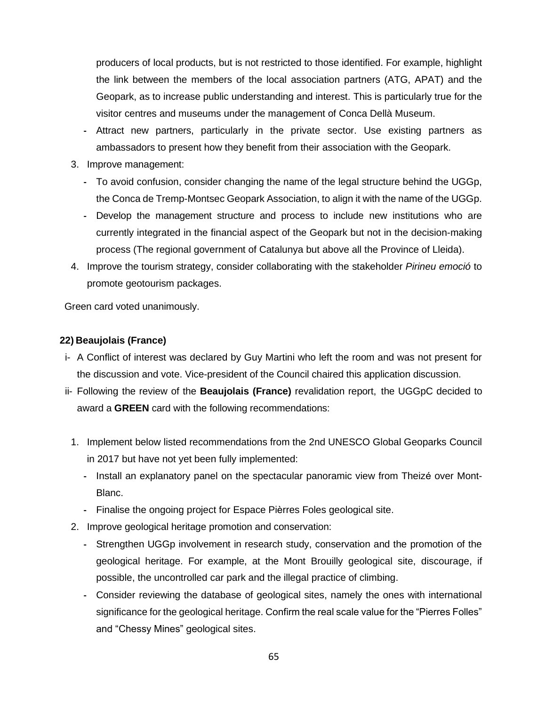producers of local products, but is not restricted to those identified. For example, highlight the link between the members of the local association partners (ATG, APAT) and the Geopark, as to increase public understanding and interest. This is particularly true for the visitor centres and museums under the management of Conca Dellà Museum.

- **-** Attract new partners, particularly in the private sector. Use existing partners as ambassadors to present how they benefit from their association with the Geopark.
- 3. Improve management:
	- **-** To avoid confusion, consider changing the name of the legal structure behind the UGGp, the Conca de Tremp-Montsec Geopark Association, to align it with the name of the UGGp.
	- **-** Develop the management structure and process to include new institutions who are currently integrated in the financial aspect of the Geopark but not in the decision-making process (The regional government of Catalunya but above all the Province of Lleida).
- 4. Improve the tourism strategy, consider collaborating with the stakeholder *Pirineu emoció* to promote geotourism packages.

Green card voted unanimously.

## **22) Beaujolais (France)**

- i- A Conflict of interest was declared by Guy Martini who left the room and was not present for the discussion and vote. Vice-president of the Council chaired this application discussion.
- ii- Following the review of the **Beaujolais (France)** revalidation report, the UGGpC decided to award a **GREEN** card with the following recommendations:
	- 1. Implement below listed recommendations from the 2nd UNESCO Global Geoparks Council in 2017 but have not yet been fully implemented:
		- **-** Install an explanatory panel on the spectacular panoramic view from Theizé over Mont-Blanc.
		- **-** Finalise the ongoing project for Espace Pièrres Foles geological site.
	- 2. Improve geological heritage promotion and conservation:
		- **-** Strengthen UGGp involvement in research study, conservation and the promotion of the geological heritage. For example, at the Mont Brouilly geological site, discourage, if possible, the uncontrolled car park and the illegal practice of climbing.
		- **-** Consider reviewing the database of geological sites, namely the ones with international significance for the geological heritage. Confirm the real scale value for the "Pierres Folles" and "Chessy Mines" geological sites.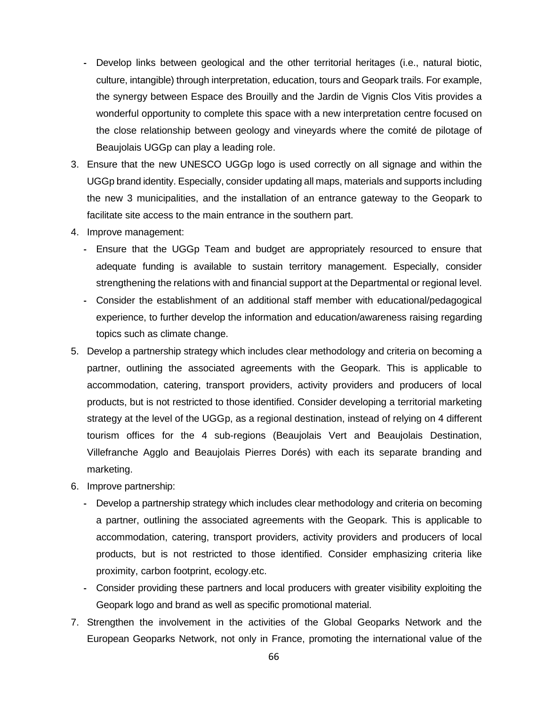- **-** Develop links between geological and the other territorial heritages (i.e., natural biotic, culture, intangible) through interpretation, education, tours and Geopark trails. For example, the synergy between Espace des Brouilly and the Jardin de Vignis Clos Vitis provides a wonderful opportunity to complete this space with a new interpretation centre focused on the close relationship between geology and vineyards where the comité de pilotage of Beaujolais UGGp can play a leading role.
- 3. Ensure that the new UNESCO UGGp logo is used correctly on all signage and within the UGGp brand identity. Especially, consider updating all maps, materials and supports including the new 3 municipalities, and the installation of an entrance gateway to the Geopark to facilitate site access to the main entrance in the southern part.
- 4. Improve management:
	- **-** Ensure that the UGGp Team and budget are appropriately resourced to ensure that adequate funding is available to sustain territory management. Especially, consider strengthening the relations with and financial support at the Departmental or regional level.
	- **-** Consider the establishment of an additional staff member with educational/pedagogical experience, to further develop the information and education/awareness raising regarding topics such as climate change.
- 5. Develop a partnership strategy which includes clear methodology and criteria on becoming a partner, outlining the associated agreements with the Geopark. This is applicable to accommodation, catering, transport providers, activity providers and producers of local products, but is not restricted to those identified. Consider developing a territorial marketing strategy at the level of the UGGp, as a regional destination, instead of relying on 4 different tourism offices for the 4 sub-regions (Beaujolais Vert and Beaujolais Destination, Villefranche Agglo and Beaujolais Pierres Dorés) with each its separate branding and marketing.
- 6. Improve partnership:
	- **-** Develop a partnership strategy which includes clear methodology and criteria on becoming a partner, outlining the associated agreements with the Geopark. This is applicable to accommodation, catering, transport providers, activity providers and producers of local products, but is not restricted to those identified. Consider emphasizing criteria like proximity, carbon footprint, ecology.etc.
	- **-** Consider providing these partners and local producers with greater visibility exploiting the Geopark logo and brand as well as specific promotional material.
- 7. Strengthen the involvement in the activities of the Global Geoparks Network and the European Geoparks Network, not only in France, promoting the international value of the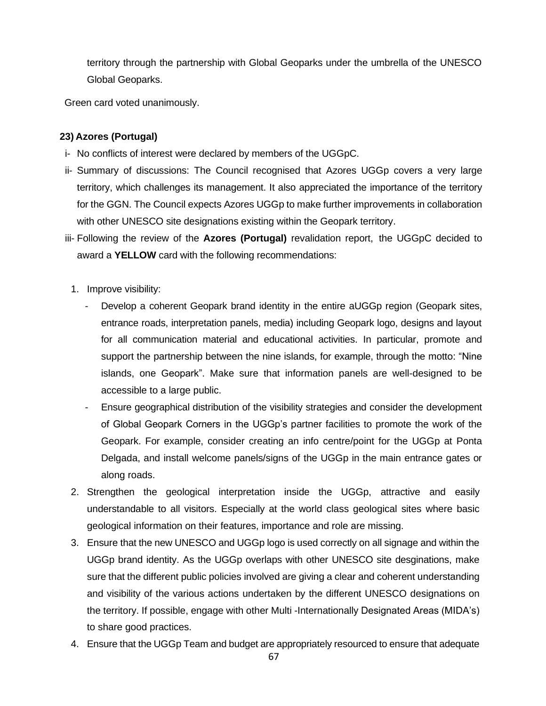territory through the partnership with Global Geoparks under the umbrella of the UNESCO Global Geoparks.

Green card voted unanimously.

# **23) Azores (Portugal)**

- i- No conflicts of interest were declared by members of the UGGpC.
- ii- Summary of discussions: The Council recognised that Azores UGGp covers a very large territory, which challenges its management. It also appreciated the importance of the territory for the GGN. The Council expects Azores UGGp to make further improvements in collaboration with other UNESCO site designations existing within the Geopark territory.
- iii- Following the review of the **Azores (Portugal)** revalidation report, the UGGpC decided to award a **YELLOW** card with the following recommendations:
- 1. Improve visibility:
	- Develop a coherent Geopark brand identity in the entire aUGGp region (Geopark sites, entrance roads, interpretation panels, media) including Geopark logo, designs and layout for all communication material and educational activities. In particular, promote and support the partnership between the nine islands, for example, through the motto: "Nine islands, one Geopark". Make sure that information panels are well-designed to be accessible to a large public.
	- Ensure geographical distribution of the visibility strategies and consider the development of Global Geopark Corners in the UGGp's partner facilities to promote the work of the Geopark. For example, consider creating an info centre/point for the UGGp at Ponta Delgada, and install welcome panels/signs of the UGGp in the main entrance gates or along roads.
- 2. Strengthen the geological interpretation inside the UGGp, attractive and easily understandable to all visitors. Especially at the world class geological sites where basic geological information on their features, importance and role are missing.
- 3. Ensure that the new UNESCO and UGGp logo is used correctly on all signage and within the UGGp brand identity. As the UGGp overlaps with other UNESCO site desginations, make sure that the different public policies involved are giving a clear and coherent understanding and visibility of the various actions undertaken by the different UNESCO designations on the territory. If possible, engage with other Multi -Internationally Designated Areas (MIDA's) to share good practices.
- 4. Ensure that the UGGp Team and budget are appropriately resourced to ensure that adequate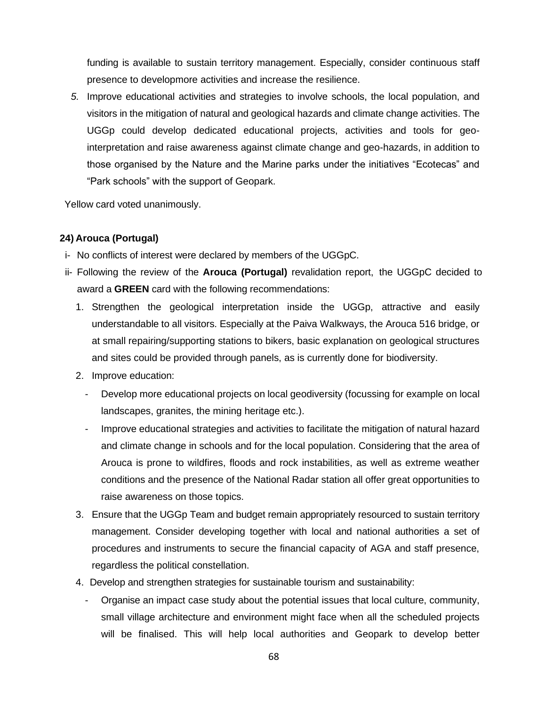funding is available to sustain territory management. Especially, consider continuous staff presence to developmore activities and increase the resilience.

*5.* Improve educational activities and strategies to involve schools, the local population, and visitors in the mitigation of natural and geological hazards and climate change activities. The UGGp could develop dedicated educational projects, activities and tools for geointerpretation and raise awareness against climate change and geo-hazards, in addition to those organised by the Nature and the Marine parks under the initiatives "Ecotecas" and "Park schools" with the support of Geopark.

Yellow card voted unanimously.

## **24) Arouca (Portugal)**

- i- No conflicts of interest were declared by members of the UGGpC.
- ii- Following the review of the **Arouca (Portugal)** revalidation report, the UGGpC decided to award a **GREEN** card with the following recommendations:
	- 1. Strengthen the geological interpretation inside the UGGp, attractive and easily understandable to all visitors. Especially at the Paiva Walkways, the Arouca 516 bridge, or at small repairing/supporting stations to bikers, basic explanation on geological structures and sites could be provided through panels, as is currently done for biodiversity.
	- 2. Improve education:
		- Develop more educational projects on local geodiversity (focussing for example on local landscapes, granites, the mining heritage etc.).
		- Improve educational strategies and activities to facilitate the mitigation of natural hazard and climate change in schools and for the local population. Considering that the area of Arouca is prone to wildfires, floods and rock instabilities, as well as extreme weather conditions and the presence of the National Radar station all offer great opportunities to raise awareness on those topics.
	- 3. Ensure that the UGGp Team and budget remain appropriately resourced to sustain territory management. Consider developing together with local and national authorities a set of procedures and instruments to secure the financial capacity of AGA and staff presence, regardless the political constellation.
	- 4. Develop and strengthen strategies for sustainable tourism and sustainability:
		- Organise an impact case study about the potential issues that local culture, community, small village architecture and environment might face when all the scheduled projects will be finalised. This will help local authorities and Geopark to develop better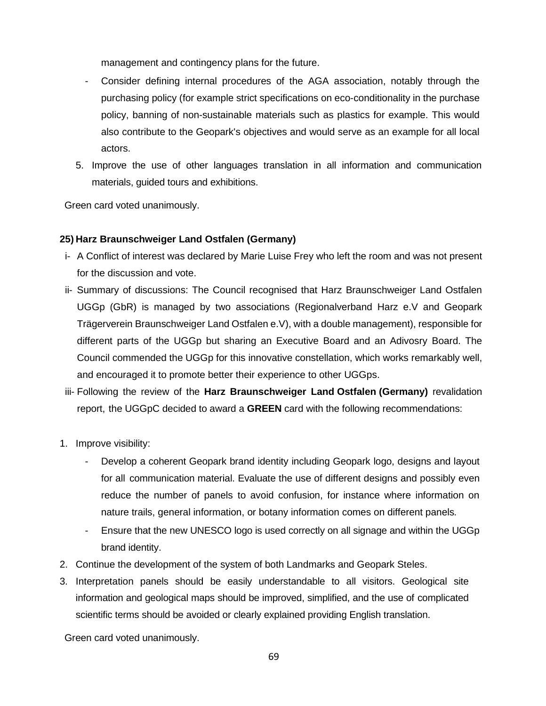management and contingency plans for the future.

- Consider defining internal procedures of the AGA association, notably through the purchasing policy (for example strict specifications on eco-conditionality in the purchase policy, banning of non-sustainable materials such as plastics for example. This would also contribute to the Geopark's objectives and would serve as an example for all local actors.
- 5. Improve the use of other languages translation in all information and communication materials, guided tours and exhibitions.

Green card voted unanimously.

## **25) Harz Braunschweiger Land Ostfalen (Germany)**

- i- A Conflict of interest was declared by Marie Luise Frey who left the room and was not present for the discussion and vote.
- ii- Summary of discussions: The Council recognised that Harz Braunschweiger Land Ostfalen UGGp (GbR) is managed by two associations (Regionalverband Harz e.V and Geopark Trägerverein Braunschweiger Land Ostfalen e.V), with a double management), responsible for different parts of the UGGp but sharing an Executive Board and an Adivosry Board. The Council commended the UGGp for this innovative constellation, which works remarkably well, and encouraged it to promote better their experience to other UGGps.
- iii- Following the review of the **Harz Braunschweiger Land Ostfalen (Germany)** revalidation report, the UGGpC decided to award a **GREEN** card with the following recommendations:
- 1. Improve visibility:
	- Develop a coherent Geopark brand identity including Geopark logo, designs and layout for all communication material. Evaluate the use of different designs and possibly even reduce the number of panels to avoid confusion, for instance where information on nature trails, general information, or botany information comes on different panels*.*
	- Ensure that the new UNESCO logo is used correctly on all signage and within the UGGp brand identity.
- 2. Continue the development of the system of both Landmarks and Geopark Steles.
- 3. Interpretation panels should be easily understandable to all visitors. Geological site information and geological maps should be improved, simplified, and the use of complicated scientific terms should be avoided or clearly explained providing English translation.

Green card voted unanimously.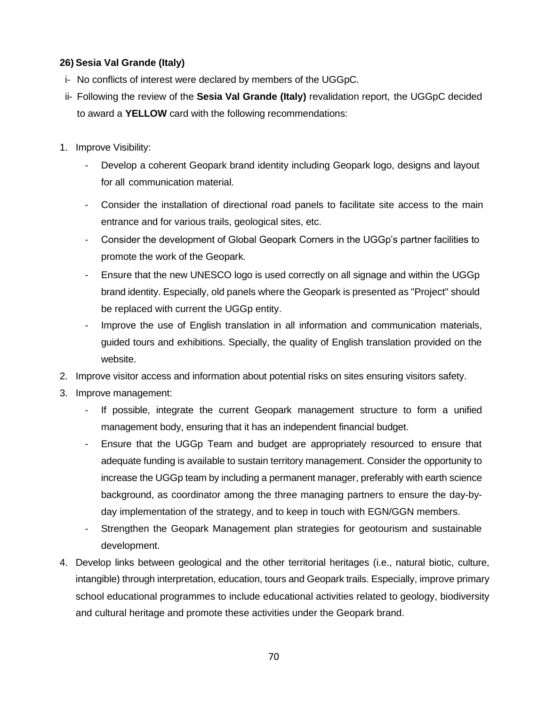# **26) Sesia Val Grande (Italy)**

- i- No conflicts of interest were declared by members of the UGGpC.
- ii- Following the review of the **Sesia Val Grande (Italy)** revalidation report, the UGGpC decided to award a **YELLOW** card with the following recommendations:
- 1. Improve Visibility:
	- Develop a coherent Geopark brand identity including Geopark logo, designs and layout for all communication material.
	- Consider the installation of directional road panels to facilitate site access to the main entrance and for various trails, geological sites, etc.
	- Consider the development of Global Geopark Corners in the UGGp's partner facilities to promote the work of the Geopark.
	- Ensure that the new UNESCO logo is used correctly on all signage and within the UGGp brand identity. Especially, old panels where the Geopark is presented as "Project" should be replaced with current the UGGp entity.
	- Improve the use of English translation in all information and communication materials, guided tours and exhibitions. Specially, the quality of English translation provided on the website.
- 2. Improve visitor access and information about potential risks on sites ensuring visitors safety.
- 3. Improve management:
	- If possible, integrate the current Geopark management structure to form a unified management body, ensuring that it has an independent financial budget.
	- Ensure that the UGGp Team and budget are appropriately resourced to ensure that adequate funding is available to sustain territory management. Consider the opportunity to increase the UGGp team by including a permanent manager, preferably with earth science background, as coordinator among the three managing partners to ensure the day-byday implementation of the strategy, and to keep in touch with EGN/GGN members.
	- Strengthen the Geopark Management plan strategies for geotourism and sustainable development.
- 4. Develop links between geological and the other territorial heritages (i.e., natural biotic, culture, intangible) through interpretation, education, tours and Geopark trails. Especially, improve primary school educational programmes to include educational activities related to geology, biodiversity and cultural heritage and promote these activities under the Geopark brand.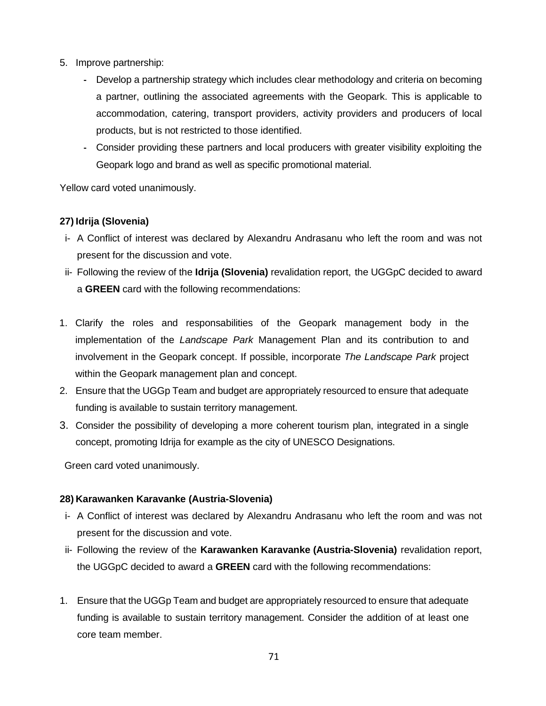- 5. Improve partnership:
	- **-** Develop a partnership strategy which includes clear methodology and criteria on becoming a partner, outlining the associated agreements with the Geopark. This is applicable to accommodation, catering, transport providers, activity providers and producers of local products, but is not restricted to those identified.
	- **-** Consider providing these partners and local producers with greater visibility exploiting the Geopark logo and brand as well as specific promotional material.

Yellow card voted unanimously.

# **27) Idrija (Slovenia)**

- i- A Conflict of interest was declared by Alexandru Andrasanu who left the room and was not present for the discussion and vote.
- ii- Following the review of the **Idrija (Slovenia)** revalidation report, the UGGpC decided to award a **GREEN** card with the following recommendations:
- 1. Clarify the roles and responsabilities of the Geopark management body in the implementation of the *Landscape Park* Management Plan and its contribution to and involvement in the Geopark concept. If possible, incorporate *The Landscape Park* project within the Geopark management plan and concept.
- 2. Ensure that the UGGp Team and budget are appropriately resourced to ensure that adequate funding is available to sustain territory management.
- 3. Consider the possibility of developing a more coherent tourism plan, integrated in a single concept, promoting Idrija for example as the city of UNESCO Designations.

Green card voted unanimously.

# **28) Karawanken Karavanke (Austria-Slovenia)**

- i- A Conflict of interest was declared by Alexandru Andrasanu who left the room and was not present for the discussion and vote.
- ii- Following the review of the **Karawanken Karavanke (Austria-Slovenia)** revalidation report, the UGGpC decided to award a **GREEN** card with the following recommendations:
- 1. Ensure that the UGGp Team and budget are appropriately resourced to ensure that adequate funding is available to sustain territory management. Consider the addition of at least one core team member.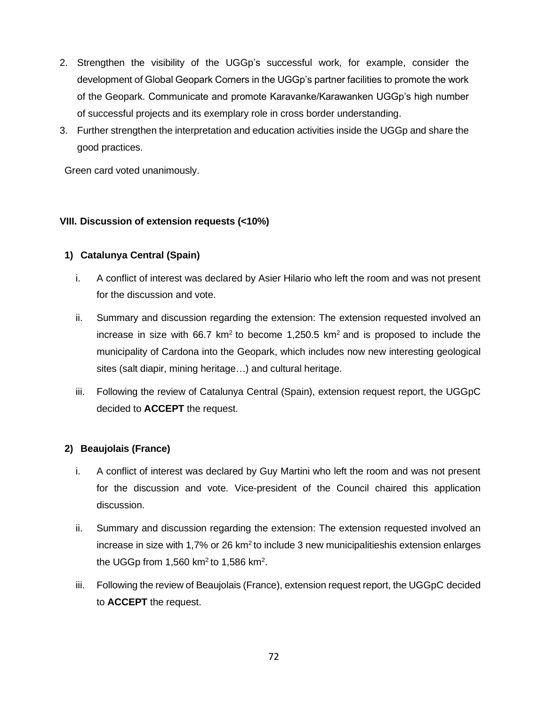- 2. Strengthen the visibility of the UGGp's successful work, for example, consider the development of Global Geopark Corners in the UGGp's partner facilities to promote the work of the Geopark. Communicate and promote Karavanke/Karawanken UGGp's high number of successful projects and its exemplary role in cross border understanding.
- 3. Further strengthen the interpretation and education activities inside the UGGp and share the good practices.

## **VIII. Discussion of extension requests (<10%)**

## **1) Catalunya Central (Spain)**

- i. A conflict of interest was declared by Asier Hilario who left the room and was not present for the discussion and vote.
- ii. Summary and discussion regarding the extension: The extension requested involved an increase in size with 66.7 km<sup>2</sup> to become 1,250.5 km<sup>2</sup> and is proposed to include the municipality of Cardona into the Geopark, which includes now new interesting geological sites (salt diapir, mining heritage…) and cultural heritage.
- iii. Following the review of Catalunya Central (Spain), extension request report, the UGGpC decided to **ACCEPT** the request.

## **2) Beaujolais (France)**

- i. A conflict of interest was declared by Guy Martini who left the room and was not present for the discussion and vote. Vice-president of the Council chaired this application discussion.
- ii. Summary and discussion regarding the extension: The extension requested involved an increase in size with 1,7% or 26 km<sup>2</sup> to include 3 new municipalitieshis extension enlarges the UGGp from 1,560 km<sup>2</sup> to 1,586 km<sup>2</sup>.
- iii. Following the review of Beaujolais (France), extension request report, the UGGpC decided to **ACCEPT** the request.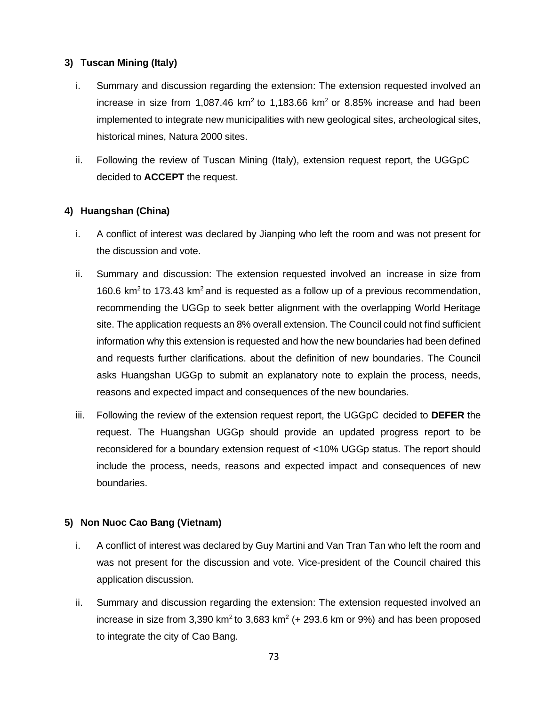# **3) Tuscan Mining (Italy)**

- i. Summary and discussion regarding the extension: The extension requested involved an increase in size from 1,087.46  $km^2$  to 1,183.66  $km^2$  or 8.85% increase and had been implemented to integrate new municipalities with new geological sites, archeological sites, historical mines, Natura 2000 sites.
- ii. Following the review of Tuscan Mining (Italy), extension request report, the UGGpC decided to **ACCEPT** the request.

## **4) Huangshan (China)**

- i. A conflict of interest was declared by Jianping who left the room and was not present for the discussion and vote.
- ii. Summary and discussion: The extension requested involved an increase in size from 160.6  $km<sup>2</sup>$  to 173.43 km<sup>2</sup> and is requested as a follow up of a previous recommendation, recommending the UGGp to seek better alignment with the overlapping World Heritage site. The application requests an 8% overall extension. The Council could not find sufficient information why this extension is requested and how the new boundaries had been defined and requests further clarifications. about the definition of new boundaries. The Council asks Huangshan UGGp to submit an explanatory note to explain the process, needs, reasons and expected impact and consequences of the new boundaries.
- iii. Following the review of the extension request report, the UGGpC decided to **DEFER** the request. The Huangshan UGGp should provide an updated progress report to be reconsidered for a boundary extension request of <10% UGGp status. The report should include the process, needs, reasons and expected impact and consequences of new boundaries.

## **5) Non Nuoc Cao Bang (Vietnam)**

- i. A conflict of interest was declared by Guy Martini and Van Tran Tan who left the room and was not present for the discussion and vote. Vice-president of the Council chaired this application discussion.
- ii. Summary and discussion regarding the extension: The extension requested involved an increase in size from 3,390 km<sup>2</sup> to 3,683 km<sup>2</sup> (+ 293.6 km or 9%) and has been proposed to integrate the city of Cao Bang.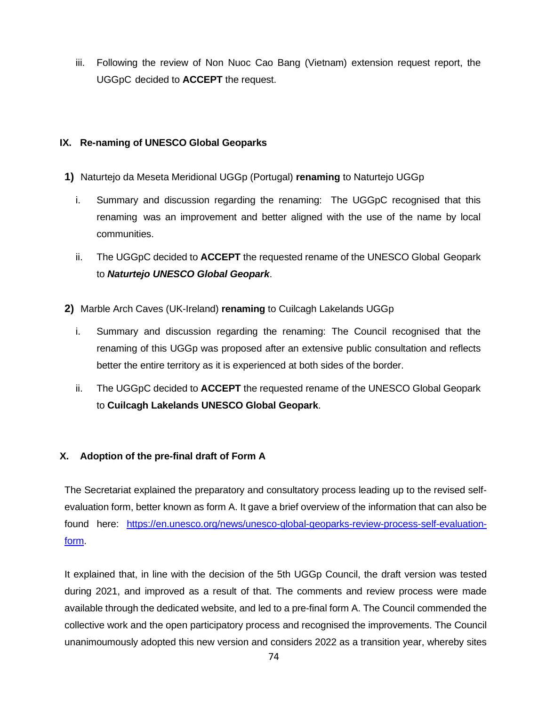iii. Following the review of Non Nuoc Cao Bang (Vietnam) extension request report, the UGGpC decided to **ACCEPT** the request.

# **IX. Re-naming of UNESCO Global Geoparks**

- **1)** Naturtejo da Meseta Meridional UGGp (Portugal) **renaming** to Naturtejo UGGp
	- i. Summary and discussion regarding the renaming: The UGGpC recognised that this renaming was an improvement and better aligned with the use of the name by local communities.
	- ii. The UGGpC decided to **ACCEPT** the requested rename of the UNESCO Global Geopark to *Naturtejo UNESCO Global Geopark*.
- **2)** Marble Arch Caves (UK-Ireland) **renaming** to Cuilcagh Lakelands UGGp
	- i. Summary and discussion regarding the renaming: The Council recognised that the renaming of this UGGp was proposed after an extensive public consultation and reflects better the entire territory as it is experienced at both sides of the border.
	- ii. The UGGpC decided to **ACCEPT** the requested rename of the UNESCO Global Geopark to **Cuilcagh Lakelands UNESCO Global Geopark**.

# **X. Adoption of the pre-final draft of Form A**

The Secretariat explained the preparatory and consultatory process leading up to the revised selfevaluation form, better known as form A. It gave a brief overview of the information that can also be found here: [https://en.unesco.org/news/unesco-global-geoparks-review-process-self-evaluation](https://en.unesco.org/news/unesco-global-geoparks-review-process-self-evaluation-form)[form.](https://en.unesco.org/news/unesco-global-geoparks-review-process-self-evaluation-form)

It explained that, in line with the decision of the 5th UGGp Council, the draft version was tested during 2021, and improved as a result of that. The comments and review process were made available through the dedicated website, and led to a pre-final form A. The Council commended the collective work and the open participatory process and recognised the improvements. The Council unanimoumously adopted this new version and considers 2022 as a transition year, whereby sites